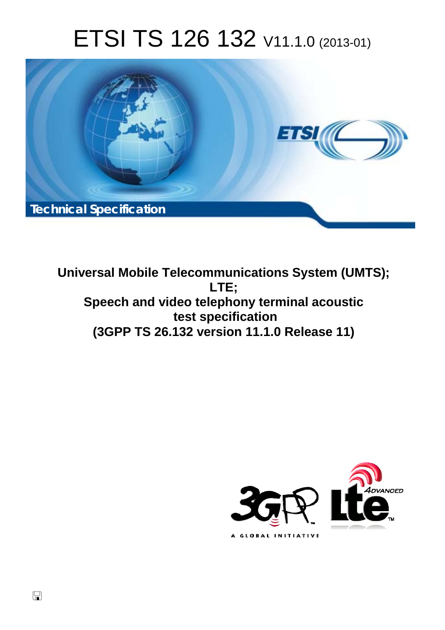# ETSI TS 126 132 V11.1.0 (2013-01)



**Universal Mobile Telecommunications System (UMTS); LTE; Speech and video telephony terminal acoustic test specification (3GPP TS 26.132 version 11.1.0 Release 11)** 



 $\Box$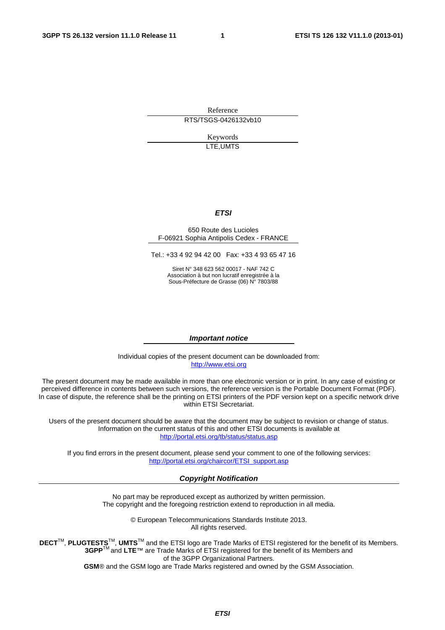Reference RTS/TSGS-0426132vb10

> Keywords LTE,UMTS

#### *ETSI*

#### 650 Route des Lucioles F-06921 Sophia Antipolis Cedex - FRANCE

Tel.: +33 4 92 94 42 00 Fax: +33 4 93 65 47 16

Siret N° 348 623 562 00017 - NAF 742 C Association à but non lucratif enregistrée à la Sous-Préfecture de Grasse (06) N° 7803/88

#### *Important notice*

Individual copies of the present document can be downloaded from: [http://www.etsi.org](http://www.etsi.org/)

The present document may be made available in more than one electronic version or in print. In any case of existing or perceived difference in contents between such versions, the reference version is the Portable Document Format (PDF). In case of dispute, the reference shall be the printing on ETSI printers of the PDF version kept on a specific network drive within ETSI Secretariat.

Users of the present document should be aware that the document may be subject to revision or change of status. Information on the current status of this and other ETSI documents is available at <http://portal.etsi.org/tb/status/status.asp>

If you find errors in the present document, please send your comment to one of the following services: [http://portal.etsi.org/chaircor/ETSI\\_support.asp](http://portal.etsi.org/chaircor/ETSI_support.asp)

#### *Copyright Notification*

No part may be reproduced except as authorized by written permission. The copyright and the foregoing restriction extend to reproduction in all media.

> © European Telecommunications Standards Institute 2013. All rights reserved.

DECT<sup>™</sup>, PLUGTESTS<sup>™</sup>, UMTS<sup>™</sup> and the ETSI logo are Trade Marks of ETSI registered for the benefit of its Members. **3GPP**TM and **LTE**™ are Trade Marks of ETSI registered for the benefit of its Members and of the 3GPP Organizational Partners.

**GSM**® and the GSM logo are Trade Marks registered and owned by the GSM Association.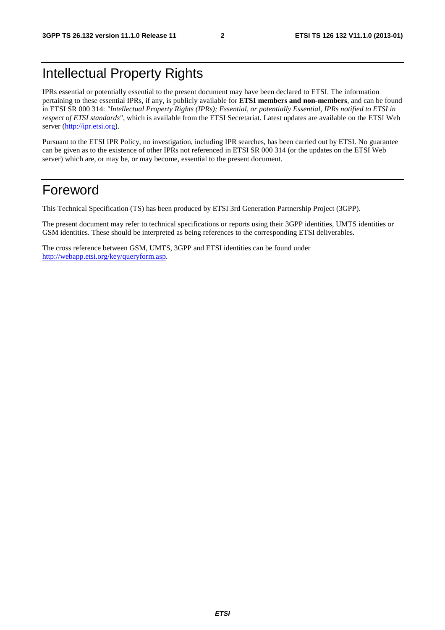## Intellectual Property Rights

IPRs essential or potentially essential to the present document may have been declared to ETSI. The information pertaining to these essential IPRs, if any, is publicly available for **ETSI members and non-members**, and can be found in ETSI SR 000 314: *"Intellectual Property Rights (IPRs); Essential, or potentially Essential, IPRs notified to ETSI in respect of ETSI standards"*, which is available from the ETSI Secretariat. Latest updates are available on the ETSI Web server [\(http://ipr.etsi.org](http://webapp.etsi.org/IPR/home.asp)).

Pursuant to the ETSI IPR Policy, no investigation, including IPR searches, has been carried out by ETSI. No guarantee can be given as to the existence of other IPRs not referenced in ETSI SR 000 314 (or the updates on the ETSI Web server) which are, or may be, or may become, essential to the present document.

## Foreword

This Technical Specification (TS) has been produced by ETSI 3rd Generation Partnership Project (3GPP).

The present document may refer to technical specifications or reports using their 3GPP identities, UMTS identities or GSM identities. These should be interpreted as being references to the corresponding ETSI deliverables.

The cross reference between GSM, UMTS, 3GPP and ETSI identities can be found under [http://webapp.etsi.org/key/queryform.asp.](http://webapp.etsi.org/key/queryform.asp)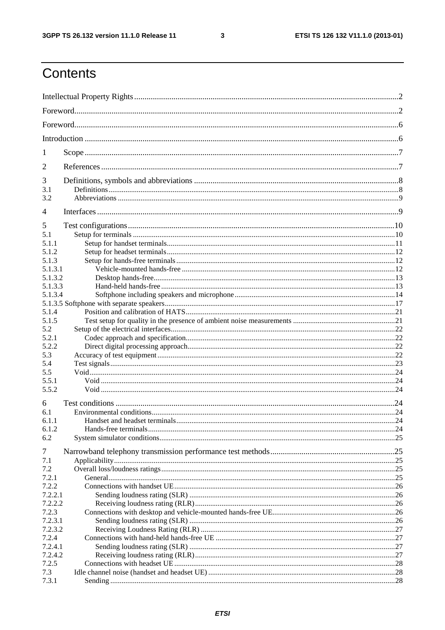$\mathbf{3}$ 

## Contents

| 1                  |  |  |  |
|--------------------|--|--|--|
| 2                  |  |  |  |
| 3                  |  |  |  |
| 3.1                |  |  |  |
| 3.2                |  |  |  |
| 4                  |  |  |  |
| 5                  |  |  |  |
| 5.1                |  |  |  |
| 5.1.1              |  |  |  |
| 5.1.2              |  |  |  |
| 5.1.3              |  |  |  |
| 5.1.3.1<br>5.1.3.2 |  |  |  |
| 5.1.3.3            |  |  |  |
| 5.1.3.4            |  |  |  |
|                    |  |  |  |
| 5.1.4              |  |  |  |
| 5.1.5              |  |  |  |
| 5.2                |  |  |  |
| 5.2.1              |  |  |  |
| 5.2.2              |  |  |  |
| 5.3                |  |  |  |
| 5.4                |  |  |  |
| 5.5                |  |  |  |
| 5.5.1              |  |  |  |
| 5.5.2              |  |  |  |
| 6                  |  |  |  |
| 6.1                |  |  |  |
| 6.1.1              |  |  |  |
| 6.1.2              |  |  |  |
| 6.2                |  |  |  |
| 7                  |  |  |  |
| 7.1                |  |  |  |
| 7.2                |  |  |  |
| 7.2.1              |  |  |  |
| 7.2.2              |  |  |  |
| 7.2.2.1            |  |  |  |
| 7.2.2.2            |  |  |  |
| 7.2.3              |  |  |  |
| 7.2.3.1            |  |  |  |
| 7.2.3.2            |  |  |  |
| 7.2.4              |  |  |  |
| 7.2.4.1            |  |  |  |
| 7.2.4.2            |  |  |  |
| 7.2.5              |  |  |  |
| 7.3                |  |  |  |
| 7.3.1              |  |  |  |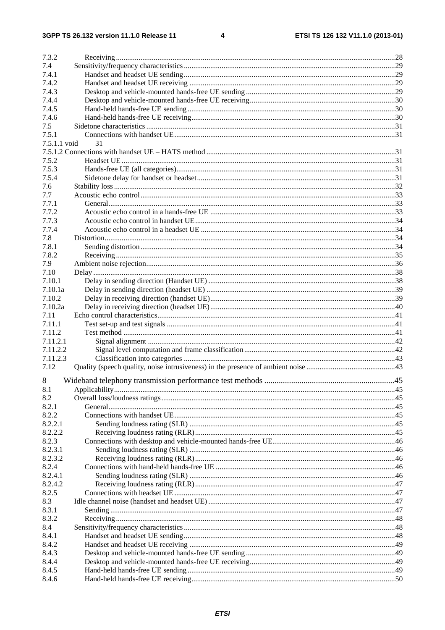| 7.3.2        |    |  |
|--------------|----|--|
| 7.4          |    |  |
| 7.4.1        |    |  |
| 7.4.2        |    |  |
| 7.4.3        |    |  |
| 7.4.4        |    |  |
| 7.4.5        |    |  |
|              |    |  |
| 7.4.6        |    |  |
| 7.5          |    |  |
| 7.5.1        |    |  |
| 7.5.1.1 void | 31 |  |
|              |    |  |
| 7.5.2        |    |  |
| 7.5.3        |    |  |
| 7.5.4        |    |  |
| 7.6          |    |  |
| 7.7          |    |  |
| 7.7.1        |    |  |
| 7.7.2        |    |  |
| 7.7.3        |    |  |
| 7.7.4        |    |  |
| 7.8          |    |  |
| 7.8.1        |    |  |
| 7.8.2        |    |  |
| 7.9          |    |  |
| 7.10         |    |  |
| 7.10.1       |    |  |
| 7.10.1a      |    |  |
| 7.10.2       |    |  |
| 7.10.2a      |    |  |
| 7.11         |    |  |
| 7.11.1       |    |  |
| 7.11.2       |    |  |
| 7.11.2.1     |    |  |
| 7.11.2.2     |    |  |
| 7.11.2.3     |    |  |
| 7.12         |    |  |
|              |    |  |
| 8            |    |  |
| 8.1          |    |  |
| 8.2          |    |  |
| 8.2.1        |    |  |
| 8.2.2        |    |  |
| 8.2.2.1      |    |  |
| 8.2.2.2      |    |  |
| 8.2.3        |    |  |
| 8.2.3.1      |    |  |
| 8.2.3.2      |    |  |
| 8.2.4        |    |  |
| 8.2.4.1      |    |  |
| 8.2.4.2      |    |  |
| 8.2.5        |    |  |
| 8.3          |    |  |
| 8.3.1        |    |  |
| 8.3.2        |    |  |
| 8.4          |    |  |
| 8.4.1        |    |  |
|              |    |  |
| 8.4.2        |    |  |
| 8.4.3        |    |  |
| 8.4.4        |    |  |
| 8.4.5        |    |  |
| 8.4.6        |    |  |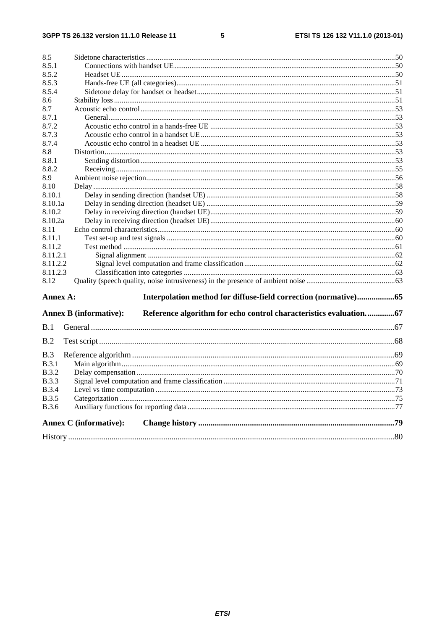#### $5\phantom{a}$

| 8.5          |                                                                                                    |  |
|--------------|----------------------------------------------------------------------------------------------------|--|
| 8.5.1        |                                                                                                    |  |
| 8.5.2        |                                                                                                    |  |
| 8.5.3        |                                                                                                    |  |
| 8.5.4        |                                                                                                    |  |
| 8.6          |                                                                                                    |  |
| 8.7          |                                                                                                    |  |
| 8.7.1        |                                                                                                    |  |
| 8.7.2        |                                                                                                    |  |
| 8.7.3        |                                                                                                    |  |
| 8.7.4        |                                                                                                    |  |
| 8.8          |                                                                                                    |  |
| 8.8.1        |                                                                                                    |  |
| 8.8.2        |                                                                                                    |  |
| 8.9          |                                                                                                    |  |
| 8.10         |                                                                                                    |  |
| 8.10.1       |                                                                                                    |  |
| 8.10.1a      |                                                                                                    |  |
| 8.10.2       |                                                                                                    |  |
| 8.10.2a      |                                                                                                    |  |
| 8.11         |                                                                                                    |  |
| 8.11.1       |                                                                                                    |  |
| 8.11.2       |                                                                                                    |  |
| 8.11.2.1     |                                                                                                    |  |
| 8.11.2.2     |                                                                                                    |  |
| 8.11.2.3     |                                                                                                    |  |
| 8.12         |                                                                                                    |  |
| Annex A:     | Interpolation method for diffuse-field correction (normative)65                                    |  |
|              | Reference algorithm for echo control characteristics evaluation67<br><b>Annex B (informative):</b> |  |
| B.1          |                                                                                                    |  |
|              |                                                                                                    |  |
| B.2          |                                                                                                    |  |
| B.3          |                                                                                                    |  |
| B.3.1        |                                                                                                    |  |
| <b>B.3.2</b> |                                                                                                    |  |
| <b>B.3.3</b> |                                                                                                    |  |
| <b>B.3.4</b> |                                                                                                    |  |
| <b>B.3.5</b> |                                                                                                    |  |
| <b>B.3.6</b> |                                                                                                    |  |
|              | <b>Annex C</b> (informative):                                                                      |  |
|              |                                                                                                    |  |
|              |                                                                                                    |  |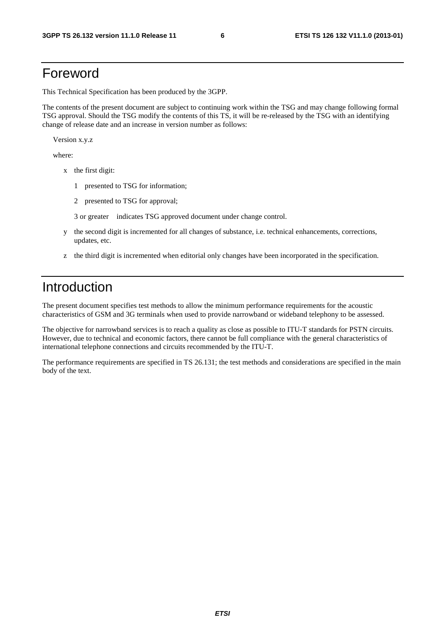## Foreword

This Technical Specification has been produced by the 3GPP.

The contents of the present document are subject to continuing work within the TSG and may change following formal TSG approval. Should the TSG modify the contents of this TS, it will be re-released by the TSG with an identifying change of release date and an increase in version number as follows:

Version x.y.z

where:

- x the first digit:
	- 1 presented to TSG for information;
	- 2 presented to TSG for approval;

3 or greater indicates TSG approved document under change control.

- y the second digit is incremented for all changes of substance, i.e. technical enhancements, corrections, updates, etc.
- z the third digit is incremented when editorial only changes have been incorporated in the specification.

## Introduction

The present document specifies test methods to allow the minimum performance requirements for the acoustic characteristics of GSM and 3G terminals when used to provide narrowband or wideband telephony to be assessed.

The objective for narrowband services is to reach a quality as close as possible to ITU-T standards for PSTN circuits. However, due to technical and economic factors, there cannot be full compliance with the general characteristics of international telephone connections and circuits recommended by the ITU-T.

The performance requirements are specified in TS 26.131; the test methods and considerations are specified in the main body of the text.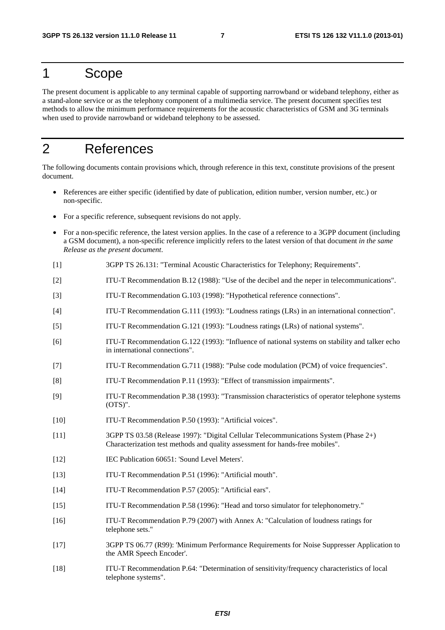## 1 Scope

The present document is applicable to any terminal capable of supporting narrowband or wideband telephony, either as a stand-alone service or as the telephony component of a multimedia service. The present document specifies test methods to allow the minimum performance requirements for the acoustic characteristics of GSM and 3G terminals when used to provide narrowband or wideband telephony to be assessed.

## 2 References

The following documents contain provisions which, through reference in this text, constitute provisions of the present document.

- References are either specific (identified by date of publication, edition number, version number, etc.) or non-specific.
- For a specific reference, subsequent revisions do not apply.
- For a non-specific reference, the latest version applies. In the case of a reference to a 3GPP document (including a GSM document), a non-specific reference implicitly refers to the latest version of that document *in the same Release as the present document*.
- [1] 3GPP TS 26.131: "Terminal Acoustic Characteristics for Telephony; Requirements".
- [2] ITU-T Recommendation B.12 (1988): "Use of the decibel and the neper in telecommunications".
- [3] ITU-T Recommendation G.103 (1998): "Hypothetical reference connections".
- [4] ITU-T Recommendation G.111 (1993): "Loudness ratings (LRs) in an international connection".
- [5] ITU-T Recommendation G.121 (1993): "Loudness ratings (LRs) of national systems".
- [6] ITU-T Recommendation G.122 (1993): "Influence of national systems on stability and talker echo in international connections".
- [7] ITU-T Recommendation G.711 (1988): "Pulse code modulation (PCM) of voice frequencies".
- [8] ITU-T Recommendation P.11 (1993): "Effect of transmission impairments".
- [9] ITU-T Recommendation P.38 (1993): "Transmission characteristics of operator telephone systems (OTS)".
- [10] ITU-T Recommendation P.50 (1993): "Artificial voices".
- [11] 3GPP TS 03.58 (Release 1997): "Digital Cellular Telecommunications System (Phase 2+) Characterization test methods and quality assessment for hands-free mobiles".
- [12] IEC Publication 60651: 'Sound Level Meters'.
- [13] ITU-T Recommendation P.51 (1996): "Artificial mouth".
- [14] ITU-T Recommendation P.57 (2005): "Artificial ears".
- [15] ITU-T Recommendation P.58 (1996): "Head and torso simulator for telephonometry."
- [16] ITU-T Recommendation P.79 (2007) with Annex A: "Calculation of loudness ratings for telephone sets."
- [17] 3GPP TS 06.77 (R99): 'Minimum Performance Requirements for Noise Suppresser Application to the AMR Speech Encoder'.
- [18] ITU-T Recommendation P.64: "Determination of sensitivity/frequency characteristics of local telephone systems".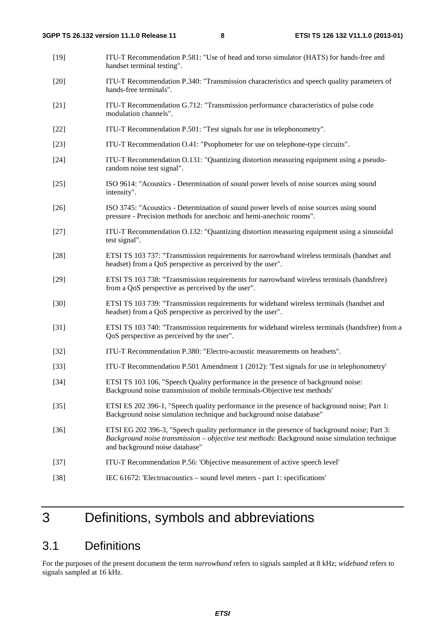[19] ITU-T Recommendation P.581: "Use of head and torso simulator (HATS) for hands-free and handset terminal testing". [20] ITU-T Recommendation P.340: "Transmission characteristics and speech quality parameters of hands-free terminals". [21] ITU-T Recommendation G.712: "Transmission performance characteristics of pulse code modulation channels". [22] ITU-T Recommendation P.501: "Test signals for use in telephonometry". [23] ITU-T Recommendation O.41: "Psophometer for use on telephone-type circuits". [24] ITU-T Recommendation O.131: "Quantizing distortion measuring equipment using a pseudorandom noise test signal". [25] ISO 9614: "Acoustics - Determination of sound power levels of noise sources using sound intensity". [26] ISO 3745: "Acoustics - Determination of sound power levels of noise sources using sound pressure - Precision methods for anechoic and hemi-anechoic rooms". [27] ITU-T Recommendation O.132: "Quantizing distortion measuring equipment using a sinusoidal test signal". [28] ETSI TS 103 737: "Transmission requirements for narrowband wireless terminals (handset and headset) from a QoS perspective as perceived by the user". [29] ETSI TS 103 738: "Transmission requirements for narrowband wireless terminals (handsfree) from a QoS perspective as perceived by the user". [30] ETSI TS 103 739: "Transmission requirements for wideband wireless terminals (handset and headset) from a QoS perspective as perceived by the user". [31] ETSI TS 103 740: "Transmission requirements for wideband wireless terminals (handsfree) from a QoS perspective as perceived by the user". [32] ITU-T Recommendation P.380: "Electro-acoustic measurements on headsets". [33] ITU-T Recommendation P.501 Amendment 1 (2012): 'Test signals for use in telephonometry' [34] ETSI TS 103 106, "Speech Quality performance in the presence of background noise: Background noise transmission of mobile terminals-Objective test methods' [35] ETSI ES 202 396-1, "Speech quality performance in the presence of background noise; Part 1: Background noise simulation technique and background noise database" [36] ETSI EG 202 396-3, "Speech quality performance in the presence of background noise; Part 3: *Background noise transmission – objective test methods*: Background noise simulation technique and background noise database" [37] ITU-T Recommendation P.56: 'Objective measurement of active speech level' [38] IEC 61672: 'Electroacoustics – sound level meters - part 1: specifications'

## 3 Definitions, symbols and abbreviations

### 3.1 Definitions

For the purposes of the present document the term *narrowband* refers to signals sampled at 8 kHz; *wideband* refers to signals sampled at 16 kHz.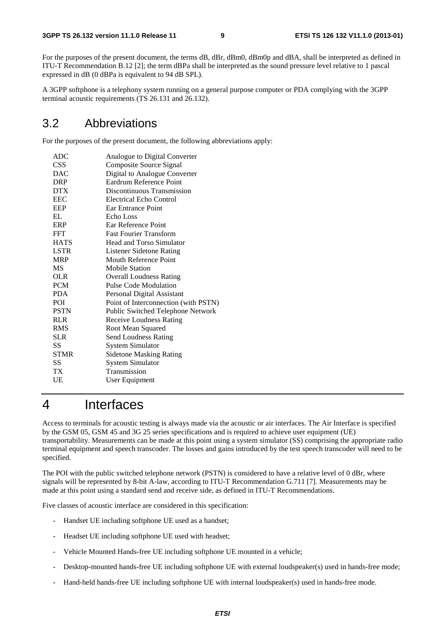For the purposes of the present document, the terms dB, dBr, dBm0, dBm0p and dBA, shall be interpreted as defined in ITU-T Recommendation B.12 [2]; the term dBPa shall be interpreted as the sound pressure level relative to 1 pascal expressed in dB (0 dBPa is equivalent to 94 dB SPL).

A 3GPP softphone is a telephony system running on a general purpose computer or PDA complying with the 3GPP terminal acoustic requirements (TS 26.131 and 26.132).

### 3.2 Abbreviations

For the purposes of the present document, the following abbreviations apply:

| <b>ADC</b>  | Analogue to Digital Converter        |
|-------------|--------------------------------------|
| CSS         | Composite Source Signal              |
| DAC         | Digital to Analogue Converter        |
| <b>DRP</b>  | Eardrum Reference Point              |
| <b>DTX</b>  | Discontinuous Transmission           |
| EEC         | Electrical Echo Control              |
| EEP         | Ear Entrance Point                   |
| EL.         | Echo Loss                            |
| ERP         | Ear Reference Point                  |
| FFT         | <b>Fast Fourier Transform</b>        |
| <b>HATS</b> | Head and Torso Simulator             |
| <b>LSTR</b> | <b>Listener Sidetone Rating</b>      |
| <b>MRP</b>  | Mouth Reference Point                |
| МS          | <b>Mobile Station</b>                |
| OLR         | <b>Overall Loudness Rating</b>       |
| <b>PCM</b>  | Pulse Code Modulation                |
| PDA         | Personal Digital Assistant           |
| <b>POI</b>  | Point of Interconnection (with PSTN) |
| <b>PSTN</b> | Public Switched Telephone Network    |
| <b>RLR</b>  | <b>Receive Loudness Rating</b>       |
| <b>RMS</b>  | Root Mean Squared                    |
| <b>SLR</b>  | <b>Send Loudness Rating</b>          |
| SS          | <b>System Simulator</b>              |
| <b>STMR</b> | <b>Sidetone Masking Rating</b>       |
| SS          | <b>System Simulator</b>              |
| ТX          | Transmission                         |
| UE          | User Equipment                       |

## 4 Interfaces

Access to terminals for acoustic testing is always made via the acoustic or air interfaces. The Air Interface is specified by the GSM 05, GSM 45 and 3G 25 series specifications and is required to achieve user equipment (UE) transportability. Measurements can be made at this point using a system simulator (SS) comprising the appropriate radio terminal equipment and speech transcoder. The losses and gains introduced by the test speech transcoder will need to be specified.

The POI with the public switched telephone network (PSTN) is considered to have a relative level of 0 dBr, where signals will be represented by 8-bit A-law, according to ITU-T Recommendation G.711 [7]. Measurements may be made at this point using a standard send and receive side, as defined in ITU-T Recommendations.

Five classes of acoustic interface are considered in this specification:

- Handset UE including softphone UE used as a handset;
- Headset UE including softphone UE used with headset;
- Vehicle Mounted Hands-free UE including softphone UE mounted in a vehicle;
- Desktop-mounted hands-free UE including softphone UE with external loudspeaker(s) used in hands-free mode;
- Hand-held hands-free UE including softphone UE with internal loudspeaker(s) used in hands-free mode.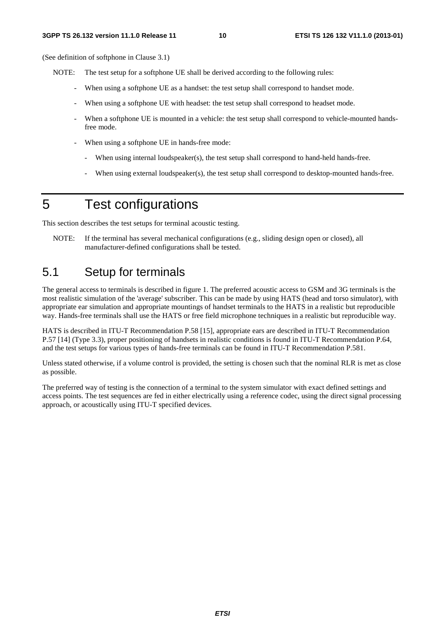(See definition of softphone in Clause 3.1)

- NOTE: The test setup for a softphone UE shall be derived according to the following rules:
	- When using a softphone UE as a handset: the test setup shall correspond to handset mode.
	- When using a softphone UE with headset: the test setup shall correspond to headset mode.
	- When a softphone UE is mounted in a vehicle: the test setup shall correspond to vehicle-mounted handsfree mode.
	- When using a softphone UE in hands-free mode:
		- When using internal loudspeaker(s), the test setup shall correspond to hand-held hands-free.
		- When using external loudspeaker(s), the test setup shall correspond to desktop-mounted hands-free.

## 5 Test configurations

This section describes the test setups for terminal acoustic testing.

NOTE: If the terminal has several mechanical configurations (e.g., sliding design open or closed), all manufacturer-defined configurations shall be tested.

## 5.1 Setup for terminals

The general access to terminals is described in figure 1. The preferred acoustic access to GSM and 3G terminals is the most realistic simulation of the 'average' subscriber. This can be made by using HATS (head and torso simulator), with appropriate ear simulation and appropriate mountings of handset terminals to the HATS in a realistic but reproducible way. Hands-free terminals shall use the HATS or free field microphone techniques in a realistic but reproducible way.

HATS is described in ITU-T Recommendation P.58 [15], appropriate ears are described in ITU-T Recommendation P.57 [14] (Type 3.3), proper positioning of handsets in realistic conditions is found in ITU-T Recommendation P.64, and the test setups for various types of hands-free terminals can be found in ITU-T Recommendation P.581.

Unless stated otherwise, if a volume control is provided, the setting is chosen such that the nominal RLR is met as close as possible.

The preferred way of testing is the connection of a terminal to the system simulator with exact defined settings and access points. The test sequences are fed in either electrically using a reference codec, using the direct signal processing approach, or acoustically using ITU-T specified devices.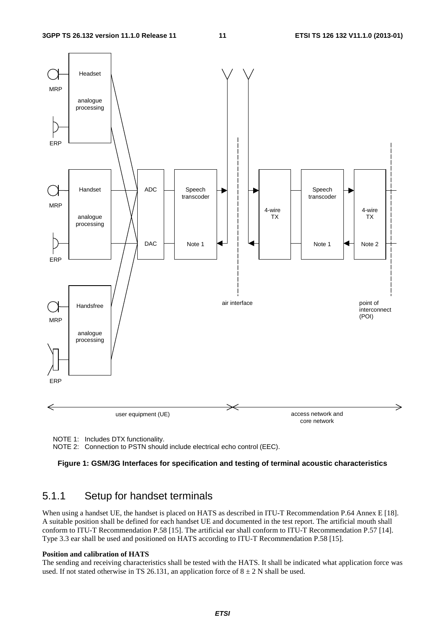

NOTE 1: Includes DTX functionality.

NOTE 2: Connection to PSTN should include electrical echo control (EEC).

#### **Figure 1: GSM/3G Interfaces for specification and testing of terminal acoustic characteristics**

### 5.1.1 Setup for handset terminals

When using a handset UE, the handset is placed on HATS as described in ITU-T Recommendation P.64 Annex E [18]. A suitable position shall be defined for each handset UE and documented in the test report. The artificial mouth shall conform to ITU-T Recommendation P.58 [15]. The artificial ear shall conform to ITU-T Recommendation P.57 [14]. Type 3.3 ear shall be used and positioned on HATS according to ITU-T Recommendation P.58 [15].

#### **Position and calibration of HATS**

The sending and receiving characteristics shall be tested with the HATS. It shall be indicated what application force was used. If not stated otherwise in TS 26.131, an application force of  $8 \pm 2$  N shall be used.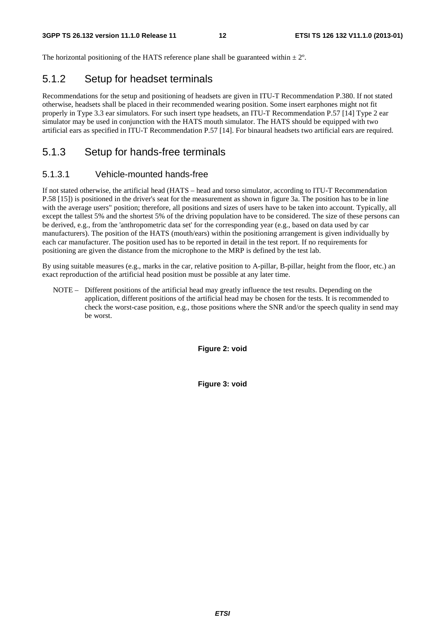The horizontal positioning of the HATS reference plane shall be guaranteed within  $\pm 2^{\circ}$ .

### 5.1.2 Setup for headset terminals

Recommendations for the setup and positioning of headsets are given in ITU-T Recommendation P.380. If not stated otherwise, headsets shall be placed in their recommended wearing position. Some insert earphones might not fit properly in Type 3.3 ear simulators. For such insert type headsets, an ITU-T Recommendation P.57 [14] Type 2 ear simulator may be used in conjunction with the HATS mouth simulator. The HATS should be equipped with two artificial ears as specified in ITU-T Recommendation P.57 [14]. For binaural headsets two artificial ears are required.

### 5.1.3 Setup for hands-free terminals

#### 5.1.3.1 Vehicle-mounted hands-free

If not stated otherwise, the artificial head (HATS – head and torso simulator, according to ITU-T Recommendation P.58 [15]) is positioned in the driver's seat for the measurement as shown in figure 3a. The position has to be in line with the average users" position; therefore, all positions and sizes of users have to be taken into account. Typically, all except the tallest 5% and the shortest 5% of the driving population have to be considered. The size of these persons can be derived, e.g., from the 'anthropometric data set' for the corresponding year (e.g., based on data used by car manufacturers). The position of the HATS (mouth/ears) within the positioning arrangement is given individually by each car manufacturer. The position used has to be reported in detail in the test report. If no requirements for positioning are given the distance from the microphone to the MRP is defined by the test lab.

By using suitable measures (e.g., marks in the car, relative position to A-pillar, B-pillar, height from the floor, etc.) an exact reproduction of the artificial head position must be possible at any later time.

NOTE – Different positions of the artificial head may greatly influence the test results. Depending on the application, different positions of the artificial head may be chosen for the tests. It is recommended to check the worst-case position, e.g., those positions where the SNR and/or the speech quality in send may be worst.

**Figure 2: void** 

**Figure 3: void**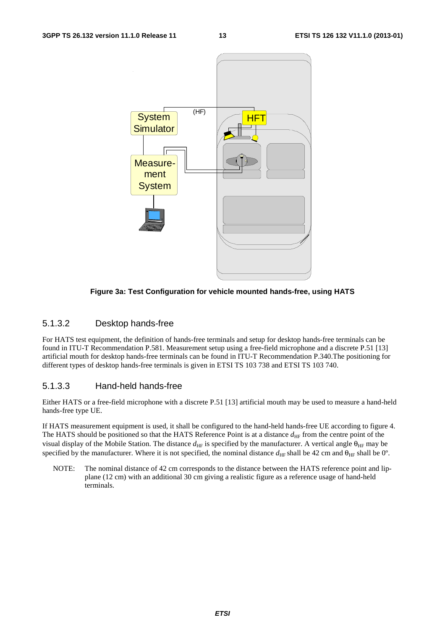

**Figure 3a: Test Configuration for vehicle mounted hands-free, using HATS** 

#### 5.1.3.2 Desktop hands-free

For HATS test equipment, the definition of hands-free terminals and setup for desktop hands-free terminals can be found in ITU-T Recommendation P.581. Measurement setup using a free-field microphone and a discrete P.51 [13] artificial mouth for desktop hands-free terminals can be found in ITU-T Recommendation P.340.The positioning for different types of desktop hands-free terminals is given in ETSI TS 103 738 and ETSI TS 103 740.

### 5.1.3.3 Hand-held hands-free

Either HATS or a free-field microphone with a discrete P.51 [13] artificial mouth may be used to measure a hand-held hands-free type UE.

If HATS measurement equipment is used, it shall be configured to the hand-held hands-free UE according to figure 4. The HATS should be positioned so that the HATS Reference Point is at a distance  $d_{HF}$  from the centre point of the visual display of the Mobile Station. The distance  $d_{\text{HF}}$  is specified by the manufacturer. A vertical angle  $\theta_{\text{HF}}$  may be specified by the manufacturer. Where it is not specified, the nominal distance  $d_{\text{HF}}$  shall be 42 cm and  $\theta_{\text{HF}}$  shall be 0°.

NOTE: The nominal distance of 42 cm corresponds to the distance between the HATS reference point and lipplane (12 cm) with an additional 30 cm giving a realistic figure as a reference usage of hand-held terminals.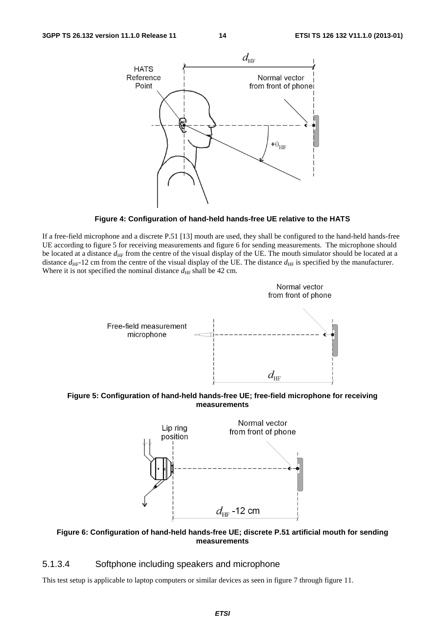

**Figure 4: Configuration of hand-held hands-free UE relative to the HATS** 

If a free-field microphone and a discrete P.51 [13] mouth are used, they shall be configured to the hand-held hands-free UE according to figure 5 for receiving measurements and figure 6 for sending measurements. The microphone should be located at a distance  $d_{\text{HF}}$  from the centre of the visual display of the UE. The mouth simulator should be located at a distance  $d_{\text{HF}}$ -12 cm from the centre of the visual display of the UE. The distance  $d_{\text{HF}}$  is specified by the manufacturer. Where it is not specified the nominal distance  $d_{\text{HF}}$  shall be 42 cm.



**Figure 5: Configuration of hand-held hands-free UE; free-field microphone for receiving measurements** 



**Figure 6: Configuration of hand-held hands-free UE; discrete P.51 artificial mouth for sending measurements** 

#### 5.1.3.4 Softphone including speakers and microphone

This test setup is applicable to laptop computers or similar devices as seen in figure 7 through figure 11.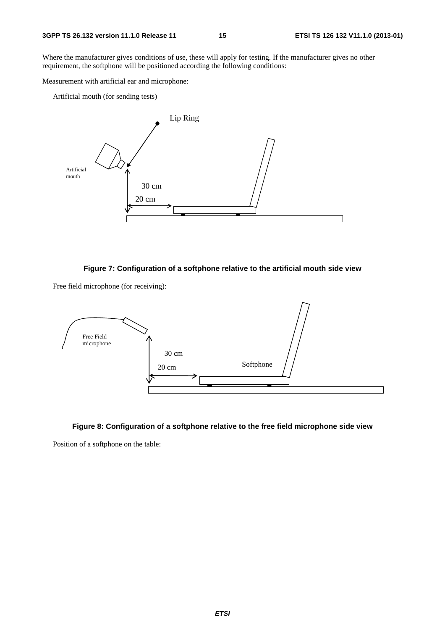Where the manufacturer gives conditions of use, these will apply for testing. If the manufacturer gives no other requirement, the softphone will be positioned according the following conditions:

Measurement with artificial ear and microphone:

Artificial mouth (for sending tests)



#### **Figure 7: Configuration of a softphone relative to the artificial mouth side view**

Free field microphone (for receiving):



#### **Figure 8: Configuration of a softphone relative to the free field microphone side view**

Position of a softphone on the table: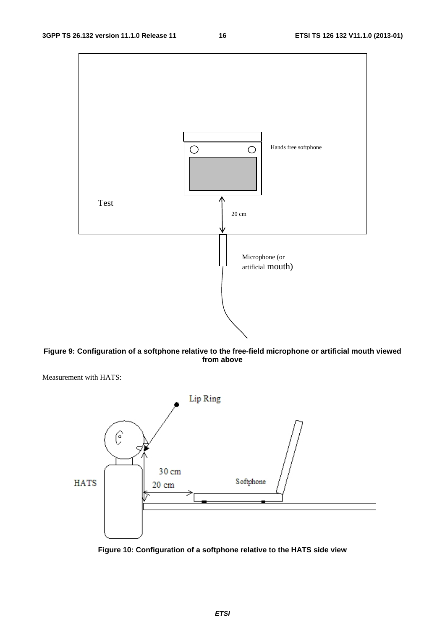

**Figure 9: Configuration of a softphone relative to the free-field microphone or artificial mouth viewed from above** 

Measurement with HATS:



**Figure 10: Configuration of a softphone relative to the HATS side view**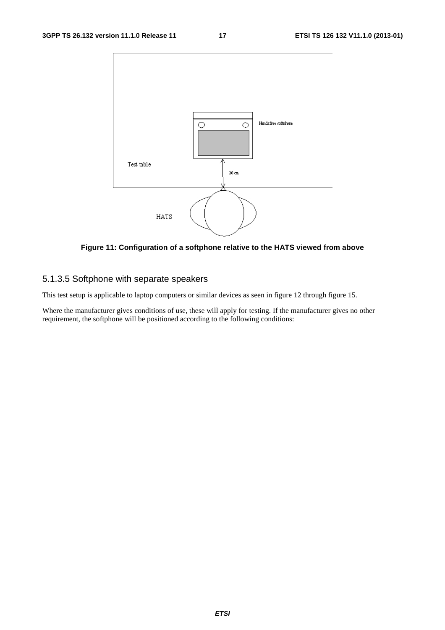

**Figure 11: Configuration of a softphone relative to the HATS viewed from above** 

### 5.1.3.5 Softphone with separate speakers

This test setup is applicable to laptop computers or similar devices as seen in figure 12 through figure 15.

Where the manufacturer gives conditions of use, these will apply for testing. If the manufacturer gives no other requirement, the softphone will be positioned according to the following conditions: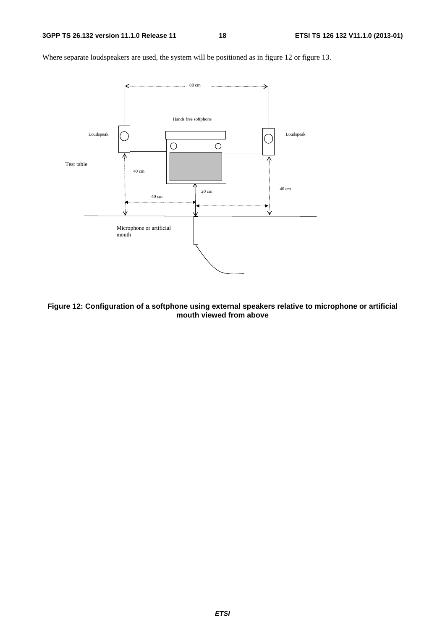

Where separate loudspeakers are used, the system will be positioned as in figure 12 or figure 13.

**Figure 12: Configuration of a softphone using external speakers relative to microphone or artificial mouth viewed from above**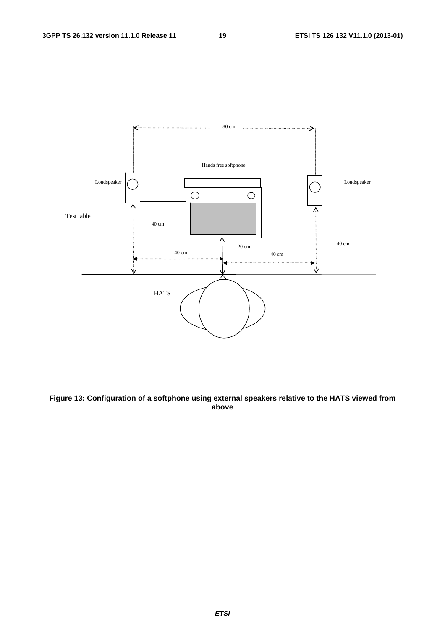

**Figure 13: Configuration of a softphone using external speakers relative to the HATS viewed from above** 

*ETSI*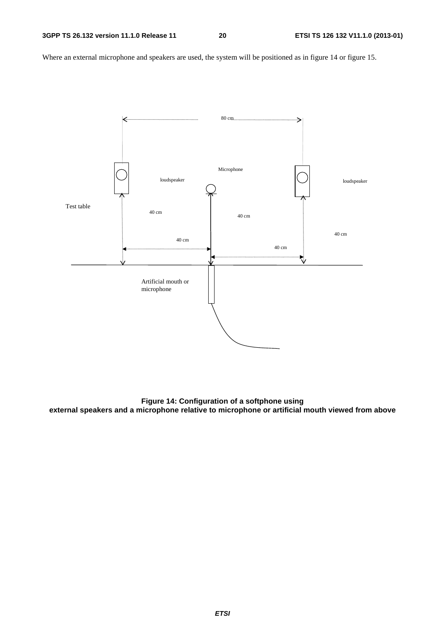Where an external microphone and speakers are used, the system will be positioned as in figure 14 or figure 15.



**Figure 14: Configuration of a softphone using external speakers and a microphone relative to microphone or artificial mouth viewed from above**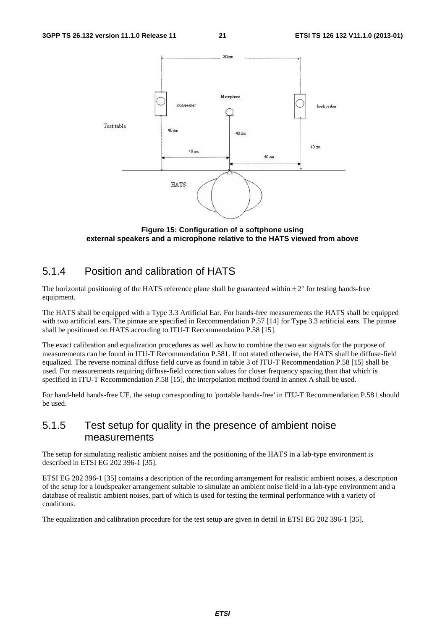

**Figure 15: Configuration of a softphone using external speakers and a microphone relative to the HATS viewed from above** 

### 5.1.4 Position and calibration of HATS

The horizontal positioning of the HATS reference plane shall be guaranteed within  $\pm 2^{\circ}$  for testing hands-free equipment.

The HATS shall be equipped with a Type 3.3 Artificial Ear. For hands-free measurements the HATS shall be equipped with two artificial ears. The pinnae are specified in Recommendation P.57 [14] for Type 3.3 artificial ears. The pinnae shall be positioned on HATS according to ITU-T Recommendation P.58 [15].

The exact calibration and equalization procedures as well as how to combine the two ear signals for the purpose of measurements can be found in ITU-T Recommendation P.581. If not stated otherwise, the HATS shall be diffuse-field equalized. The reverse nominal diffuse field curve as found in table 3 of ITU-T Recommendation P.58 [15] shall be used. For measurements requiring diffuse-field correction values for closer frequency spacing than that which is specified in ITU-T Recommendation P.58 [15], the interpolation method found in annex A shall be used.

For hand-held hands-free UE, the setup corresponding to 'portable hands-free' in ITU-T Recommendation P.581 should be used.

### 5.1.5 Test setup for quality in the presence of ambient noise measurements

The setup for simulating realistic ambient noises and the positioning of the HATS in a lab-type environment is described in ETSI EG 202 396-1 [35].

ETSI EG 202 396-1 [35] contains a description of the recording arrangement for realistic ambient noises, a description of the setup for a loudspeaker arrangement suitable to simulate an ambient noise field in a lab-type environment and a database of realistic ambient noises, part of which is used for testing the terminal performance with a variety of conditions.

The equalization and calibration procedure for the test setup are given in detail in ETSI EG 202 396-1 [35].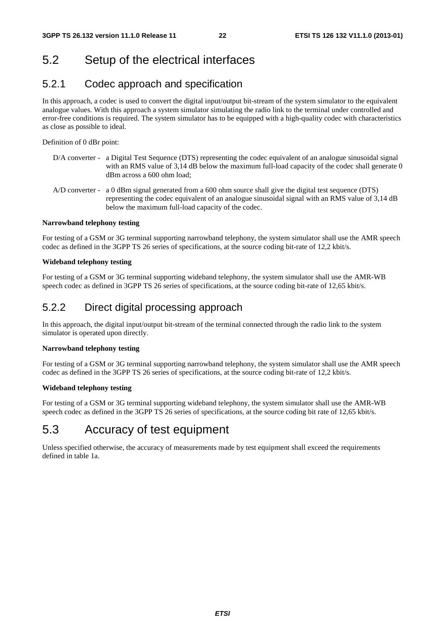## 5.2 Setup of the electrical interfaces

### 5.2.1 Codec approach and specification

In this approach, a codec is used to convert the digital input/output bit-stream of the system simulator to the equivalent analogue values. With this approach a system simulator simulating the radio link to the terminal under controlled and error-free conditions is required. The system simulator has to be equipped with a high-quality codec with characteristics as close as possible to ideal.

Definition of 0 dBr point:

- D/A converter a Digital Test Sequence (DTS) representing the codec equivalent of an analogue sinusoidal signal with an RMS value of 3,14 dB below the maximum full-load capacity of the codec shall generate 0 dBm across a 600 ohm load;
- A/D converter a 0 dBm signal generated from a 600 ohm source shall give the digital test sequence (DTS) representing the codec equivalent of an analogue sinusoidal signal with an RMS value of 3,14 dB below the maximum full-load capacity of the codec.

#### **Narrowband telephony testing**

For testing of a GSM or 3G terminal supporting narrowband telephony, the system simulator shall use the AMR speech codec as defined in the 3GPP TS 26 series of specifications, at the source coding bit-rate of 12,2 kbit/s.

#### **Wideband telephony testing**

For testing of a GSM or 3G terminal supporting wideband telephony, the system simulator shall use the AMR-WB speech codec as defined in 3GPP TS 26 series of specifications, at the source coding bit-rate of 12,65 kbit/s.

### 5.2.2 Direct digital processing approach

In this approach, the digital input/output bit-stream of the terminal connected through the radio link to the system simulator is operated upon directly.

#### **Narrowband telephony testing**

For testing of a GSM or 3G terminal supporting narrowband telephony, the system simulator shall use the AMR speech codec as defined in the 3GPP TS 26 series of specifications, at the source coding bit-rate of 12,2 kbit/s.

#### **Wideband telephony testing**

For testing of a GSM or 3G terminal supporting wideband telephony, the system simulator shall use the AMR-WB speech codec as defined in the 3GPP TS 26 series of specifications, at the source coding bit rate of 12,65 kbit/s.

## 5.3 Accuracy of test equipment

Unless specified otherwise, the accuracy of measurements made by test equipment shall exceed the requirements defined in table 1a.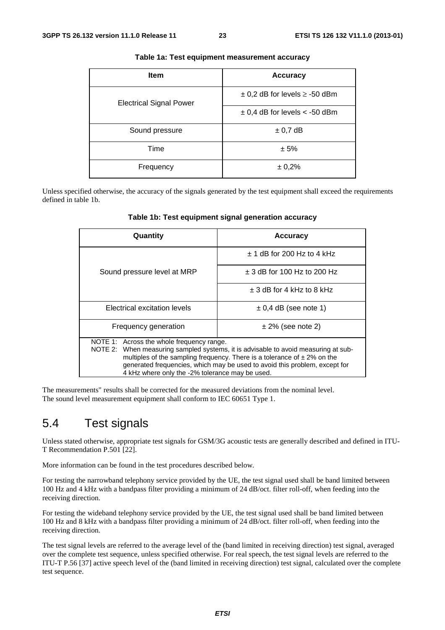| <b>Item</b>                    | <b>Accuracy</b>                       |
|--------------------------------|---------------------------------------|
| <b>Electrical Signal Power</b> | $\pm$ 0,2 dB for levels $\ge$ -50 dBm |
|                                | $\pm$ 0,4 dB for levels < -50 dBm     |
| Sound pressure                 | $\pm$ 0,7 dB                          |
| Time                           | ± 5%                                  |
| Frequency                      | ± 0,2%                                |

#### **Table 1a: Test equipment measurement accuracy**

Unless specified otherwise, the accuracy of the signals generated by the test equipment shall exceed the requirements defined in table 1b.

| Quantity                                                                                                                                                                                                                                                                                                                                          | <b>Accuracy</b>                 |
|---------------------------------------------------------------------------------------------------------------------------------------------------------------------------------------------------------------------------------------------------------------------------------------------------------------------------------------------------|---------------------------------|
|                                                                                                                                                                                                                                                                                                                                                   | $\pm$ 1 dB for 200 Hz to 4 kHz  |
| Sound pressure level at MRP                                                                                                                                                                                                                                                                                                                       | $\pm$ 3 dB for 100 Hz to 200 Hz |
|                                                                                                                                                                                                                                                                                                                                                   | $\pm$ 3 dB for 4 kHz to 8 kHz   |
| Electrical excitation levels                                                                                                                                                                                                                                                                                                                      | $\pm$ 0,4 dB (see note 1)       |
| Frequency generation                                                                                                                                                                                                                                                                                                                              | $\pm$ 2% (see note 2)           |
| NOTE 1: Across the whole frequency range.<br>NOTE 2: When measuring sampled systems, it is advisable to avoid measuring at sub-<br>multiples of the sampling frequency. There is a tolerance of $\pm 2\%$ on the<br>generated frequencies, which may be used to avoid this problem, except for<br>4 kHz where only the -2% tolerance may be used. |                                 |

**Table 1b: Test equipment signal generation accuracy** 

The measurements" results shall be corrected for the measured deviations from the nominal level. The sound level measurement equipment shall conform to IEC 60651 Type 1.

### 5.4 Test signals

Unless stated otherwise, appropriate test signals for GSM/3G acoustic tests are generally described and defined in ITU-T Recommendation P.501 [22].

More information can be found in the test procedures described below.

For testing the narrowband telephony service provided by the UE, the test signal used shall be band limited between 100 Hz and 4 kHz with a bandpass filter providing a minimum of 24 dB/oct. filter roll-off, when feeding into the receiving direction.

For testing the wideband telephony service provided by the UE, the test signal used shall be band limited between 100 Hz and 8 kHz with a bandpass filter providing a minimum of 24 dB/oct. filter roll-off, when feeding into the receiving direction.

The test signal levels are referred to the average level of the (band limited in receiving direction) test signal, averaged over the complete test sequence, unless specified otherwise. For real speech, the test signal levels are referred to the ITU-T P.56 [37] active speech level of the (band limited in receiving direction) test signal, calculated over the complete test sequence.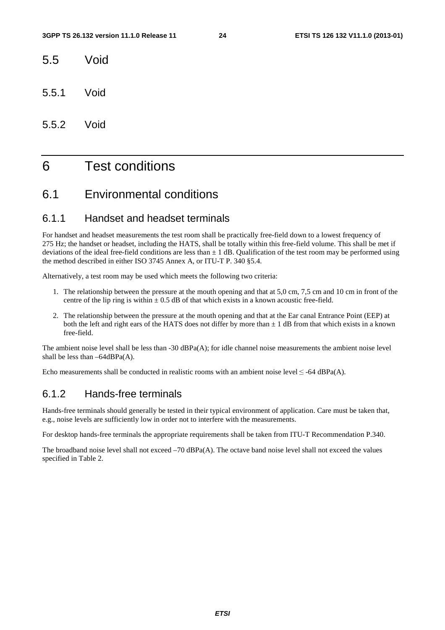- 5.5 Void
- 5.5.1 Void
- 5.5.2 Void

## 6 Test conditions

### 6.1 Environmental conditions

### 6.1.1 Handset and headset terminals

For handset and headset measurements the test room shall be practically free-field down to a lowest frequency of 275 Hz; the handset or headset, including the HATS, shall be totally within this free-field volume. This shall be met if deviations of the ideal free-field conditions are less than  $\pm 1$  dB. Qualification of the test room may be performed using the method described in either ISO 3745 Annex A, or ITU-T P. 340 §5.4.

Alternatively, a test room may be used which meets the following two criteria:

- 1. The relationship between the pressure at the mouth opening and that at 5,0 cm, 7,5 cm and 10 cm in front of the centre of the lip ring is within  $\pm$  0.5 dB of that which exists in a known acoustic free-field.
- 2. The relationship between the pressure at the mouth opening and that at the Ear canal Entrance Point (EEP) at both the left and right ears of the HATS does not differ by more than  $\pm 1$  dB from that which exists in a known free-field.

The ambient noise level shall be less than -30 dBPa(A); for idle channel noise measurements the ambient noise level shall be less than  $-64$ d $BPa(A)$ .

Echo measurements shall be conducted in realistic rooms with an ambient noise level  $\leq$  -64 dBPa(A).

### 6.1.2 Hands-free terminals

Hands-free terminals should generally be tested in their typical environment of application. Care must be taken that, e.g., noise levels are sufficiently low in order not to interfere with the measurements.

For desktop hands-free terminals the appropriate requirements shall be taken from ITU-T Recommendation P.340.

The broadband noise level shall not exceed –70 dBPa(A). The octave band noise level shall not exceed the values specified in Table 2.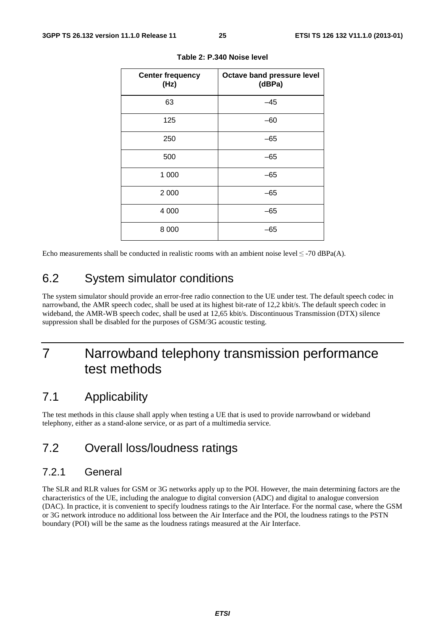| <b>Center frequency</b><br>(Hz) | Octave band pressure level<br>(dBPa) |
|---------------------------------|--------------------------------------|
| 63                              | $-45$                                |
| 125                             | $-60$                                |
| 250                             | $-65$                                |
| 500                             | $-65$                                |
| 1 0 0 0                         | $-65$                                |
| 2 0 0 0                         | $-65$                                |
| 4 0 0 0                         | $-65$                                |
| 8 0 0 0                         | -65                                  |

**Table 2: P.340 Noise level** 

Echo measurements shall be conducted in realistic rooms with an ambient noise level  $\leq$  -70 dBPa(A).

## 6.2 System simulator conditions

The system simulator should provide an error-free radio connection to the UE under test. The default speech codec in narrowband, the AMR speech codec, shall be used at its highest bit-rate of 12,2 kbit/s. The default speech codec in wideband, the AMR-WB speech codec, shall be used at 12,65 kbit/s. Discontinuous Transmission (DTX) silence suppression shall be disabled for the purposes of GSM/3G acoustic testing.

## 7 Narrowband telephony transmission performance test methods

### 7.1 Applicability

The test methods in this clause shall apply when testing a UE that is used to provide narrowband or wideband telephony, either as a stand-alone service, or as part of a multimedia service.

### 7.2 Overall loss/loudness ratings

### 7.2.1 General

The SLR and RLR values for GSM or 3G networks apply up to the POI. However, the main determining factors are the characteristics of the UE, including the analogue to digital conversion (ADC) and digital to analogue conversion (DAC). In practice, it is convenient to specify loudness ratings to the Air Interface. For the normal case, where the GSM or 3G network introduce no additional loss between the Air Interface and the POI, the loudness ratings to the PSTN boundary (POI) will be the same as the loudness ratings measured at the Air Interface.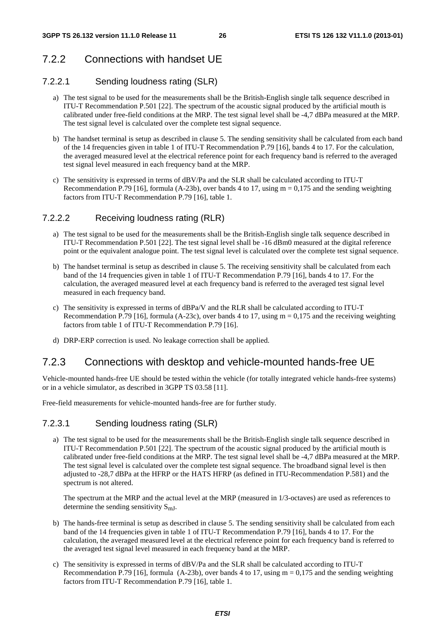## 7.2.2 Connections with handset UE

### 7.2.2.1 Sending loudness rating (SLR)

- a) The test signal to be used for the measurements shall be the British-English single talk sequence described in ITU-T Recommendation P.501 [22]. The spectrum of the acoustic signal produced by the artificial mouth is calibrated under free-field conditions at the MRP. The test signal level shall be -4,7 dBPa measured at the MRP. The test signal level is calculated over the complete test signal sequence.
- b) The handset terminal is setup as described in clause 5. The sending sensitivity shall be calculated from each band of the 14 frequencies given in table 1 of ITU-T Recommendation P.79 [16], bands 4 to 17. For the calculation, the averaged measured level at the electrical reference point for each frequency band is referred to the averaged test signal level measured in each frequency band at the MRP.
- c) The sensitivity is expressed in terms of dBV/Pa and the SLR shall be calculated according to ITU-T Recommendation P.79 [16], formula (A-23b), over bands 4 to 17, using  $m = 0,175$  and the sending weighting factors from ITU-T Recommendation P.79 [16], table 1.

### 7.2.2.2 Receiving loudness rating (RLR)

- a) The test signal to be used for the measurements shall be the British-English single talk sequence described in ITU-T Recommendation P.501 [22]. The test signal level shall be -16 dBm0 measured at the digital reference point or the equivalent analogue point. The test signal level is calculated over the complete test signal sequence.
- b) The handset terminal is setup as described in clause 5. The receiving sensitivity shall be calculated from each band of the 14 frequencies given in table 1 of ITU-T Recommendation P.79 [16], bands 4 to 17. For the calculation, the averaged measured level at each frequency band is referred to the averaged test signal level measured in each frequency band.
- c) The sensitivity is expressed in terms of dBPa/V and the RLR shall be calculated according to ITU-T Recommendation P.79 [16], formula (A-23c), over bands 4 to 17, using  $m = 0.175$  and the receiving weighting factors from table 1 of ITU-T Recommendation P.79 [16].
- d) DRP-ERP correction is used. No leakage correction shall be applied.

### 7.2.3 Connections with desktop and vehicle-mounted hands-free UE

Vehicle-mounted hands-free UE should be tested within the vehicle (for totally integrated vehicle hands-free systems) or in a vehicle simulator, as described in 3GPP TS 03.58 [11].

Free-field measurements for vehicle-mounted hands-free are for further study.

#### 7.2.3.1 Sending loudness rating (SLR)

a) The test signal to be used for the measurements shall be the British-English single talk sequence described in ITU-T Recommendation P.501 [22]. The spectrum of the acoustic signal produced by the artificial mouth is calibrated under free-field conditions at the MRP. The test signal level shall be -4,7 dBPa measured at the MRP. The test signal level is calculated over the complete test signal sequence. The broadband signal level is then adjusted to -28,7 dBPa at the HFRP or the HATS HFRP (as defined in ITU-Recommendation P.581) and the spectrum is not altered.

The spectrum at the MRP and the actual level at the MRP (measured in 1/3-octaves) are used as references to determine the sending sensitivity  $S_{mJ}$ .

- b) The hands-free terminal is setup as described in clause 5. The sending sensitivity shall be calculated from each band of the 14 frequencies given in table 1 of ITU-T Recommendation P.79 [16], bands 4 to 17. For the calculation, the averaged measured level at the electrical reference point for each frequency band is referred to the averaged test signal level measured in each frequency band at the MRP.
- c) The sensitivity is expressed in terms of dBV/Pa and the SLR shall be calculated according to ITU-T Recommendation P.79 [16], formula  $(A-23b)$ , over bands 4 to 17, using m = 0,175 and the sending weighting factors from ITU-T Recommendation P.79 [16], table 1.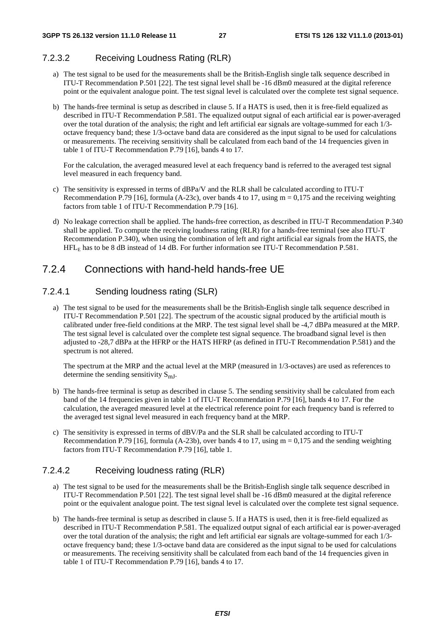### 7.2.3.2 Receiving Loudness Rating (RLR)

- a) The test signal to be used for the measurements shall be the British-English single talk sequence described in ITU-T Recommendation P.501 [22]. The test signal level shall be -16 dBm0 measured at the digital reference point or the equivalent analogue point. The test signal level is calculated over the complete test signal sequence.
- b) The hands-free terminal is setup as described in clause 5. If a HATS is used, then it is free-field equalized as described in ITU-T Recommendation P.581. The equalized output signal of each artificial ear is power-averaged over the total duration of the analysis; the right and left artificial ear signals are voltage-summed for each 1/3 octave frequency band; these 1/3-octave band data are considered as the input signal to be used for calculations or measurements. The receiving sensitivity shall be calculated from each band of the 14 frequencies given in table 1 of ITU-T Recommendation P.79 [16], bands 4 to 17.

For the calculation, the averaged measured level at each frequency band is referred to the averaged test signal level measured in each frequency band.

- c) The sensitivity is expressed in terms of dBPa/V and the RLR shall be calculated according to ITU-T Recommendation P.79 [16], formula (A-23c), over bands 4 to 17, using  $m = 0.175$  and the receiving weighting factors from table 1 of ITU-T Recommendation P.79 [16].
- d) No leakage correction shall be applied. The hands-free correction, as described in ITU-T Recommendation P.340 shall be applied. To compute the receiving loudness rating (RLR) for a hands-free terminal (see also ITU-T Recommendation P.340), when using the combination of left and right artificial ear signals from the HATS, the HFLE has to be 8 dB instead of 14 dB. For further information see ITU-T Recommendation P.581.

## 7.2.4 Connections with hand-held hands-free UE

### 7.2.4.1 Sending loudness rating (SLR)

a) The test signal to be used for the measurements shall be the British-English single talk sequence described in ITU-T Recommendation P.501 [22]. The spectrum of the acoustic signal produced by the artificial mouth is calibrated under free-field conditions at the MRP. The test signal level shall be -4,7 dBPa measured at the MRP. The test signal level is calculated over the complete test signal sequence. The broadband signal level is then adjusted to -28,7 dBPa at the HFRP or the HATS HFRP (as defined in ITU-T Recommendation P.581) and the spectrum is not altered.

The spectrum at the MRP and the actual level at the MRP (measured in 1/3-octaves) are used as references to determine the sending sensitivity  $S_{mJ}$ .

- b) The hands-free terminal is setup as described in clause 5. The sending sensitivity shall be calculated from each band of the 14 frequencies given in table 1 of ITU-T Recommendation P.79 [16], bands 4 to 17. For the calculation, the averaged measured level at the electrical reference point for each frequency band is referred to the averaged test signal level measured in each frequency band at the MRP.
- c) The sensitivity is expressed in terms of dBV/Pa and the SLR shall be calculated according to ITU-T Recommendation P.79 [16], formula (A-23b), over bands 4 to 17, using  $m = 0.175$  and the sending weighting factors from ITU-T Recommendation P.79 [16], table 1.

### 7.2.4.2 Receiving loudness rating (RLR)

- a) The test signal to be used for the measurements shall be the British-English single talk sequence described in ITU-T Recommendation P.501 [22]. The test signal level shall be -16 dBm0 measured at the digital reference point or the equivalent analogue point. The test signal level is calculated over the complete test signal sequence.
- b) The hands-free terminal is setup as described in clause 5. If a HATS is used, then it is free-field equalized as described in ITU-T Recommendation P.581. The equalized output signal of each artificial ear is power-averaged over the total duration of the analysis; the right and left artificial ear signals are voltage-summed for each 1/3 octave frequency band; these 1/3-octave band data are considered as the input signal to be used for calculations or measurements. The receiving sensitivity shall be calculated from each band of the 14 frequencies given in table 1 of ITU-T Recommendation P.79 [16], bands 4 to 17.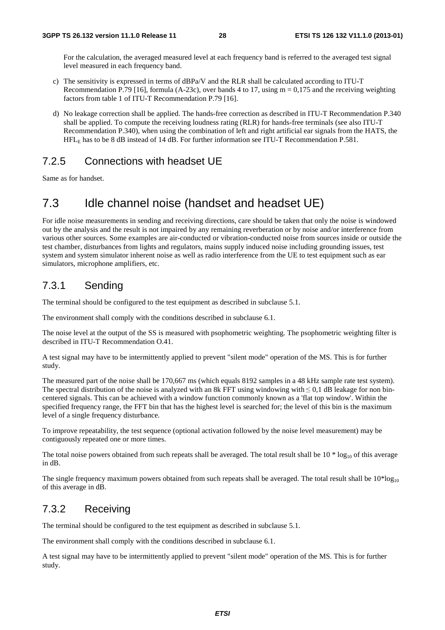For the calculation, the averaged measured level at each frequency band is referred to the averaged test signal level measured in each frequency band.

- c) The sensitivity is expressed in terms of dBPa/V and the RLR shall be calculated according to ITU-T Recommendation P.79 [16], formula (A-23c), over bands 4 to 17, using  $m = 0.175$  and the receiving weighting factors from table 1 of ITU-T Recommendation P.79 [16].
- d) No leakage correction shall be applied. The hands-free correction as described in ITU-T Recommendation P.340 shall be applied. To compute the receiving loudness rating (RLR) for hands-free terminals (see also ITU-T Recommendation P.340), when using the combination of left and right artificial ear signals from the HATS, the HFLE has to be 8 dB instead of 14 dB. For further information see ITU-T Recommendation P.581.

### 7.2.5 Connections with headset UE

Same as for handset.

## 7.3 Idle channel noise (handset and headset UE)

For idle noise measurements in sending and receiving directions, care should be taken that only the noise is windowed out by the analysis and the result is not impaired by any remaining reverberation or by noise and/or interference from various other sources. Some examples are air-conducted or vibration-conducted noise from sources inside or outside the test chamber, disturbances from lights and regulators, mains supply induced noise including grounding issues, test system and system simulator inherent noise as well as radio interference from the UE to test equipment such as ear simulators, microphone amplifiers, etc.

### 7.3.1 Sending

The terminal should be configured to the test equipment as described in subclause 5.1.

The environment shall comply with the conditions described in subclause 6.1.

The noise level at the output of the SS is measured with psophometric weighting. The psophometric weighting filter is described in ITU-T Recommendation O.41.

A test signal may have to be intermittently applied to prevent "silent mode" operation of the MS. This is for further study.

The measured part of the noise shall be 170,667 ms (which equals 8192 samples in a 48 kHz sample rate test system). The spectral distribution of the noise is analyzed with an 8k FFT using windowing with ≤0,1 dB leakage for non bincentered signals. This can be achieved with a window function commonly known as a 'flat top window'. Within the specified frequency range, the FFT bin that has the highest level is searched for; the level of this bin is the maximum level of a single frequency disturbance.

To improve repeatability, the test sequence (optional activation followed by the noise level measurement) may be contiguously repeated one or more times.

The total noise powers obtained from such repeats shall be averaged. The total result shall be  $10 * log_{10}$  of this average in dB.

The single frequency maximum powers obtained from such repeats shall be averaged. The total result shall be  $10*log_{10}$ of this average in dB.

### 7.3.2 Receiving

The terminal should be configured to the test equipment as described in subclause 5.1.

The environment shall comply with the conditions described in subclause 6.1.

A test signal may have to be intermittently applied to prevent "silent mode" operation of the MS. This is for further study.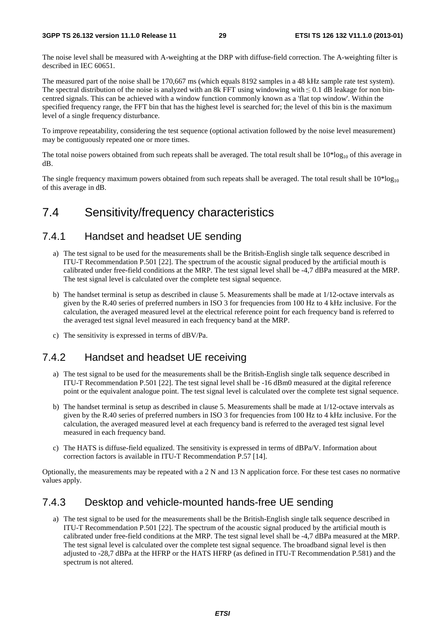The noise level shall be measured with A-weighting at the DRP with diffuse-field correction. The A-weighting filter is described in IEC 60651.

The measured part of the noise shall be 170,667 ms (which equals 8192 samples in a 48 kHz sample rate test system). The spectral distribution of the noise is analyzed with an 8k FFT using windowing with  $\leq 0.1$  dB leakage for non bincentred signals. This can be achieved with a window function commonly known as a 'flat top window'. Within the specified frequency range, the FFT bin that has the highest level is searched for; the level of this bin is the maximum level of a single frequency disturbance.

To improve repeatability, considering the test sequence (optional activation followed by the noise level measurement) may be contiguously repeated one or more times.

The total noise powers obtained from such repeats shall be averaged. The total result shall be  $10*log_{10}$  of this average in dB.

The single frequency maximum powers obtained from such repeats shall be averaged. The total result shall be  $10*log_{10}$ of this average in dB.

## 7.4 Sensitivity/frequency characteristics

### 7.4.1 Handset and headset UE sending

- a) The test signal to be used for the measurements shall be the British-English single talk sequence described in ITU-T Recommendation P.501 [22]. The spectrum of the acoustic signal produced by the artificial mouth is calibrated under free-field conditions at the MRP. The test signal level shall be -4,7 dBPa measured at the MRP. The test signal level is calculated over the complete test signal sequence.
- b) The handset terminal is setup as described in clause 5. Measurements shall be made at 1/12-octave intervals as given by the R.40 series of preferred numbers in ISO 3 for frequencies from 100 Hz to 4 kHz inclusive. For the calculation, the averaged measured level at the electrical reference point for each frequency band is referred to the averaged test signal level measured in each frequency band at the MRP.
- c) The sensitivity is expressed in terms of dBV/Pa.

### 7.4.2 Handset and headset UE receiving

- a) The test signal to be used for the measurements shall be the British-English single talk sequence described in ITU-T Recommendation P.501 [22]. The test signal level shall be -16 dBm0 measured at the digital reference point or the equivalent analogue point. The test signal level is calculated over the complete test signal sequence.
- b) The handset terminal is setup as described in clause 5. Measurements shall be made at 1/12-octave intervals as given by the R.40 series of preferred numbers in ISO 3 for frequencies from 100 Hz to 4 kHz inclusive. For the calculation, the averaged measured level at each frequency band is referred to the averaged test signal level measured in each frequency band.
- c) The HATS is diffuse-field equalized. The sensitivity is expressed in terms of dBPa/V. Information about correction factors is available in ITU-T Recommendation P.57 [14].

Optionally, the measurements may be repeated with a 2 N and 13 N application force. For these test cases no normative values apply.

### 7.4.3 Desktop and vehicle-mounted hands-free UE sending

a) The test signal to be used for the measurements shall be the British-English single talk sequence described in ITU-T Recommendation P.501 [22]. The spectrum of the acoustic signal produced by the artificial mouth is calibrated under free-field conditions at the MRP. The test signal level shall be -4,7 dBPa measured at the MRP. The test signal level is calculated over the complete test signal sequence. The broadband signal level is then adjusted to -28,7 dBPa at the HFRP or the HATS HFRP (as defined in ITU-T Recommendation P.581) and the spectrum is not altered.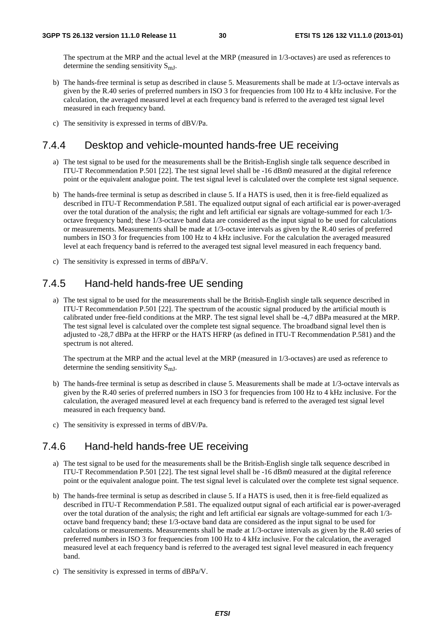The spectrum at the MRP and the actual level at the MRP (measured in 1/3-octaves) are used as references to determine the sending sensitivity  $S_{mJ}$ .

- b) The hands-free terminal is setup as described in clause 5. Measurements shall be made at 1/3-octave intervals as given by the R.40 series of preferred numbers in ISO 3 for frequencies from 100 Hz to 4 kHz inclusive. For the calculation, the averaged measured level at each frequency band is referred to the averaged test signal level measured in each frequency band.
- c) The sensitivity is expressed in terms of dBV/Pa.

### 7.4.4 Desktop and vehicle-mounted hands-free UE receiving

- a) The test signal to be used for the measurements shall be the British-English single talk sequence described in ITU-T Recommendation P.501 [22]. The test signal level shall be -16 dBm0 measured at the digital reference point or the equivalent analogue point. The test signal level is calculated over the complete test signal sequence.
- b) The hands-free terminal is setup as described in clause 5. If a HATS is used, then it is free-field equalized as described in ITU-T Recommendation P.581. The equalized output signal of each artificial ear is power-averaged over the total duration of the analysis; the right and left artificial ear signals are voltage-summed for each 1/3 octave frequency band; these 1/3-octave band data are considered as the input signal to be used for calculations or measurements. Measurements shall be made at 1/3-octave intervals as given by the R.40 series of preferred numbers in ISO 3 for frequencies from 100 Hz to 4 kHz inclusive. For the calculation the averaged measured level at each frequency band is referred to the averaged test signal level measured in each frequency band.
- c) The sensitivity is expressed in terms of dBPa/V.

### 7.4.5 Hand-held hands-free UE sending

a) The test signal to be used for the measurements shall be the British-English single talk sequence described in ITU-T Recommendation P.501 [22]. The spectrum of the acoustic signal produced by the artificial mouth is calibrated under free-field conditions at the MRP. The test signal level shall be -4,7 dBPa measured at the MRP. The test signal level is calculated over the complete test signal sequence. The broadband signal level then is adjusted to -28,7 dBPa at the HFRP or the HATS HFRP (as defined in ITU-T Recommendation P.581) and the spectrum is not altered.

The spectrum at the MRP and the actual level at the MRP (measured in 1/3-octaves) are used as reference to determine the sending sensitivity  $S_{mJ}$ .

- b) The hands-free terminal is setup as described in clause 5. Measurements shall be made at 1/3-octave intervals as given by the R.40 series of preferred numbers in ISO 3 for frequencies from 100 Hz to 4 kHz inclusive. For the calculation, the averaged measured level at each frequency band is referred to the averaged test signal level measured in each frequency band.
- c) The sensitivity is expressed in terms of dBV/Pa.

### 7.4.6 Hand-held hands-free UE receiving

- a) The test signal to be used for the measurements shall be the British-English single talk sequence described in ITU-T Recommendation P.501 [22]. The test signal level shall be -16 dBm0 measured at the digital reference point or the equivalent analogue point. The test signal level is calculated over the complete test signal sequence.
- b) The hands-free terminal is setup as described in clause 5. If a HATS is used, then it is free-field equalized as described in ITU-T Recommendation P.581. The equalized output signal of each artificial ear is power-averaged over the total duration of the analysis; the right and left artificial ear signals are voltage-summed for each 1/3 octave band frequency band; these 1/3-octave band data are considered as the input signal to be used for calculations or measurements. Measurements shall be made at 1/3-octave intervals as given by the R.40 series of preferred numbers in ISO 3 for frequencies from 100 Hz to 4 kHz inclusive. For the calculation, the averaged measured level at each frequency band is referred to the averaged test signal level measured in each frequency band.
- c) The sensitivity is expressed in terms of dBPa/V.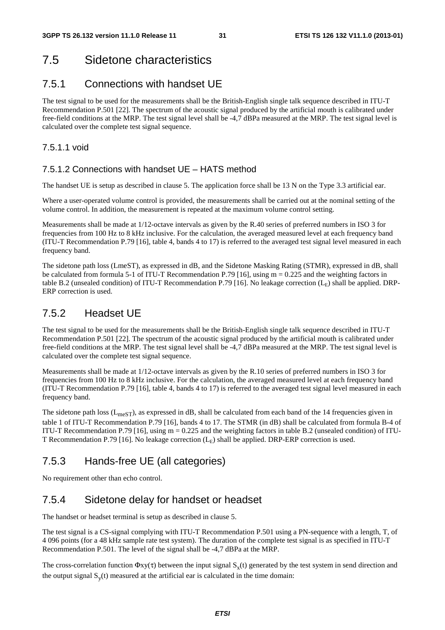## 7.5 Sidetone characteristics

### 7.5.1 Connections with handset UE

The test signal to be used for the measurements shall be the British-English single talk sequence described in ITU-T Recommendation P.501 [22]. The spectrum of the acoustic signal produced by the artificial mouth is calibrated under free-field conditions at the MRP. The test signal level shall be -4,7 dBPa measured at the MRP. The test signal level is calculated over the complete test signal sequence.

### 7.5.1.1 void

### 7.5.1.2 Connections with handset UE – HATS method

The handset UE is setup as described in clause 5. The application force shall be 13 N on the Type 3.3 artificial ear.

Where a user-operated volume control is provided, the measurements shall be carried out at the nominal setting of the volume control. In addition, the measurement is repeated at the maximum volume control setting.

Measurements shall be made at 1/12-octave intervals as given by the R.40 series of preferred numbers in ISO 3 for frequencies from 100 Hz to 8 kHz inclusive. For the calculation, the averaged measured level at each frequency band (ITU-T Recommendation P.79 [16], table 4, bands 4 to 17) is referred to the averaged test signal level measured in each frequency band.

The sidetone path loss (LmeST), as expressed in dB, and the Sidetone Masking Rating (STMR), expressed in dB, shall be calculated from formula 5-1 of ITU-T Recommendation P.79 [16], using  $m = 0.225$  and the weighting factors in table B.2 (unsealed condition) of ITU-T Recommendation P.79 [16]. No leakage correction  $(L_F)$  shall be applied. DRP-ERP correction is used.

### 7.5.2 Headset UE

The test signal to be used for the measurements shall be the British-English single talk sequence described in ITU-T Recommendation P.501 [22]. The spectrum of the acoustic signal produced by the artificial mouth is calibrated under free-field conditions at the MRP. The test signal level shall be -4,7 dBPa measured at the MRP. The test signal level is calculated over the complete test signal sequence.

Measurements shall be made at 1/12-octave intervals as given by the R.10 series of preferred numbers in ISO 3 for frequencies from 100 Hz to 8 kHz inclusive. For the calculation, the averaged measured level at each frequency band (ITU-T Recommendation P.79 [16], table 4, bands 4 to 17) is referred to the averaged test signal level measured in each frequency band.

The sidetone path loss  $(L_{\text{meST}})$ , as expressed in dB, shall be calculated from each band of the 14 frequencies given in table 1 of ITU-T Recommendation P.79 [16], bands 4 to 17. The STMR (in dB) shall be calculated from formula B-4 of ITU-T Recommendation P.79 [16], using  $m = 0.225$  and the weighting factors in table B.2 (unsealed condition) of ITU-T Recommendation P.79 [16]. No leakage correction  $(L<sub>E</sub>)$  shall be applied. DRP-ERP correction is used.

### 7.5.3 Hands-free UE (all categories)

No requirement other than echo control.

### 7.5.4 Sidetone delay for handset or headset

The handset or headset terminal is setup as described in clause 5.

The test signal is a CS-signal complying with ITU-T Recommendation P.501 using a PN-sequence with a length, T, of 4 096 points (for a 48 kHz sample rate test system). The duration of the complete test signal is as specified in ITU-T Recommendation P.501. The level of the signal shall be -4,7 dBPa at the MRP.

The cross-correlation function  $\Phi xy(\tau)$  between the input signal  $S_x(t)$  generated by the test system in send direction and the output signal  $S<sub>v</sub>(t)$  measured at the artificial ear is calculated in the time domain: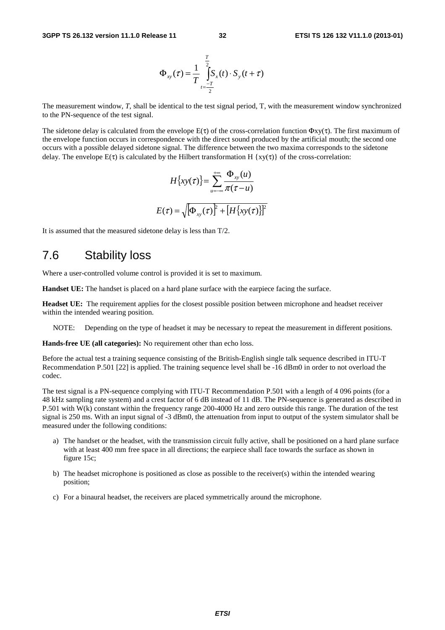$$
\Phi_{xy}(\tau) = \frac{1}{T} \int_{t=\frac{-T}{2}}^{\frac{T}{2}} S_x(t) \cdot S_y(t+\tau)
$$

The measurement window, *T*, shall be identical to the test signal period, T, with the measurement window synchronized to the PN-sequence of the test signal.

The sidetone delay is calculated from the envelope  $E(\tau)$  of the cross-correlation function  $\Phi_{XY}(\tau)$ . The first maximum of the envelope function occurs in correspondence with the direct sound produced by the artificial mouth; the second one occurs with a possible delayed sidetone signal. The difference between the two maxima corresponds to the sidetone delay. The envelope  $E(\tau)$  is calculated by the Hilbert transformation H {xy( $\tau$ )} of the cross-correlation:

$$
H\{xy(\tau)\} = \sum_{u=-\infty}^{+\infty} \frac{\Phi_{xy}(u)}{\pi(\tau - u)}
$$

$$
E(\tau) = \sqrt{\Phi_{xy}(\tau)}^2 + [H\{xy(\tau)\}]^2
$$

It is assumed that the measured sidetone delay is less than T/2.

### 7.6 Stability loss

Where a user-controlled volume control is provided it is set to maximum.

**Handset UE:** The handset is placed on a hard plane surface with the earpiece facing the surface.

**Headset UE:** The requirement applies for the closest possible position between microphone and headset receiver within the intended wearing position.

NOTE: Depending on the type of headset it may be necessary to repeat the measurement in different positions.

**Hands-free UE (all categories):** No requirement other than echo loss.

Before the actual test a training sequence consisting of the British-English single talk sequence described in ITU-T Recommendation P.501 [22] is applied. The training sequence level shall be -16 dBm0 in order to not overload the codec.

The test signal is a PN-sequence complying with ITU-T Recommendation P.501 with a length of 4 096 points (for a 48 kHz sampling rate system) and a crest factor of 6 dB instead of 11 dB. The PN-sequence is generated as described in P.501 with W(k) constant within the frequency range 200-4000 Hz and zero outside this range. The duration of the test signal is 250 ms. With an input signal of -3 dBm0, the attenuation from input to output of the system simulator shall be measured under the following conditions:

- a) The handset or the headset, with the transmission circuit fully active, shall be positioned on a hard plane surface with at least 400 mm free space in all directions; the earpiece shall face towards the surface as shown in figure 15c;
- b) The headset microphone is positioned as close as possible to the receiver(s) within the intended wearing position;
- c) For a binaural headset, the receivers are placed symmetrically around the microphone.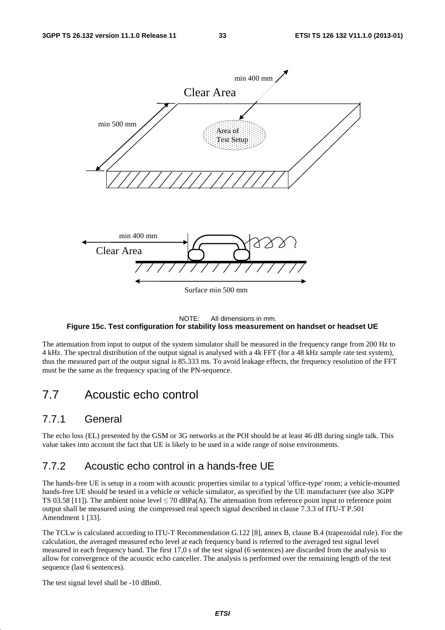

#### NOTE: All dimensions in mm. **Figure 15c. Test configuration for stability loss measurement on handset or headset UE**

The attenuation from input to output of the system simulator shall be measured in the frequency range from 200 Hz to 4 kHz. The spectral distribution of the output signal is analysed with a 4k FFT (for a 48 kHz sample rate test system), thus the measured part of the output signal is 85.333 ms. To avoid leakage effects, the frequency resolution of the FFT must be the same as the frequency spacing of the PN-sequence.

## 7.7 Acoustic echo control

### 7.7.1 General

The echo loss (EL) presented by the GSM or 3G networks at the POI should be at least 46 dB during single talk. This value takes into account the fact that UE is likely to be used in a wide range of noise environments.

### 7.7.2 Acoustic echo control in a hands-free UE

The hands-free UE is setup in a room with acoustic properties similar to a typical 'office-type' room; a vehicle-mounted hands-free UE should be tested in a vehicle or vehicle simulator, as specified by the UE manufacturer (see also 3GPP TS 03.58 [11]). The ambient noise level  $\leq$  70 dBPa(A). The attenuation from reference point input to reference point output shall be measured using the compressed real speech signal described in clause 7.3.3 of ITU-T P.501 Amendment 1 [33].

The TCLw is calculated according to ITU-T Recommendation G.122 [8], annex B, clause B.4 (trapezoidal rule). For the calculation, the averaged measured echo level at each frequency band is referred to the averaged test signal level measured in each frequency band. The first 17,0 s of the test signal (6 sentences) are discarded from the analysis to allow for convergence of the acoustic echo canceller. The analysis is performed over the remaining length of the test sequence (last 6 sentences).

The test signal level shall be -10 dBm0.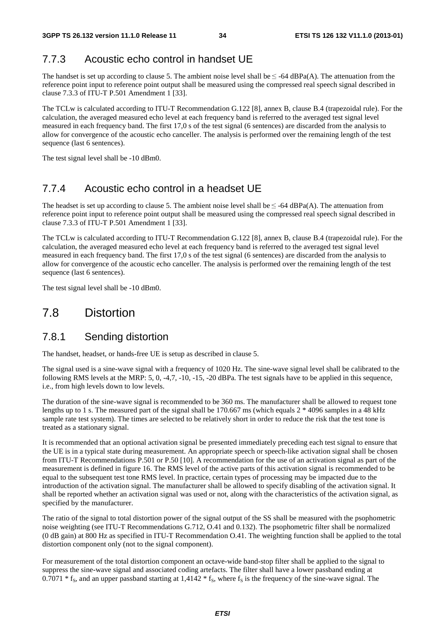### 7.7.3 Acoustic echo control in handset UE

The handset is set up according to clause 5. The ambient noise level shall be  $\leq$  -64 dBPa(A). The attenuation from the reference point input to reference point output shall be measured using the compressed real speech signal described in clause 7.3.3 of ITU-T P.501 Amendment 1 [33].

The TCLw is calculated according to ITU-T Recommendation G.122 [8], annex B, clause B.4 (trapezoidal rule). For the calculation, the averaged measured echo level at each frequency band is referred to the averaged test signal level measured in each frequency band. The first 17,0 s of the test signal (6 sentences) are discarded from the analysis to allow for convergence of the acoustic echo canceller. The analysis is performed over the remaining length of the test sequence (last 6 sentences).

The test signal level shall be -10 dBm0.

### 7.7.4 Acoustic echo control in a headset UE

The headset is set up according to clause 5. The ambient noise level shall be  $\leq$ -64 dBPa(A). The attenuation from reference point input to reference point output shall be measured using the compressed real speech signal described in clause 7.3.3 of ITU-T P.501 Amendment 1 [33].

The TCLw is calculated according to ITU-T Recommendation G.122 [8], annex B, clause B.4 (trapezoidal rule). For the calculation, the averaged measured echo level at each frequency band is referred to the averaged test signal level measured in each frequency band. The first 17,0 s of the test signal (6 sentences) are discarded from the analysis to allow for convergence of the acoustic echo canceller. The analysis is performed over the remaining length of the test sequence (last 6 sentences).

The test signal level shall be -10 dBm0.

### 7.8 Distortion

### 7.8.1 Sending distortion

The handset, headset, or hands-free UE is setup as described in clause 5.

The signal used is a sine-wave signal with a frequency of 1020 Hz. The sine-wave signal level shall be calibrated to the following RMS levels at the MRP:  $5, 0, -4, 7, -10, -15, -20$  dBPa. The test signals have to be applied in this sequence, i.e., from high levels down to low levels.

The duration of the sine-wave signal is recommended to be 360 ms. The manufacturer shall be allowed to request tone lengths up to 1 s. The measured part of the signal shall be 170.667 ms (which equals  $2 * 4096$  samples in a 48 kHz sample rate test system). The times are selected to be relatively short in order to reduce the risk that the test tone is treated as a stationary signal.

It is recommended that an optional activation signal be presented immediately preceding each test signal to ensure that the UE is in a typical state during measurement. An appropriate speech or speech-like activation signal shall be chosen from ITU-T Recommendations P.501 or P.50 [10]. A recommendation for the use of an activation signal as part of the measurement is defined in figure 16. The RMS level of the active parts of this activation signal is recommended to be equal to the subsequent test tone RMS level. In practice, certain types of processing may be impacted due to the introduction of the activation signal. The manufacturer shall be allowed to specify disabling of the activation signal. It shall be reported whether an activation signal was used or not, along with the characteristics of the activation signal, as specified by the manufacturer.

The ratio of the signal to total distortion power of the signal output of the SS shall be measured with the psophometric noise weighting (see ITU-T Recommendations G.712, O.41 and 0.132). The psophometric filter shall be normalized (0 dB gain) at 800 Hz as specified in ITU-T Recommendation O.41. The weighting function shall be applied to the total distortion component only (not to the signal component).

For measurement of the total distortion component an octave-wide band-stop filter shall be applied to the signal to suppress the sine-wave signal and associated coding artefacts. The filter shall have a lower passband ending at 0.7071  $*$  f<sub>S</sub>, and an upper passband starting at 1,4142  $*$  f<sub>S</sub>, where f<sub>S</sub> is the frequency of the sine-wave signal. The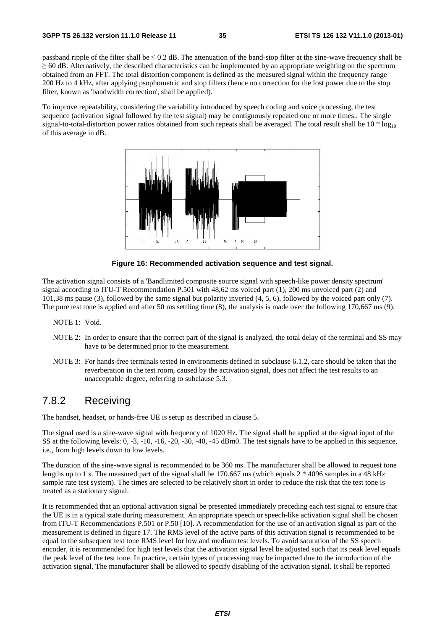passband ripple of the filter shall be  $\leq 0.2$  dB. The attenuation of the band-stop filter at the sine-wave frequency shall be  $\geq$  60 dB. Alternatively, the described characteristics can be implemented by an appropriate weighting on the spectrum obtained from an FFT. The total distortion component is defined as the measured signal within the frequency range 200 Hz to 4 kHz, after applying psophometric and stop filters (hence no correction for the lost power due to the stop filter, known as 'bandwidth correction', shall be applied).

To improve repeatability, considering the variability introduced by speech coding and voice processing, the test sequence (activation signal followed by the test signal) may be contiguously repeated one or more times.. The single signal-to-total-distortion power ratios obtained from such repeats shall be averaged. The total result shall be  $10 * log_{10}$ of this average in dB.



**Figure 16: Recommended activation sequence and test signal.** 

The activation signal consists of a 'Bandlimited composite source signal with speech-like power density spectrum' signal according to ITU-T Recommendation P.501 with 48,62 ms voiced part (1), 200 ms unvoiced part (2) and 101,38 ms pause (3), followed by the same signal but polarity inverted (4, 5, 6), followed by the voiced part only (7). The pure test tone is applied and after 50 ms settling time (8), the analysis is made over the following 170,667 ms (9).

NOTE 1: Void.

- NOTE 2: In order to ensure that the correct part of the signal is analyzed, the total delay of the terminal and SS may have to be determined prior to the measurement.
- NOTE 3: For hands-free terminals tested in environments defined in subclause 6.1.2, care should be taken that the reverberation in the test room, caused by the activation signal, does not affect the test results to an unacceptable degree, referring to subclause 5.3.

### 7.8.2 Receiving

The handset, headset, or hands-free UE is setup as described in clause 5.

The signal used is a sine-wave signal with frequency of 1020 Hz. The signal shall be applied at the signal input of the SS at the following levels: 0, -3, -10, -16, -20, -30, -40, -45 dBm0. The test signals have to be applied in this sequence, i.e., from high levels down to low levels.

The duration of the sine-wave signal is recommended to be 360 ms. The manufacturer shall be allowed to request tone lengths up to 1 s. The measured part of the signal shall be 170.667 ms (which equals  $2 * 4096$  samples in a 48 kHz sample rate test system). The times are selected to be relatively short in order to reduce the risk that the test tone is treated as a stationary signal.

It is recommended that an optional activation signal be presented immediately preceding each test signal to ensure that the UE is in a typical state during measurement. An appropriate speech or speech-like activation signal shall be chosen from ITU-T Recommendations P.501 or P.50 [10]. A recommendation for the use of an activation signal as part of the measurement is defined in figure 17. The RMS level of the active parts of this activation signal is recommended to be equal to the subsequent test tone RMS level for low and medium test levels. To avoid saturation of the SS speech encoder, it is recommended for high test levels that the activation signal level be adjusted such that its peak level equals the peak level of the test tone. In practice, certain types of processing may be impacted due to the introduction of the activation signal. The manufacturer shall be allowed to specify disabling of the activation signal. It shall be reported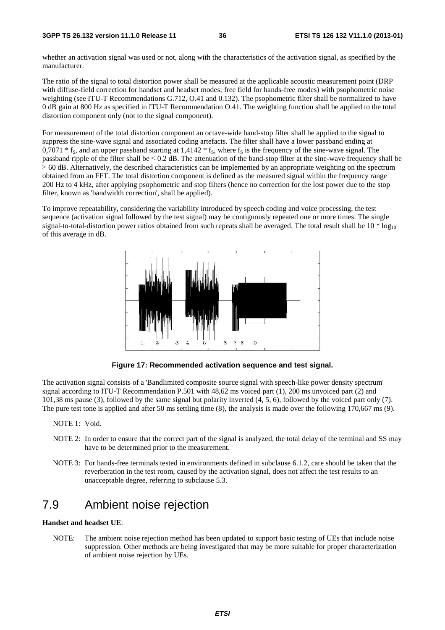whether an activation signal was used or not, along with the characteristics of the activation signal, as specified by the manufacturer.

The ratio of the signal to total distortion power shall be measured at the applicable acoustic measurement point (DRP with diffuse-field correction for handset and headset modes; free field for hands-free modes) with psophometric noise weighting (see ITU-T Recommendations G.712, O.41 and 0.132). The psophometric filter shall be normalized to have 0 dB gain at 800 Hz as specified in ITU-T Recommendation O.41. The weighting function shall be applied to the total distortion component only (not to the signal component).

For measurement of the total distortion component an octave-wide band-stop filter shall be applied to the signal to suppress the sine-wave signal and associated coding artefacts. The filter shall have a lower passband ending at  $0.7071 * f_s$ , and an upper passband starting at 1,4142  $* f_s$ , where  $f_s$  is the frequency of the sine-wave signal. The passband ripple of the filter shall be  $\leq 0.2$  dB. The attenuation of the band-stop filter at the sine-wave frequency shall be <sup>≥</sup> 60 dB. Alternatively, the described characteristics can be implemented by an appropriate weighting on the spectrum obtained from an FFT. The total distortion component is defined as the measured signal within the frequency range 200 Hz to 4 kHz, after applying psophometric and stop filters (hence no correction for the lost power due to the stop filter, known as 'bandwidth correction', shall be applied).

To improve repeatability, considering the variability introduced by speech coding and voice processing, the test sequence (activation signal followed by the test signal) may be contiguously repeated one or more times. The single signal-to-total-distortion power ratios obtained from such repeats shall be averaged. The total result shall be  $10 * log_{10}$ of this average in dB.



**Figure 17: Recommended activation sequence and test signal.** 

The activation signal consists of a 'Bandlimited composite source signal with speech-like power density spectrum' signal according to ITU-T Recommendation P.501 with 48,62 ms voiced part (1), 200 ms unvoiced part (2) and 101,38 ms pause (3), followed by the same signal but polarity inverted (4, 5, 6), followed by the voiced part only (7). The pure test tone is applied and after 50 ms settling time (8), the analysis is made over the following 170,667 ms (9).

- NOTE 1: Void.
- NOTE 2: In order to ensure that the correct part of the signal is analyzed, the total delay of the terminal and SS may have to be determined prior to the measurement.
- NOTE 3: For hands-free terminals tested in environments defined in subclause 6.1.2, care should be taken that the reverberation in the test room, caused by the activation signal, does not affect the test results to an unacceptable degree, referring to subclause 5.3.

# 7.9 Ambient noise rejection

#### **Handset and headset UE**:

NOTE: The ambient noise rejection method has been updated to support basic testing of UEs that include noise suppression. Other methods are being investigated that may be more suitable for proper characterization of ambient noise rejection by UEs.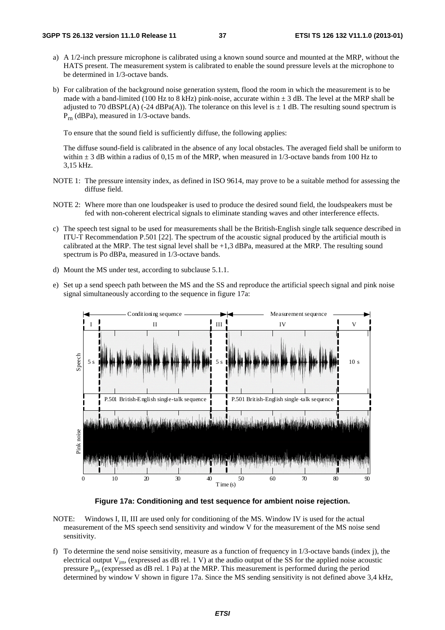- a) A 1/2-inch pressure microphone is calibrated using a known sound source and mounted at the MRP, without the HATS present. The measurement system is calibrated to enable the sound pressure levels at the microphone to be determined in 1/3-octave bands.
- b) For calibration of the background noise generation system, flood the room in which the measurement is to be made with a band-limited (100 Hz to 8 kHz) pink-noise, accurate within  $\pm$  3 dB. The level at the MRP shall be adjusted to 70 dBSPL(A) (-24 dBPa(A)). The tolerance on this level is  $\pm$  1 dB. The resulting sound spectrum is Prn (dBPa), measured in 1/3-octave bands.

To ensure that the sound field is sufficiently diffuse, the following applies:

 The diffuse sound-field is calibrated in the absence of any local obstacles. The averaged field shall be uniform to within  $\pm$  3 dB within a radius of 0,15 m of the MRP, when measured in 1/3-octave bands from 100 Hz to 3,15 kHz.

- NOTE 1: The pressure intensity index, as defined in ISO 9614, may prove to be a suitable method for assessing the diffuse field.
- NOTE 2: Where more than one loudspeaker is used to produce the desired sound field, the loudspeakers must be fed with non-coherent electrical signals to eliminate standing waves and other interference effects.
- c) The speech test signal to be used for measurements shall be the British-English single talk sequence described in ITU-T Recommendation P.501 [22]. The spectrum of the acoustic signal produced by the artificial mouth is calibrated at the MRP. The test signal level shall be +1,3 dBPa, measured at the MRP. The resulting sound spectrum is Po dBPa, measured in 1/3-octave bands.
- d) Mount the MS under test, according to subclause 5.1.1.
- e) Set up a send speech path between the MS and the SS and reproduce the artificial speech signal and pink noise signal simultaneously according to the sequence in figure 17a:



**Figure 17a: Conditioning and test sequence for ambient noise rejection.** 

- NOTE: Windows I, II, III are used only for conditioning of the MS. Window IV is used for the actual measurement of the MS speech send sensitivity and window V for the measurement of the MS noise send sensitivity.
- f) To determine the send noise sensitivity, measure as a function of frequency in  $1/3$ -octave bands (index j), the electrical output  $V_{im}$ , (expressed as dB rel. 1 V) at the audio output of the SS for the applied noise acoustic pressure  $P_{im}$  (expressed as dB rel. 1 Pa) at the MRP. This measurement is performed during the period determined by window V shown in figure 17a. Since the MS sending sensitivity is not defined above 3,4 kHz,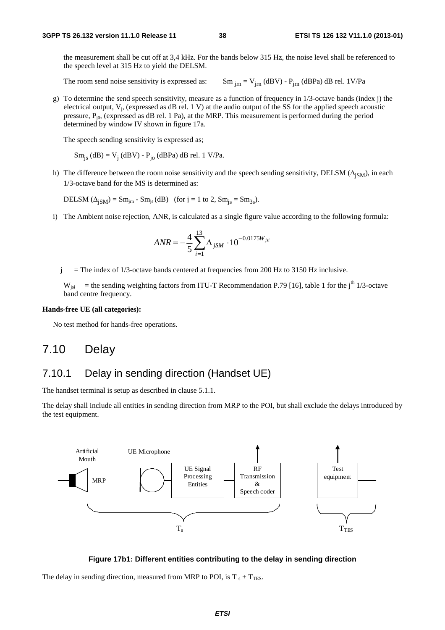the measurement shall be cut off at 3,4 kHz. For the bands below 315 Hz, the noise level shall be referenced to the speech level at 315 Hz to yield the DELSM.

The room send noise sensitivity is expressed as:  $\text{Sm}_{\text{irn}} = \text{V}_{\text{irn}} (\text{dBV}) - \text{P}_{\text{irn}} (\text{dBPa}) \text{ dB rel. } 1 \text{V/Pa}$ 

g) To determine the send speech sensitivity, measure as a function of frequency in  $1/3$ -octave bands (index j) the electrical output,  $V_i$ , (expressed as dB rel. 1 V) at the audio output of the SS for the applied speech acoustic pressure,  $P_{i0}$ , (expressed as dB rel. 1 Pa), at the MRP. This measurement is performed during the period determined by window IV shown in figure 17a.

The speech sending sensitivity is expressed as;

$$
Sm_{js} (dB) = V_j (dBV) - P_{jo} (dBPa) dB rel. 1 V/Pa.
$$

h) The difference between the room noise sensitivity and the speech sending sensitivity, DELSM ( $\Delta_{\text{ISM}}$ ), in each 1/3-octave band for the MS is determined as:

DELSM  $(\Delta_{jSM}) = Sm_{jm} - Sm_{js}$  (dB) (for j = 1 to 2,  $Sm_{js} = Sm_{3s}$ ).

i) The Ambient noise rejection, ANR, is calculated as a single figure value according to the following formula:

$$
ANR = -\frac{4}{5} \sum_{i=1}^{13} \Delta_{jSM} \cdot 10^{-0.0175 W_{jsi}}
$$

 $j =$  The index of 1/3-octave bands centered at frequencies from 200 Hz to 3150 Hz inclusive.

 $W_{jsi}$  = the sending weighting factors from ITU-T Recommendation P.79 [16], table 1 for the j<sup>th</sup> 1/3-octave band centre frequency.

#### **Hands-free UE (all categories):**

No test method for hands-free operations.

## 7.10 Delay

### 7.10.1 Delay in sending direction (Handset UE)

The handset terminal is setup as described in clause 5.1.1.

The delay shall include all entities in sending direction from MRP to the POI, but shall exclude the delays introduced by the test equipment.



#### **Figure 17b1: Different entities contributing to the delay in sending direction**

The delay in sending direction, measured from MRP to POI, is  $T_s + T_{\text{TES}}$ .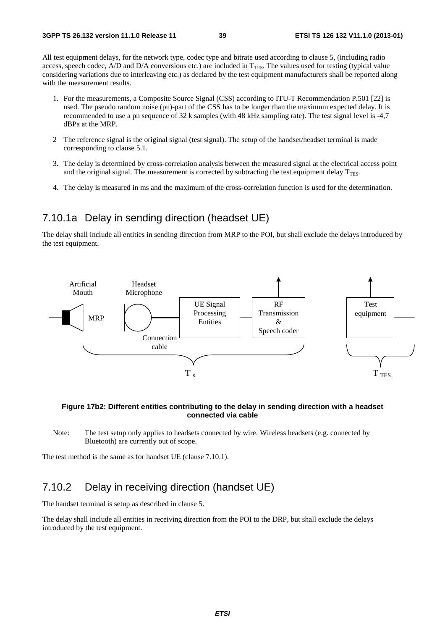All test equipment delays, for the network type, codec type and bitrate used according to clause 5, (including radio access, speech codec, A/D and D/A conversions etc.) are included in  $T<sub>TES</sub>$ . The values used for testing (typical value considering variations due to interleaving etc.) as declared by the test equipment manufacturers shall be reported along with the measurement results.

- 1. For the measurements, a Composite Source Signal (CSS) according to ITU-T Recommendation P.501 [22] is used. The pseudo random noise (pn)-part of the CSS has to be longer than the maximum expected delay. It is recommended to use a pn sequence of 32 k samples (with 48 kHz sampling rate). The test signal level is -4,7 dBPa at the MRP.
- 2 The reference signal is the original signal (test signal). The setup of the handset/headset terminal is made corresponding to clause 5.1.
- 3. The delay is determined by cross-correlation analysis between the measured signal at the electrical access point and the original signal. The measurement is corrected by subtracting the test equipment delay  $T_{\text{TES}}$ .
- 4. The delay is measured in ms and the maximum of the cross-correlation function is used for the determination.

### 7.10.1a Delay in sending direction (headset UE)

The delay shall include all entities in sending direction from MRP to the POI, but shall exclude the delays introduced by the test equipment.



#### **Figure 17b2: Different entities contributing to the delay in sending direction with a headset connected via cable**

Note: The test setup only applies to headsets connected by wire. Wireless headsets (e.g. connected by Bluetooth) are currently out of scope.

The test method is the same as for handset UE (clause 7.10.1).

### 7.10.2 Delay in receiving direction (handset UE)

The handset terminal is setup as described in clause 5.

The delay shall include all entities in receiving direction from the POI to the DRP, but shall exclude the delays introduced by the test equipment.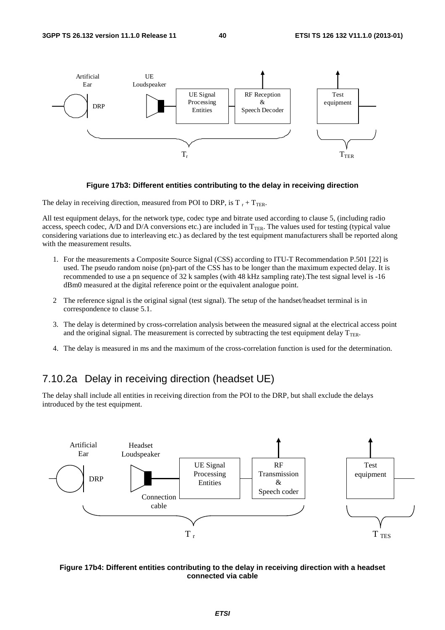

#### **Figure 17b3: Different entities contributing to the delay in receiving direction**

The delay in receiving direction, measured from POI to DRP, is  $T_r + T_{TER}$ .

All test equipment delays, for the network type, codec type and bitrate used according to clause 5, (including radio access, speech codec, A/D and D/A conversions etc.) are included in  $T_{TER}$ . The values used for testing (typical value considering variations due to interleaving etc.) as declared by the test equipment manufacturers shall be reported along with the measurement results.

- 1. For the measurements a Composite Source Signal (CSS) according to ITU-T Recommendation P.501 [22] is used. The pseudo random noise (pn)-part of the CSS has to be longer than the maximum expected delay. It is recommended to use a pn sequence of 32 k samples (with 48 kHz sampling rate).The test signal level is -16 dBm0 measured at the digital reference point or the equivalent analogue point.
- 2 The reference signal is the original signal (test signal). The setup of the handset/headset terminal is in correspondence to clause 5.1.
- 3. The delay is determined by cross-correlation analysis between the measured signal at the electrical access point and the original signal. The measurement is corrected by subtracting the test equipment delay  $T_{\text{TER}}$ .
- 4. The delay is measured in ms and the maximum of the cross-correlation function is used for the determination.

### 7.10.2a Delay in receiving direction (headset UE)

The delay shall include all entities in receiving direction from the POI to the DRP, but shall exclude the delays introduced by the test equipment.



#### **Figure 17b4: Different entities contributing to the delay in receiving direction with a headset connected via cable**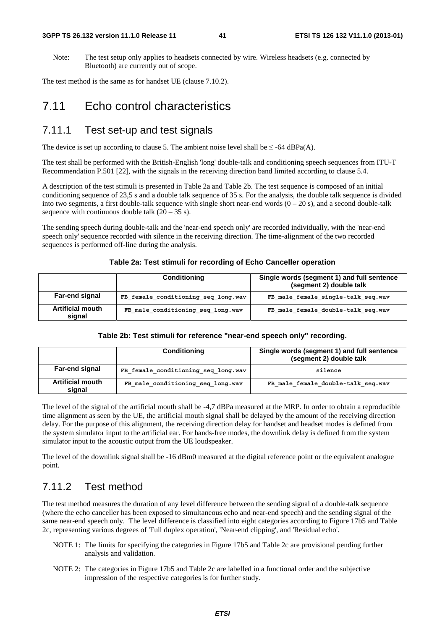#### **3GPP TS 26.132 version 11.1.0 Release 11 41 ETSI TS 126 132 V11.1.0 (2013-01)**

Note: The test setup only applies to headsets connected by wire. Wireless headsets (e.g. connected by Bluetooth) are currently out of scope.

The test method is the same as for handset UE (clause 7.10.2).

# 7.11 Echo control characteristics

### 7.11.1 Test set-up and test signals

The device is set up according to clause 5. The ambient noise level shall be  $\leq$  -64 dBPa(A).

The test shall be performed with the British-English 'long' double-talk and conditioning speech sequences from ITU-T Recommendation P.501 [22], with the signals in the receiving direction band limited according to clause 5.4.

A description of the test stimuli is presented in Table 2a and Table 2b. The test sequence is composed of an initial conditioning sequence of 23,5 s and a double talk sequence of 35 s. For the analysis, the double talk sequence is divided into two segments, a first double-talk sequence with single short near-end words  $(0 - 20 s)$ , and a second double-talk sequence with continuous double talk  $(20 – 35 s)$ .

The sending speech during double-talk and the 'near-end speech only' are recorded individually, with the 'near-end speech only' sequence recorded with silence in the receiving direction. The time-alignment of the two recorded sequences is performed off-line during the analysis.

#### **Table 2a: Test stimuli for recording of Echo Canceller operation**

|                                   | <b>Conditioning</b>                 | Single words (segment 1) and full sentence<br>(segment 2) double talk |
|-----------------------------------|-------------------------------------|-----------------------------------------------------------------------|
| <b>Far-end signal</b>             | FB female conditioning seq long.wav | FB male female single-talk seq.wav                                    |
| <b>Artificial mouth</b><br>signal | FB male conditioning seq long.wav   | FB male female double-talk seq.wav                                    |

#### **Table 2b: Test stimuli for reference "near-end speech only" recording.**

|                                   | <b>Conditioning</b>                 | Single words (segment 1) and full sentence<br>(segment 2) double talk |
|-----------------------------------|-------------------------------------|-----------------------------------------------------------------------|
| <b>Far-end signal</b>             | FB female conditioning seq long.wav | silence                                                               |
| <b>Artificial mouth</b><br>sianal | FB male conditioning seq long.wav   | FB male female double-talk seq.wav                                    |

The level of the signal of the artificial mouth shall be -4,7 dBPa measured at the MRP. In order to obtain a reproducible time alignment as seen by the UE, the artificial mouth signal shall be delayed by the amount of the receiving direction delay. For the purpose of this alignment, the receiving direction delay for handset and headset modes is defined from the system simulator input to the artificial ear. For hands-free modes, the downlink delay is defined from the system simulator input to the acoustic output from the UE loudspeaker.

The level of the downlink signal shall be -16 dBm0 measured at the digital reference point or the equivalent analogue point.

### 7.11.2 Test method

The test method measures the duration of any level difference between the sending signal of a double-talk sequence (where the echo canceller has been exposed to simultaneous echo and near-end speech) and the sending signal of the same near-end speech only. The level difference is classified into eight categories according to Figure 17b5 and Table 2c, representing various degrees of 'Full duplex operation', 'Near-end clipping', and 'Residual echo'.

- NOTE 1: The limits for specifying the categories in Figure 17b5 and Table 2c are provisional pending further analysis and validation.
- NOTE 2: The categories in Figure 17b5 and Table 2c are labelled in a functional order and the subjective impression of the respective categories is for further study.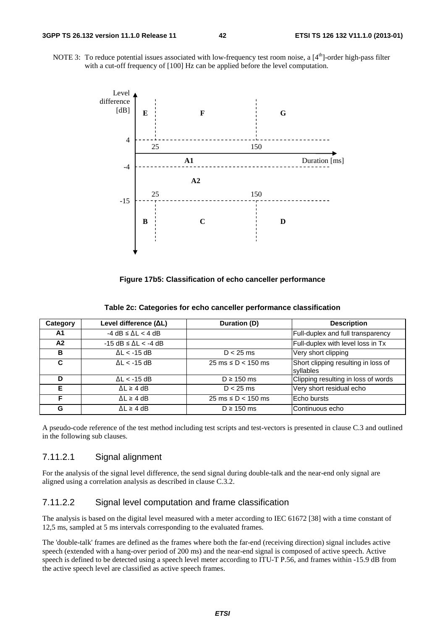NOTE 3: To reduce potential issues associated with low-frequency test room noise, a  $[4<sup>th</sup>]$ -order high-pass filter with a cut-off frequency of [100] Hz can be applied before the level computation.



**Figure 17b5: Classification of echo canceller performance** 

| Category | Level difference (ΔL)              | Duration (D)                            | <b>Description</b>                               |
|----------|------------------------------------|-----------------------------------------|--------------------------------------------------|
| A1       | $-4$ dB $\leq$ $\Delta$ L $<$ 4 dB |                                         | Full-duplex and full transparency                |
| A2       | $-15$ dB $\leq \Delta$ L $<$ -4 dB |                                         | Full-duplex with level loss in Tx                |
| в        | $\Delta L < -15$ dB                | $D < 25$ ms                             | Very short clipping                              |
| C        | $AL < -15$ dB                      | $25 \text{ ms} \leq D < 150 \text{ ms}$ | Short clipping resulting in loss of<br>syllables |
| D        | $\Delta L < -15$ dB                | $D \ge 150$ ms                          | Clipping resulting in loss of words              |
| Е        | $\Delta L \geq 4$ dB               | $D < 25$ ms                             | Very short residual echo                         |
| F        | $\Delta L \geq 4$ dB               | $25 \text{ ms} \le D < 150 \text{ ms}$  | Echo bursts                                      |
| G        | $\Delta L \geq 4$ dB               | $D \ge 150$ ms                          | Continuous echo                                  |

A pseudo-code reference of the test method including test scripts and test-vectors is presented in clause C.3 and outlined in the following sub clauses.

#### 7.11.2.1 Signal alignment

For the analysis of the signal level difference, the send signal during double-talk and the near-end only signal are aligned using a correlation analysis as described in clause C.3.2.

#### 7.11.2.2 Signal level computation and frame classification

The analysis is based on the digital level measured with a meter according to IEC 61672 [38] with a time constant of 12,5 ms, sampled at 5 ms intervals corresponding to the evaluated frames.

The 'double-talk' frames are defined as the frames where both the far-end (receiving direction) signal includes active speech (extended with a hang-over period of 200 ms) and the near-end signal is composed of active speech. Active speech is defined to be detected using a speech level meter according to ITU-T P.56, and frames within -15.9 dB from the active speech level are classified as active speech frames.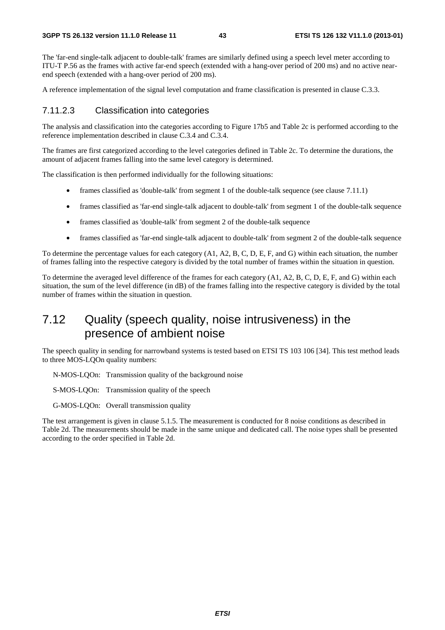The 'far-end single-talk adjacent to double-talk' frames are similarly defined using a speech level meter according to ITU-T P.56 as the frames with active far-end speech (extended with a hang-over period of 200 ms) and no active nearend speech (extended with a hang-over period of 200 ms).

A reference implementation of the signal level computation and frame classification is presented in clause C.3.3.

#### 7.11.2.3 Classification into categories

The analysis and classification into the categories according to Figure 17b5 and Table 2c is performed according to the reference implementation described in clause C.3.4 and C.3.4.

The frames are first categorized according to the level categories defined in Table 2c. To determine the durations, the amount of adjacent frames falling into the same level category is determined.

The classification is then performed individually for the following situations:

- frames classified as 'double-talk' from segment 1 of the double-talk sequence (see clause 7.11.1)
- frames classified as 'far-end single-talk adjacent to double-talk' from segment 1 of the double-talk sequence
- frames classified as 'double-talk' from segment 2 of the double-talk sequence
- frames classified as 'far-end single-talk adjacent to double-talk' from segment 2 of the double-talk sequence

To determine the percentage values for each category (A1, A2, B, C, D, E, F, and G) within each situation, the number of frames falling into the respective category is divided by the total number of frames within the situation in question.

To determine the averaged level difference of the frames for each category (A1, A2, B, C, D, E, F, and G) within each situation, the sum of the level difference (in dB) of the frames falling into the respective category is divided by the total number of frames within the situation in question.

# 7.12 Quality (speech quality, noise intrusiveness) in the presence of ambient noise

The speech quality in sending for narrowband systems is tested based on ETSI TS 103 106 [34]. This test method leads to three MOS-LQOn quality numbers:

N-MOS-LQOn: Transmission quality of the background noise

- S-MOS-LQOn: Transmission quality of the speech
- G-MOS-LQOn: Overall transmission quality

The test arrangement is given in clause 5.1.5. The measurement is conducted for 8 noise conditions as described in Table 2d. The measurements should be made in the same unique and dedicated call. The noise types shall be presented according to the order specified in Table 2d.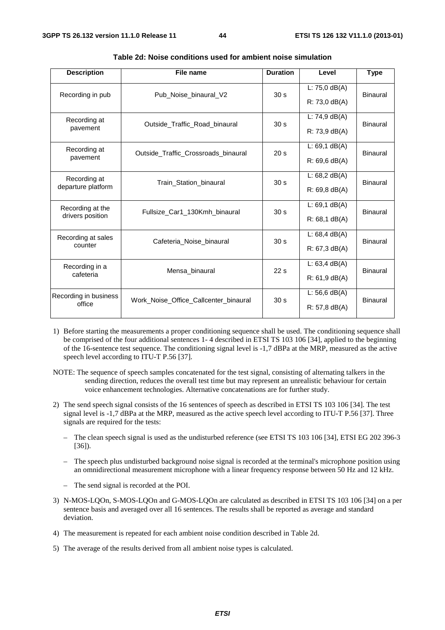| <b>Description</b>    | File name                                                       | <b>Duration</b> | Level                   | <b>Type</b>     |  |
|-----------------------|-----------------------------------------------------------------|-----------------|-------------------------|-----------------|--|
| Recording in pub      | Pub_Noise_binaural_V2                                           | 30 <sub>s</sub> | L: $75,0$ dB(A)         | Binaural        |  |
|                       |                                                                 |                 | $R: 73.0 \text{ dB}(A)$ |                 |  |
| Recording at          | Outside_Traffic_Road_binaural                                   | 30 <sub>s</sub> | $L: 74, 9$ dB(A)        | <b>Binaural</b> |  |
| pavement              |                                                                 |                 | $R: 73.9$ dB(A)         |                 |  |
| Recording at          | Outside_Traffic_Crossroads_binaural                             | 20 <sub>s</sub> | $L: 69, 1$ dB(A)        | Binaural        |  |
| pavement              |                                                                 |                 | $R: 69, 6$ dB(A)        |                 |  |
| Recording at          | 30 <sub>s</sub><br>Train Station binaural<br>departure platform |                 | $L: 68, 2$ dB(A)        | Binaural        |  |
|                       |                                                                 |                 | $R: 69.8$ dB(A)         |                 |  |
| Recording at the      | Fullsize Car1 130Kmh binaural                                   | 30 <sub>s</sub> | $L: 69, 1$ dB(A)        | Binaural        |  |
| drivers position      |                                                                 |                 | $R: 68, 1$ dB(A)        |                 |  |
| Recording at sales    | Cafeteria Noise binaural                                        | 30 <sub>s</sub> | L: 68,4 dB(A)           | <b>Binaural</b> |  |
| counter               |                                                                 |                 | R: 67, 3 dB(A)          |                 |  |
| Recording in a        | Mensa binaural                                                  | 22s             | $L: 63,4$ dB(A)         | <b>Binaural</b> |  |
| cafeteria             |                                                                 |                 | $R: 61.9$ dB(A)         |                 |  |
| Recording in business | Work Noise Office Callcenter binaural                           | 30 <sub>s</sub> | $L: 56, 6$ dB(A)        | <b>Binaural</b> |  |
| office                |                                                                 |                 | $R: 57, 8$ dB(A)        |                 |  |

**Table 2d: Noise conditions used for ambient noise simulation** 

- 1) Before starting the measurements a proper conditioning sequence shall be used. The conditioning sequence shall be comprised of the four additional sentences 1- 4 described in ETSI TS 103 106 [34], applied to the beginning of the 16-sentence test sequence. The conditioning signal level is -1,7 dBPa at the MRP, measured as the active speech level according to ITU-T P.56 [37].
- NOTE: The sequence of speech samples concatenated for the test signal, consisting of alternating talkers in the sending direction, reduces the overall test time but may represent an unrealistic behaviour for certain voice enhancement technologies. Alternative concatenations are for further study.
- 2) The send speech signal consists of the 16 sentences of speech as described in ETSI TS 103 106 [34]. The test signal level is -1,7 dBPa at the MRP, measured as the active speech level according to ITU-T P.56 [37]. Three signals are required for the tests:
	- The clean speech signal is used as the undisturbed reference (see ETSI TS 103 106 [34], ETSI EG 202 396-3 [36]).
	- The speech plus undisturbed background noise signal is recorded at the terminal's microphone position using an omnidirectional measurement microphone with a linear frequency response between 50 Hz and 12 kHz.
	- The send signal is recorded at the POI.
- 3) N-MOS-LQOn, S-MOS-LQOn and G-MOS-LQOn are calculated as described in ETSI TS 103 106 [34] on a per sentence basis and averaged over all 16 sentences. The results shall be reported as average and standard deviation.
- 4) The measurement is repeated for each ambient noise condition described in Table 2d.
- 5) The average of the results derived from all ambient noise types is calculated.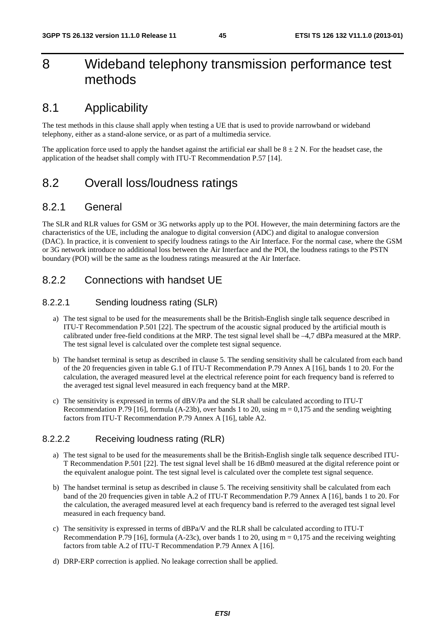# 8 Wideband telephony transmission performance test methods

# 8.1 Applicability

The test methods in this clause shall apply when testing a UE that is used to provide narrowband or wideband telephony, either as a stand-alone service, or as part of a multimedia service.

The application force used to apply the handset against the artificial ear shall be  $8 \pm 2$  N. For the headset case, the application of the headset shall comply with ITU-T Recommendation P.57 [14].

# 8.2 Overall loss/loudness ratings

#### 8.2.1 General

The SLR and RLR values for GSM or 3G networks apply up to the POI. However, the main determining factors are the characteristics of the UE, including the analogue to digital conversion (ADC) and digital to analogue conversion (DAC). In practice, it is convenient to specify loudness ratings to the Air Interface. For the normal case, where the GSM or 3G network introduce no additional loss between the Air Interface and the POI, the loudness ratings to the PSTN boundary (POI) will be the same as the loudness ratings measured at the Air Interface.

### 8.2.2 Connections with handset UE

#### 8.2.2.1 Sending loudness rating (SLR)

- a) The test signal to be used for the measurements shall be the British-English single talk sequence described in ITU-T Recommendation P.501 [22]. The spectrum of the acoustic signal produced by the artificial mouth is calibrated under free-field conditions at the MRP. The test signal level shall be –4,7 dBPa measured at the MRP. The test signal level is calculated over the complete test signal sequence.
- b) The handset terminal is setup as described in clause 5. The sending sensitivity shall be calculated from each band of the 20 frequencies given in table G.1 of ITU-T Recommendation P.79 Annex A [16], bands 1 to 20. For the calculation, the averaged measured level at the electrical reference point for each frequency band is referred to the averaged test signal level measured in each frequency band at the MRP.
- c) The sensitivity is expressed in terms of dBV/Pa and the SLR shall be calculated according to ITU-T Recommendation P.79 [16], formula (A-23b), over bands 1 to 20, using  $m = 0.175$  and the sending weighting factors from ITU-T Recommendation P.79 Annex A [16], table A2.

#### 8.2.2.2 Receiving loudness rating (RLR)

- a) The test signal to be used for the measurements shall be the British-English single talk sequence described ITU-T Recommendation P.501 [22]. The test signal level shall be 16 dBm0 measured at the digital reference point or the equivalent analogue point. The test signal level is calculated over the complete test signal sequence.
- b) The handset terminal is setup as described in clause 5. The receiving sensitivity shall be calculated from each band of the 20 frequencies given in table A.2 of ITU-T Recommendation P.79 Annex A [16], bands 1 to 20. For the calculation, the averaged measured level at each frequency band is referred to the averaged test signal level measured in each frequency band.
- c) The sensitivity is expressed in terms of dBPa/V and the RLR shall be calculated according to ITU-T Recommendation P.79 [16], formula (A-23c), over bands 1 to 20, using  $m = 0.175$  and the receiving weighting factors from table A.2 of ITU-T Recommendation P.79 Annex A [16].
- d) DRP-ERP correction is applied. No leakage correction shall be applied.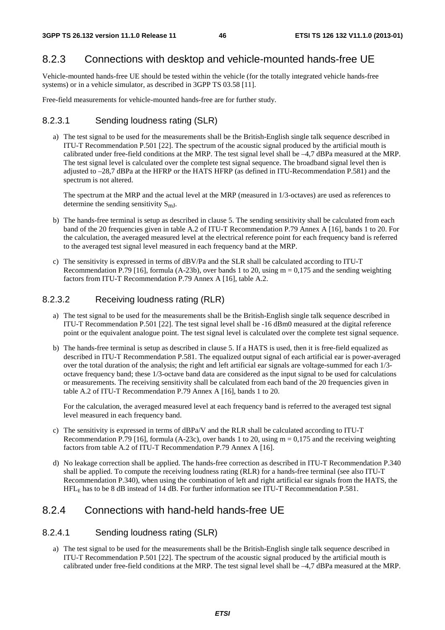### 8.2.3 Connections with desktop and vehicle-mounted hands-free UE

Vehicle-mounted hands-free UE should be tested within the vehicle (for the totally integrated vehicle hands-free systems) or in a vehicle simulator, as described in 3GPP TS 03.58 [11].

Free-field measurements for vehicle-mounted hands-free are for further study.

#### 8.2.3.1 Sending loudness rating (SLR)

a) The test signal to be used for the measurements shall be the British-English single talk sequence described in ITU-T Recommendation P.501 [22]. The spectrum of the acoustic signal produced by the artificial mouth is calibrated under free-field conditions at the MRP. The test signal level shall be –4,7 dBPa measured at the MRP. The test signal level is calculated over the complete test signal sequence. The broadband signal level then is adjusted to –28,7 dBPa at the HFRP or the HATS HFRP (as defined in ITU-Recommendation P.581) and the spectrum is not altered.

The spectrum at the MRP and the actual level at the MRP (measured in 1/3-octaves) are used as references to determine the sending sensitivity  $S_{mJ}$ .

- b) The hands-free terminal is setup as described in clause 5. The sending sensitivity shall be calculated from each band of the 20 frequencies given in table A.2 of ITU-T Recommendation P.79 Annex A [16], bands 1 to 20. For the calculation, the averaged measured level at the electrical reference point for each frequency band is referred to the averaged test signal level measured in each frequency band at the MRP.
- c) The sensitivity is expressed in terms of dBV/Pa and the SLR shall be calculated according to ITU-T Recommendation P.79 [16], formula (A-23b), over bands 1 to 20, using  $m = 0.175$  and the sending weighting factors from ITU-T Recommendation P.79 Annex A [16], table A.2.

#### 8.2.3.2 Receiving loudness rating (RLR)

- a) The test signal to be used for the measurements shall be the British-English single talk sequence described in ITU-T Recommendation P.501 [22]. The test signal level shall be -16 dBm0 measured at the digital reference point or the equivalent analogue point. The test signal level is calculated over the complete test signal sequence.
- b) The hands-free terminal is setup as described in clause 5. If a HATS is used, then it is free-field equalized as described in ITU-T Recommendation P.581. The equalized output signal of each artificial ear is power-averaged over the total duration of the analysis; the right and left artificial ear signals are voltage-summed for each 1/3 octave frequency band; these 1/3-octave band data are considered as the input signal to be used for calculations or measurements. The receiving sensitivity shall be calculated from each band of the 20 frequencies given in table A.2 of ITU-T Recommendation P.79 Annex A [16], bands 1 to 20.

For the calculation, the averaged measured level at each frequency band is referred to the averaged test signal level measured in each frequency band.

- c) The sensitivity is expressed in terms of dBPa/V and the RLR shall be calculated according to ITU-T Recommendation P.79 [16], formula (A-23c), over bands 1 to 20, using  $m = 0.175$  and the receiving weighting factors from table A.2 of ITU-T Recommendation P.79 Annex A [16].
- d) No leakage correction shall be applied. The hands-free correction as described in ITU-T Recommendation P.340 shall be applied. To compute the receiving loudness rating (RLR) for a hands-free terminal (see also ITU-T Recommendation P.340), when using the combination of left and right artificial ear signals from the HATS, the HFLE has to be 8 dB instead of 14 dB. For further information see ITU-T Recommendation P.581.

## 8.2.4 Connections with hand-held hands-free UE

#### 8.2.4.1 Sending loudness rating (SLR)

a) The test signal to be used for the measurements shall be the British-English single talk sequence described in ITU-T Recommendation P.501 [22]. The spectrum of the acoustic signal produced by the artificial mouth is calibrated under free-field conditions at the MRP. The test signal level shall be –4,7 dBPa measured at the MRP.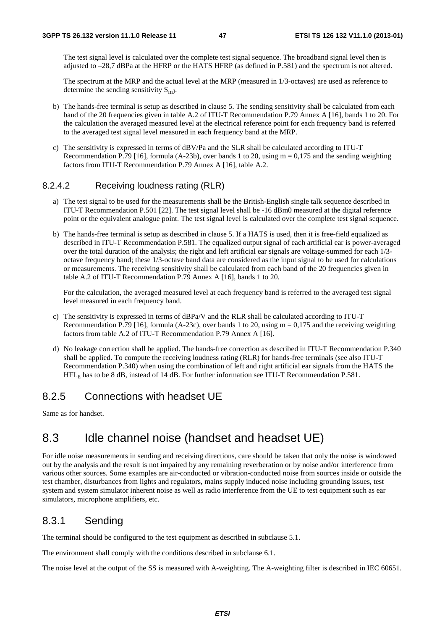The test signal level is calculated over the complete test signal sequence. The broadband signal level then is adjusted to –28,7 dBPa at the HFRP or the HATS HFRP (as defined in P.581) and the spectrum is not altered.

The spectrum at the MRP and the actual level at the MRP (measured in 1/3-octaves) are used as reference to determine the sending sensitivity  $S_{mI}$ .

- b) The hands-free terminal is setup as described in clause 5. The sending sensitivity shall be calculated from each band of the 20 frequencies given in table A.2 of ITU-T Recommendation P.79 Annex A [16], bands 1 to 20. For the calculation the averaged measured level at the electrical reference point for each frequency band is referred to the averaged test signal level measured in each frequency band at the MRP.
- c) The sensitivity is expressed in terms of dBV/Pa and the SLR shall be calculated according to ITU-T Recommendation P.79 [16], formula (A-23b), over bands 1 to 20, using  $m = 0,175$  and the sending weighting factors from ITU-T Recommendation P.79 Annex A [16], table A.2.

#### 8.2.4.2 Receiving loudness rating (RLR)

- a) The test signal to be used for the measurements shall be the British-English single talk sequence described in ITU-T Recommendation P.501 [22]. The test signal level shall be -16 dBm0 measured at the digital reference point or the equivalent analogue point. The test signal level is calculated over the complete test signal sequence.
- b) The hands-free terminal is setup as described in clause 5. If a HATS is used, then it is free-field equalized as described in ITU-T Recommendation P.581. The equalized output signal of each artificial ear is power-averaged over the total duration of the analysis; the right and left artificial ear signals are voltage-summed for each 1/3 octave frequency band; these 1/3-octave band data are considered as the input signal to be used for calculations or measurements. The receiving sensitivity shall be calculated from each band of the 20 frequencies given in table A.2 of ITU-T Recommendation P.79 Annex A [16], bands 1 to 20.

For the calculation, the averaged measured level at each frequency band is referred to the averaged test signal level measured in each frequency band.

- c) The sensitivity is expressed in terms of dBPa/V and the RLR shall be calculated according to ITU-T Recommendation P.79 [16], formula (A-23c), over bands 1 to 20, using  $m = 0.175$  and the receiving weighting factors from table A.2 of ITU-T Recommendation P.79 Annex A [16].
- d) No leakage correction shall be applied. The hands-free correction as described in ITU-T Recommendation P.340 shall be applied. To compute the receiving loudness rating (RLR) for hands-free terminals (see also ITU-T Recommendation P.340) when using the combination of left and right artificial ear signals from the HATS the HFLE has to be 8 dB, instead of 14 dB. For further information see ITU-T Recommendation P.581.

### 8.2.5 Connections with headset UE

Same as for handset.

# 8.3 Idle channel noise (handset and headset UE)

For idle noise measurements in sending and receiving directions, care should be taken that only the noise is windowed out by the analysis and the result is not impaired by any remaining reverberation or by noise and/or interference from various other sources. Some examples are air-conducted or vibration-conducted noise from sources inside or outside the test chamber, disturbances from lights and regulators, mains supply induced noise including grounding issues, test system and system simulator inherent noise as well as radio interference from the UE to test equipment such as ear simulators, microphone amplifiers, etc.

### 8.3.1 Sending

The terminal should be configured to the test equipment as described in subclause 5.1.

The environment shall comply with the conditions described in subclause 6.1.

The noise level at the output of the SS is measured with A-weighting. The A-weighting filter is described in IEC 60651.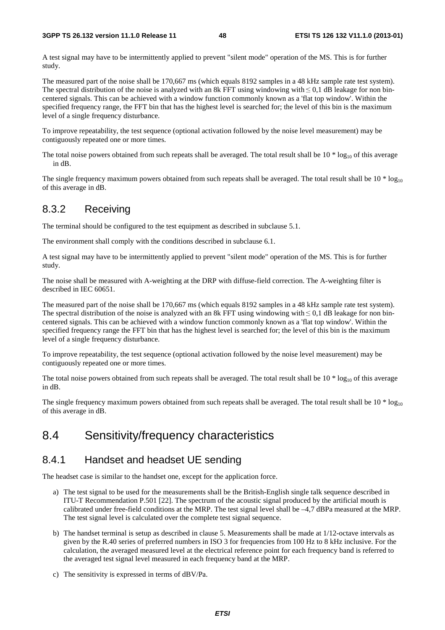A test signal may have to be intermittently applied to prevent "silent mode" operation of the MS. This is for further study.

The measured part of the noise shall be 170,667 ms (which equals 8192 samples in a 48 kHz sample rate test system). The spectral distribution of the noise is analyzed with an 8k FFT using windowing with  $\leq 0.1$  dB leakage for non bincentered signals. This can be achieved with a window function commonly known as a 'flat top window'. Within the specified frequency range, the FFT bin that has the highest level is searched for; the level of this bin is the maximum level of a single frequency disturbance.

To improve repeatability, the test sequence (optional activation followed by the noise level measurement) may be contiguously repeated one or more times.

The total noise powers obtained from such repeats shall be averaged. The total result shall be  $10 * log_{10}$  of this average in dB.

The single frequency maximum powers obtained from such repeats shall be averaged. The total result shall be  $10 * log_{10}$ of this average in dB.

### 8.3.2 Receiving

The terminal should be configured to the test equipment as described in subclause 5.1.

The environment shall comply with the conditions described in subclause 6.1.

A test signal may have to be intermittently applied to prevent "silent mode" operation of the MS. This is for further study.

The noise shall be measured with A-weighting at the DRP with diffuse-field correction. The A-weighting filter is described in IEC 60651.

The measured part of the noise shall be 170,667 ms (which equals 8192 samples in a 48 kHz sample rate test system). The spectral distribution of the noise is analyzed with an 8k FFT using windowing with ≤ 0,1 dB leakage for non bincentered signals. This can be achieved with a window function commonly known as a 'flat top window'. Within the specified frequency range the FFT bin that has the highest level is searched for; the level of this bin is the maximum level of a single frequency disturbance.

To improve repeatability, the test sequence (optional activation followed by the noise level measurement) may be contiguously repeated one or more times.

The total noise powers obtained from such repeats shall be averaged. The total result shall be  $10 * log_{10}$  of this average in dB.

The single frequency maximum powers obtained from such repeats shall be averaged. The total result shall be  $10 * log_{10}$ of this average in dB.

# 8.4 Sensitivity/frequency characteristics

### 8.4.1 Handset and headset UE sending

The headset case is similar to the handset one, except for the application force.

- a) The test signal to be used for the measurements shall be the British-English single talk sequence described in ITU-T Recommendation P.501 [22]. The spectrum of the acoustic signal produced by the artificial mouth is calibrated under free-field conditions at the MRP. The test signal level shall be –4,7 dBPa measured at the MRP. The test signal level is calculated over the complete test signal sequence.
- b) The handset terminal is setup as described in clause 5. Measurements shall be made at 1/12-octave intervals as given by the R.40 series of preferred numbers in ISO 3 for frequencies from 100 Hz to 8 kHz inclusive. For the calculation, the averaged measured level at the electrical reference point for each frequency band is referred to the averaged test signal level measured in each frequency band at the MRP.
- c) The sensitivity is expressed in terms of dBV/Pa.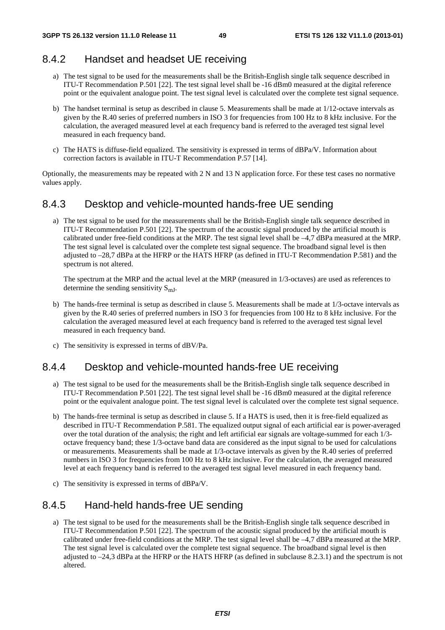### 8.4.2 Handset and headset UE receiving

- a) The test signal to be used for the measurements shall be the British-English single talk sequence described in ITU-T Recommendation P.501 [22]. The test signal level shall be -16 dBm0 measured at the digital reference point or the equivalent analogue point. The test signal level is calculated over the complete test signal sequence.
- b) The handset terminal is setup as described in clause 5. Measurements shall be made at 1/12-octave intervals as given by the R.40 series of preferred numbers in ISO 3 for frequencies from 100 Hz to 8 kHz inclusive. For the calculation, the averaged measured level at each frequency band is referred to the averaged test signal level measured in each frequency band.
- c) The HATS is diffuse-field equalized. The sensitivity is expressed in terms of dBPa/V. Information about correction factors is available in ITU-T Recommendation P.57 [14].

Optionally, the measurements may be repeated with 2 N and 13 N application force. For these test cases no normative values apply.

### 8.4.3 Desktop and vehicle-mounted hands-free UE sending

a) The test signal to be used for the measurements shall be the British-English single talk sequence described in ITU-T Recommendation P.501 [22]. The spectrum of the acoustic signal produced by the artificial mouth is calibrated under free-field conditions at the MRP. The test signal level shall be –4,7 dBPa measured at the MRP. The test signal level is calculated over the complete test signal sequence. The broadband signal level is then adjusted to –28,7 dBPa at the HFRP or the HATS HFRP (as defined in ITU-T Recommendation P.581) and the spectrum is not altered.

The spectrum at the MRP and the actual level at the MRP (measured in 1/3-octaves) are used as references to determine the sending sensitivity  $S_{mI}$ .

- b) The hands-free terminal is setup as described in clause 5. Measurements shall be made at 1/3-octave intervals as given by the R.40 series of preferred numbers in ISO 3 for frequencies from 100 Hz to 8 kHz inclusive. For the calculation the averaged measured level at each frequency band is referred to the averaged test signal level measured in each frequency band.
- c) The sensitivity is expressed in terms of dBV/Pa.

### 8.4.4 Desktop and vehicle-mounted hands-free UE receiving

- a) The test signal to be used for the measurements shall be the British-English single talk sequence described in ITU-T Recommendation P.501 [22]. The test signal level shall be -16 dBm0 measured at the digital reference point or the equivalent analogue point. The test signal level is calculated over the complete test signal sequence.
- b) The hands-free terminal is setup as described in clause 5. If a HATS is used, then it is free-field equalized as described in ITU-T Recommendation P.581. The equalized output signal of each artificial ear is power-averaged over the total duration of the analysis; the right and left artificial ear signals are voltage-summed for each 1/3 octave frequency band; these 1/3-octave band data are considered as the input signal to be used for calculations or measurements. Measurements shall be made at 1/3-octave intervals as given by the R.40 series of preferred numbers in ISO 3 for frequencies from 100 Hz to 8 kHz inclusive. For the calculation, the averaged measured level at each frequency band is referred to the averaged test signal level measured in each frequency band.
- c) The sensitivity is expressed in terms of dBPa/V.

### 8.4.5 Hand-held hands-free UE sending

a) The test signal to be used for the measurements shall be the British-English single talk sequence described in ITU-T Recommendation P.501 [22]. The spectrum of the acoustic signal produced by the artificial mouth is calibrated under free-field conditions at the MRP. The test signal level shall be –4,7 dBPa measured at the MRP. The test signal level is calculated over the complete test signal sequence. The broadband signal level is then adjusted to –24,3 dBPa at the HFRP or the HATS HFRP (as defined in subclause 8.2.3.1) and the spectrum is not altered.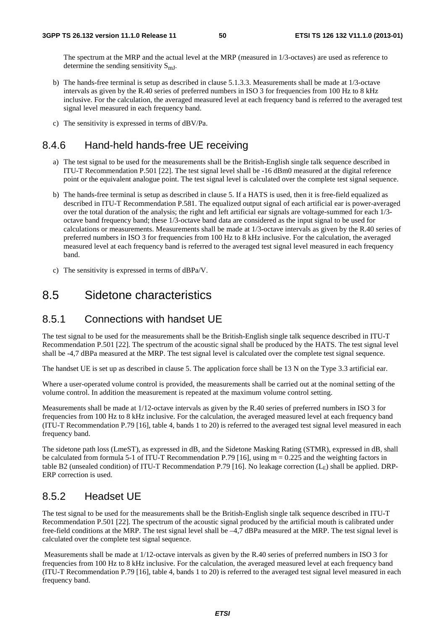The spectrum at the MRP and the actual level at the MRP (measured in 1/3-octaves) are used as reference to determine the sending sensitivity  $S_{mJ}$ .

- b) The hands-free terminal is setup as described in clause 5.1.3.3. Measurements shall be made at 1/3-octave intervals as given by the R.40 series of preferred numbers in ISO 3 for frequencies from 100 Hz to 8 kHz inclusive. For the calculation, the averaged measured level at each frequency band is referred to the averaged test signal level measured in each frequency band.
- c) The sensitivity is expressed in terms of dBV/Pa.

### 8.4.6 Hand-held hands-free UE receiving

- a) The test signal to be used for the measurements shall be the British-English single talk sequence described in ITU-T Recommendation P.501 [22]. The test signal level shall be -16 dBm0 measured at the digital reference point or the equivalent analogue point. The test signal level is calculated over the complete test signal sequence.
- b) The hands-free terminal is setup as described in clause 5. If a HATS is used, then it is free-field equalized as described in ITU-T Recommendation P.581. The equalized output signal of each artificial ear is power-averaged over the total duration of the analysis; the right and left artificial ear signals are voltage-summed for each 1/3 octave band frequency band; these 1/3-octave band data are considered as the input signal to be used for calculations or measurements. Measurements shall be made at 1/3-octave intervals as given by the R.40 series of preferred numbers in ISO 3 for frequencies from 100 Hz to 8 kHz inclusive. For the calculation, the averaged measured level at each frequency band is referred to the averaged test signal level measured in each frequency band.
- c) The sensitivity is expressed in terms of dBPa/V.

# 8.5 Sidetone characteristics

## 8.5.1 Connections with handset UE

The test signal to be used for the measurements shall be the British-English single talk sequence described in ITU-T Recommendation P.501 [22]. The spectrum of the acoustic signal shall be produced by the HATS. The test signal level shall be -4,7 dBPa measured at the MRP. The test signal level is calculated over the complete test signal sequence.

The handset UE is set up as described in clause 5. The application force shall be 13 N on the Type 3.3 artificial ear.

Where a user-operated volume control is provided, the measurements shall be carried out at the nominal setting of the volume control. In addition the measurement is repeated at the maximum volume control setting.

Measurements shall be made at 1/12-octave intervals as given by the R.40 series of preferred numbers in ISO 3 for frequencies from 100 Hz to 8 kHz inclusive. For the calculation, the averaged measured level at each frequency band (ITU-T Recommendation P.79 [16], table 4, bands 1 to 20) is referred to the averaged test signal level measured in each frequency band.

The sidetone path loss (LmeST), as expressed in dB, and the Sidetone Masking Rating (STMR), expressed in dB, shall be calculated from formula 5-1 of ITU-T Recommendation P.79 [16], using  $m = 0.225$  and the weighting factors in table B2 (unsealed condition) of ITU-T Recommendation P.79 [16]. No leakage correction  $(L_F)$  shall be applied. DRP-ERP correction is used.

### 8.5.2 Headset UE

The test signal to be used for the measurements shall be the British-English single talk sequence described in ITU-T Recommendation P.501 [22]. The spectrum of the acoustic signal produced by the artificial mouth is calibrated under free-field conditions at the MRP. The test signal level shall be –4,7 dBPa measured at the MRP. The test signal level is calculated over the complete test signal sequence.

 Measurements shall be made at 1/12-octave intervals as given by the R.40 series of preferred numbers in ISO 3 for frequencies from 100 Hz to 8 kHz inclusive. For the calculation, the averaged measured level at each frequency band (ITU-T Recommendation P.79 [16], table 4, bands 1 to 20) is referred to the averaged test signal level measured in each frequency band.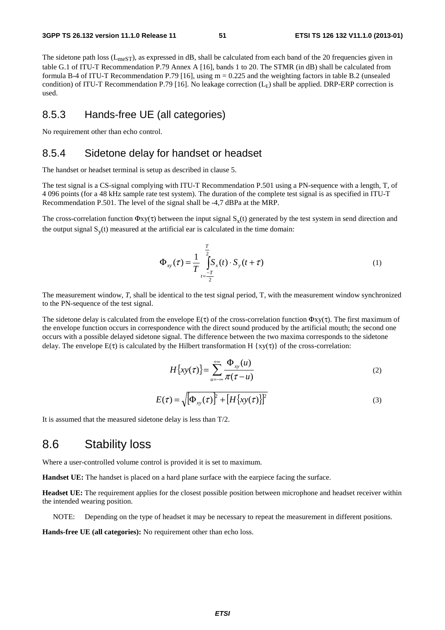The sidetone path loss  $(L_{meST})$ , as expressed in dB, shall be calculated from each band of the 20 frequencies given in table G.1 of ITU-T Recommendation P.79 Annex A [16], bands 1 to 20. The STMR (in dB) shall be calculated from formula B-4 of ITU-T Recommendation P.79 [16], using  $m = 0.225$  and the weighting factors in table B.2 (unsealed condition) of ITU-T Recommendation P.79 [16]. No leakage correction  $(L<sub>E</sub>)$  shall be applied. DRP-ERP correction is used.

### 8.5.3 Hands-free UE (all categories)

No requirement other than echo control.

### 8.5.4 Sidetone delay for handset or headset

The handset or headset terminal is setup as described in clause 5.

The test signal is a CS-signal complying with ITU-T Recommendation P.501 using a PN-sequence with a length, T, of 4 096 points (for a 48 kHz sample rate test system). The duration of the complete test signal is as specified in ITU-T Recommendation P.501. The level of the signal shall be -4,7 dBPa at the MRP.

The cross-correlation function  $\Phi xy(\tau)$  between the input signal  $S_{\tau}(t)$  generated by the test system in send direction and the output signal  $S_v(t)$  measured at the artificial ear is calculated in the time domain:

$$
\Phi_{xy}(\tau) = \frac{1}{T} \int_{t=\frac{-T}{2}}^{\frac{T}{2}} S_x(t) \cdot S_y(t+\tau)
$$
\n(1)

The measurement window, *T*, shall be identical to the test signal period, T, with the measurement window synchronized to the PN-sequence of the test signal.

The sidetone delay is calculated from the envelope  $E(\tau)$  of the cross-correlation function  $\Phi$ xy( $\tau$ ). The first maximum of the envelope function occurs in correspondence with the direct sound produced by the artificial mouth; the second one occurs with a possible delayed sidetone signal. The difference between the two maxima corresponds to the sidetone delay. The envelope  $E(\tau)$  is calculated by the Hilbert transformation H {xy( $\tau$ )} of the cross-correlation:

$$
H\big\{xy(\tau)\big\} = \sum_{u=-\infty}^{+\infty} \frac{\Phi_{xy}(u)}{\pi(\tau - u)}
$$
(2)

$$
E(\tau) = \sqrt{\left[\Phi_{xy}(\tau)\right]^2 + \left[H\left\{xy(\tau)\right\}\right]^2} \tag{3}
$$

It is assumed that the measured sidetone delay is less than T/2.

## 8.6 Stability loss

Where a user-controlled volume control is provided it is set to maximum.

**Handset UE:** The handset is placed on a hard plane surface with the earpiece facing the surface.

**Headset UE:** The requirement applies for the closest possible position between microphone and headset receiver within the intended wearing position.

NOTE: Depending on the type of headset it may be necessary to repeat the measurement in different positions.

**Hands-free UE (all categories):** No requirement other than echo loss.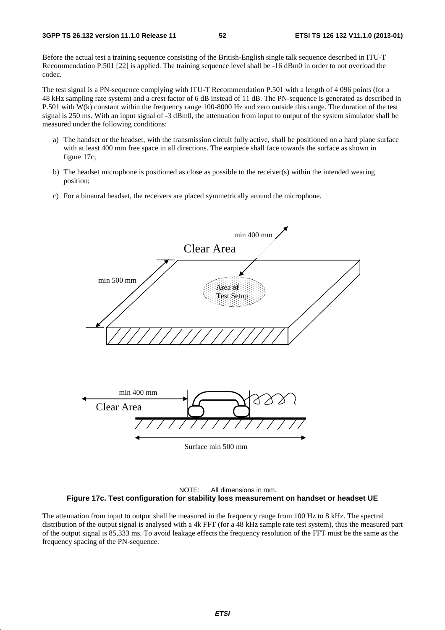Before the actual test a training sequence consisting of the British-English single talk sequence described in ITU-T Recommendation P.501 [22] is applied. The training sequence level shall be -16 dBm0 in order to not overload the codec.

The test signal is a PN-sequence complying with ITU-T Recommendation P.501 with a length of 4 096 points (for a 48 kHz sampling rate system) and a crest factor of 6 dB instead of 11 dB. The PN-sequence is generated as described in P.501 with W(k) constant within the frequency range 100-8000 Hz and zero outside this range. The duration of the test signal is 250 ms. With an input signal of -3 dBm0, the attenuation from input to output of the system simulator shall be measured under the following conditions:

- a) The handset or the headset, with the transmission circuit fully active, shall be positioned on a hard plane surface with at least 400 mm free space in all directions. The earpiece shall face towards the surface as shown in figure 17c;
- b) The headset microphone is positioned as close as possible to the receiver(s) within the intended wearing position;
- c) For a binaural headset, the receivers are placed symmetrically around the microphone.





The attenuation from input to output shall be measured in the frequency range from 100 Hz to 8 kHz. The spectral distribution of the output signal is analysed with a 4k FFT (for a 48 kHz sample rate test system), thus the measured part of the output signal is 85,333 ms. To avoid leakage effects the frequency resolution of the FFT must be the same as the frequency spacing of the PN-sequence.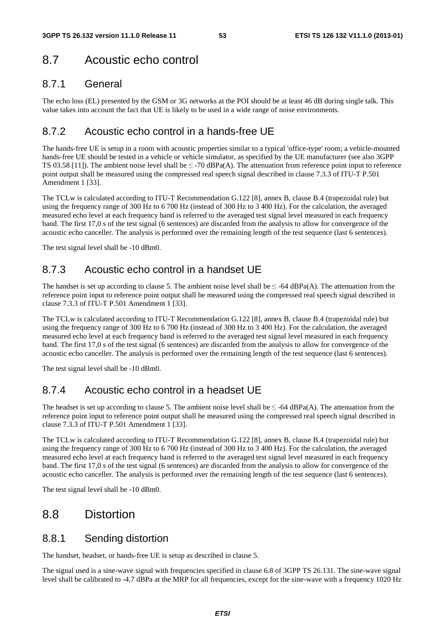# 8.7 Acoustic echo control

### 8.7.1 General

The echo loss (EL) presented by the GSM or 3G networks at the POI should be at least 46 dB during single talk. This value takes into account the fact that UE is likely to be used in a wide range of noise environments.

## 8.7.2 Acoustic echo control in a hands-free UE

The hands-free UE is setup in a room with acoustic properties similar to a typical 'office-type' room; a vehicle-mounted hands-free UE should be tested in a vehicle or vehicle simulator, as specified by the UE manufacturer (see also 3GPP TS 03.58 [11]). The ambient noise level shall be  $\leq$  -70 dBPa(A). The attenuation from reference point input to reference point output shall be measured using the compressed real speech signal described in clause 7.3.3 of ITU-T P.501 Amendment 1 [33].

The TCLw is calculated according to ITU-T Recommendation G.122 [8], annex B, clause B.4 (trapezoidal rule) but using the frequency range of 300 Hz to 6 700 Hz (instead of 300 Hz to 3 400 Hz). For the calculation, the averaged measured echo level at each frequency band is referred to the averaged test signal level measured in each frequency band. The first 17,0 s of the test signal (6 sentences) are discarded from the analysis to allow for convergence of the acoustic echo canceller. The analysis is performed over the remaining length of the test sequence (last 6 sentences).

The test signal level shall be -10 dBm0.

# 8.7.3 Acoustic echo control in a handset UE

The handset is set up according to clause 5. The ambient noise level shall be  $\leq$  -64 dBPa(A). The attenuation from the reference point input to reference point output shall be measured using the compressed real speech signal described in clause 7.3.3 of ITU-T P.501 Amendment 1 [33].

The TCLw is calculated according to ITU-T Recommendation G.122 [8], annex B, clause B.4 (trapezoidal rule) but using the frequency range of 300 Hz to 6 700 Hz (instead of 300 Hz to 3 400 Hz). For the calculation, the averaged measured echo level at each frequency band is referred to the averaged test signal level measured in each frequency band. The first 17,0 s of the test signal (6 sentences) are discarded from the analysis to allow for convergence of the acoustic echo canceller. The analysis is performed over the remaining length of the test sequence (last 6 sentences).

The test signal level shall be -10 dBm0.

# 8.7.4 Acoustic echo control in a headset UE

The headset is set up according to clause 5. The ambient noise level shall be  $\leq$  -64 dBPa(A). The attenuation from the reference point input to reference point output shall be measured using the compressed real speech signal described in clause 7.3.3 of ITU-T P.501 Amendment 1 [33].

The TCLw is calculated according to ITU-T Recommendation G.122 [8], annex B, clause B.4 (trapezoidal rule) but using the frequency range of 300 Hz to 6 700 Hz (instead of 300 Hz to 3 400 Hz). For the calculation, the averaged measured echo level at each frequency band is referred to the averaged test signal level measured in each frequency band. The first 17,0 s of the test signal (6 sentences) are discarded from the analysis to allow for convergence of the acoustic echo canceller. The analysis is performed over the remaining length of the test sequence (last 6 sentences).

The test signal level shall be -10 dBm0.

# 8.8 Distortion

## 8.8.1 Sending distortion

The handset, headset, or hands-free UE is setup as described in clause 5.

The signal used is a sine-wave signal with frequencies specified in clause 6.8 of 3GPP TS 26.131. The sine-wave signal level shall be calibrated to -4,7 dBPa at the MRP for all frequencies, except for the sine-wave with a frequency 1020 Hz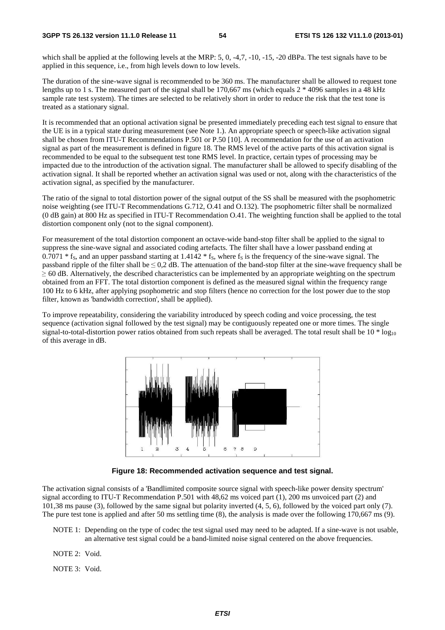which shall be applied at the following levels at the MRP: 5, 0, -4,7, -10, -15, -20 dBPa. The test signals have to be applied in this sequence, i.e., from high levels down to low levels.

The duration of the sine-wave signal is recommended to be 360 ms. The manufacturer shall be allowed to request tone lengths up to 1 s. The measured part of the signal shall be 170,667 ms (which equals 2 \* 4096 samples in a 48 kHz sample rate test system). The times are selected to be relatively short in order to reduce the risk that the test tone is treated as a stationary signal.

It is recommended that an optional activation signal be presented immediately preceding each test signal to ensure that the UE is in a typical state during measurement (see Note 1.). An appropriate speech or speech-like activation signal shall be chosen from ITU-T Recommendations P.501 or P.50 [10]. A recommendation for the use of an activation signal as part of the measurement is defined in figure 18. The RMS level of the active parts of this activation signal is recommended to be equal to the subsequent test tone RMS level. In practice, certain types of processing may be impacted due to the introduction of the activation signal. The manufacturer shall be allowed to specify disabling of the activation signal. It shall be reported whether an activation signal was used or not, along with the characteristics of the activation signal, as specified by the manufacturer.

The ratio of the signal to total distortion power of the signal output of the SS shall be measured with the psophometric noise weighting (see ITU-T Recommendations G.712, O.41 and O.132). The psophometric filter shall be normalized (0 dB gain) at 800 Hz as specified in ITU-T Recommendation O.41. The weighting function shall be applied to the total distortion component only (not to the signal component).

For measurement of the total distortion component an octave-wide band-stop filter shall be applied to the signal to suppress the sine-wave signal and associated coding artefacts. The filter shall have a lower passband ending at 0.7071  $*$  f<sub>S</sub>, and an upper passband starting at 1.4142  $*$  f<sub>S</sub>, where f<sub>S</sub> is the frequency of the sine-wave signal. The passband ripple of the filter shall be  $\leq 0.2$  dB. The attenuation of the band-stop filter at the sine-wave frequency shall be <sup>≥</sup> 60 dB. Alternatively, the described characteristics can be implemented by an appropriate weighting on the spectrum obtained from an FFT. The total distortion component is defined as the measured signal within the frequency range 100 Hz to 6 kHz, after applying psophometric and stop filters (hence no correction for the lost power due to the stop filter, known as 'bandwidth correction', shall be applied).

To improve repeatability, considering the variability introduced by speech coding and voice processing, the test sequence (activation signal followed by the test signal) may be contiguously repeated one or more times. The single signal-to-total-distortion power ratios obtained from such repeats shall be averaged. The total result shall be  $10 * log_{10}$ of this average in dB.



**Figure 18: Recommended activation sequence and test signal.** 

The activation signal consists of a 'Bandlimited composite source signal with speech-like power density spectrum' signal according to ITU-T Recommendation P.501 with 48,62 ms voiced part (1), 200 ms unvoiced part (2) and 101,38 ms pause (3), followed by the same signal but polarity inverted (4, 5, 6), followed by the voiced part only (7). The pure test tone is applied and after 50 ms settling time (8), the analysis is made over the following 170,667 ms (9).

- NOTE 1: Depending on the type of codec the test signal used may need to be adapted. If a sine-wave is not usable, an alternative test signal could be a band-limited noise signal centered on the above frequencies.
- NOTE 2: Void.
- NOTE 3: Void.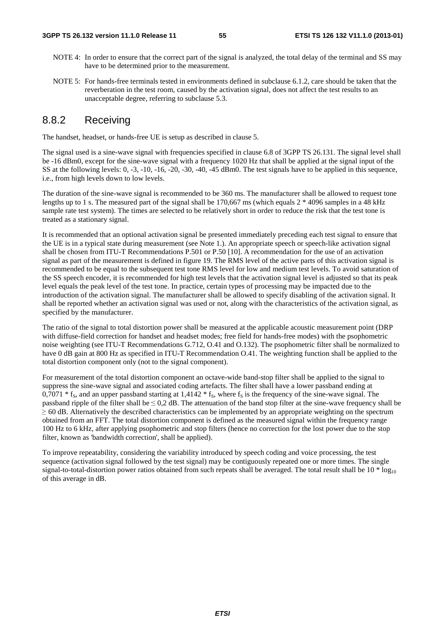- NOTE 4: In order to ensure that the correct part of the signal is analyzed, the total delay of the terminal and SS may have to be determined prior to the measurement.
- NOTE 5: For hands-free terminals tested in environments defined in subclause 6.1.2, care should be taken that the reverberation in the test room, caused by the activation signal, does not affect the test results to an unacceptable degree, referring to subclause 5.3.

### 8.8.2 Receiving

The handset, headset, or hands-free UE is setup as described in clause 5.

The signal used is a sine-wave signal with frequencies specified in clause 6.8 of 3GPP TS 26.131. The signal level shall be -16 dBm0, except for the sine-wave signal with a frequency 1020 Hz that shall be applied at the signal input of the SS at the following levels: 0, -3, -10, -16, -20, -30, -40, -45 dBm0. The test signals have to be applied in this sequence, i.e., from high levels down to low levels.

The duration of the sine-wave signal is recommended to be 360 ms. The manufacturer shall be allowed to request tone lengths up to 1 s. The measured part of the signal shall be 170,667 ms (which equals 2  $*$  4096 samples in a 48 kHz sample rate test system). The times are selected to be relatively short in order to reduce the risk that the test tone is treated as a stationary signal.

It is recommended that an optional activation signal be presented immediately preceding each test signal to ensure that the UE is in a typical state during measurement (see Note 1.). An appropriate speech or speech-like activation signal shall be chosen from ITU-T Recommendations P.501 or P.50 [10]. A recommendation for the use of an activation signal as part of the measurement is defined in figure 19. The RMS level of the active parts of this activation signal is recommended to be equal to the subsequent test tone RMS level for low and medium test levels. To avoid saturation of the SS speech encoder, it is recommended for high test levels that the activation signal level is adjusted so that its peak level equals the peak level of the test tone. In practice, certain types of processing may be impacted due to the introduction of the activation signal. The manufacturer shall be allowed to specify disabling of the activation signal. It shall be reported whether an activation signal was used or not, along with the characteristics of the activation signal, as specified by the manufacturer.

The ratio of the signal to total distortion power shall be measured at the applicable acoustic measurement point (DRP with diffuse-field correction for handset and headset modes; free field for hands-free modes) with the psophometric noise weighting (see ITU-T Recommendations G.712, O.41 and O.132). The psophometric filter shall be normalized to have 0 dB gain at 800 Hz as specified in ITU-T Recommendation O.41. The weighting function shall be applied to the total distortion component only (not to the signal component).

For measurement of the total distortion component an octave-wide band-stop filter shall be applied to the signal to suppress the sine-wave signal and associated coding artefacts. The filter shall have a lower passband ending at 0,7071  $*$  f<sub>S</sub>, and an upper passband starting at 1,4142  $*$  f<sub>S</sub>, where f<sub>S</sub> is the frequency of the sine-wave signal. The passband ripple of the filter shall be  $\leq 0.2$  dB. The attenuation of the band stop filter at the sine-wave frequency shall be <sup>≥</sup> 60 dB. Alternatively the described characteristics can be implemented by an appropriate weighting on the spectrum obtained from an FFT. The total distortion component is defined as the measured signal within the frequency range 100 Hz to 6 kHz, after applying psophometric and stop filters (hence no correction for the lost power due to the stop filter, known as 'bandwidth correction', shall be applied).

To improve repeatability, considering the variability introduced by speech coding and voice processing, the test sequence (activation signal followed by the test signal) may be contiguously repeated one or more times. The single signal-to-total-distortion power ratios obtained from such repeats shall be averaged. The total result shall be  $10 * log_{10}$ of this average in dB.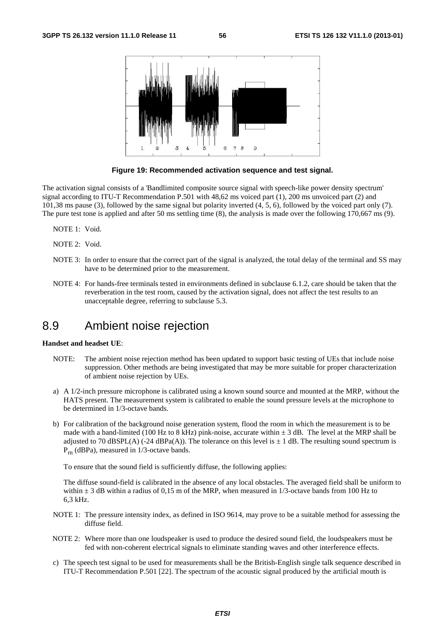

**Figure 19: Recommended activation sequence and test signal.** 

The activation signal consists of a 'Bandlimited composite source signal with speech-like power density spectrum' signal according to ITU-T Recommendation P.501 with 48,62 ms voiced part (1), 200 ms unvoiced part (2) and 101,38 ms pause (3), followed by the same signal but polarity inverted (4, 5, 6), followed by the voiced part only (7). The pure test tone is applied and after 50 ms settling time (8), the analysis is made over the following 170,667 ms (9).

NOTE 1: Void.

NOTE 2: Void.

- NOTE 3: In order to ensure that the correct part of the signal is analyzed, the total delay of the terminal and SS may have to be determined prior to the measurement.
- NOTE 4: For hands-free terminals tested in environments defined in subclause 6.1.2, care should be taken that the reverberation in the test room, caused by the activation signal, does not affect the test results to an unacceptable degree, referring to subclause 5.3.

# 8.9 Ambient noise rejection

#### **Handset and headset UE**:

- NOTE: The ambient noise rejection method has been updated to support basic testing of UEs that include noise suppression. Other methods are being investigated that may be more suitable for proper characterization of ambient noise rejection by UEs.
- a) A 1/2-inch pressure microphone is calibrated using a known sound source and mounted at the MRP, without the HATS present. The measurement system is calibrated to enable the sound pressure levels at the microphone to be determined in 1/3-octave bands.
- b) For calibration of the background noise generation system, flood the room in which the measurement is to be made with a band-limited (100 Hz to 8 kHz) pink-noise, accurate within  $\pm$  3 dB. The level at the MRP shall be adjusted to 70 dBSPL(A) (-24 dBPa(A)). The tolerance on this level is  $\pm$  1 dB. The resulting sound spectrum is Prn (dBPa), measured in 1/3-octave bands.

To ensure that the sound field is sufficiently diffuse, the following applies:

The diffuse sound-field is calibrated in the absence of any local obstacles. The averaged field shall be uniform to within  $\pm$  3 dB within a radius of 0,15 m of the MRP, when measured in 1/3-octave bands from 100 Hz to 6,3 kHz.

- NOTE 1: The pressure intensity index, as defined in ISO 9614, may prove to be a suitable method for assessing the diffuse field.
- NOTE 2: Where more than one loudspeaker is used to produce the desired sound field, the loudspeakers must be fed with non-coherent electrical signals to eliminate standing waves and other interference effects.
- c) The speech test signal to be used for measurements shall be the British-English single talk sequence described in ITU-T Recommendation P.501 [22]. The spectrum of the acoustic signal produced by the artificial mouth is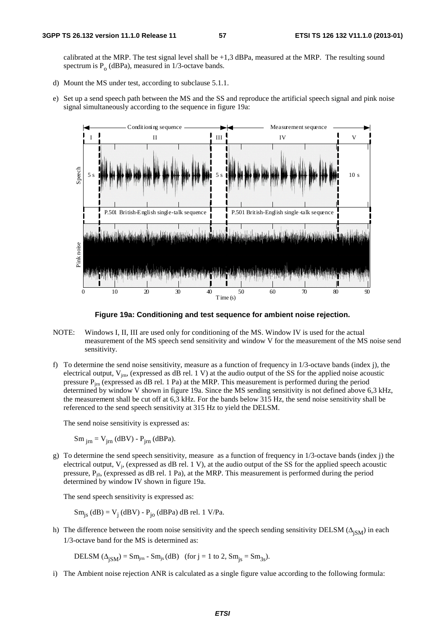calibrated at the MRP. The test signal level shall be  $+1,3$  dBPa, measured at the MRP. The resulting sound spectrum is  $P_0$  (dBPa), measured in 1/3-octave bands.

- d) Mount the MS under test, according to subclause 5.1.1.
- e) Set up a send speech path between the MS and the SS and reproduce the artificial speech signal and pink noise signal simultaneously according to the sequence in figure 19a:



**Figure 19a: Conditioning and test sequence for ambient noise rejection.** 

- NOTE: Windows I, II, III are used only for conditioning of the MS. Window IV is used for the actual measurement of the MS speech send sensitivity and window V for the measurement of the MS noise send sensitivity.
- f) To determine the send noise sensitivity, measure as a function of frequency in 1/3-octave bands (index j), the electrical output,  $V_{\text{im}}$ , (expressed as dB rel. 1 V) at the audio output of the SS for the applied noise acoustic pressure  $P_{im}$  (expressed as dB rel. 1 Pa) at the MRP. This measurement is performed during the period determined by window V shown in figure 19a. Since the MS sending sensitivity is not defined above 6,3 kHz, the measurement shall be cut off at 6,3 kHz. For the bands below 315 Hz, the send noise sensitivity shall be referenced to the send speech sensitivity at 315 Hz to yield the DELSM.

The send noise sensitivity is expressed as:

 $Sm_{irn} = V_{irn}$  (dBV) -  $P_{irn}$  (dBPa).

g) To determine the send speech sensitivity, measure as a function of frequency in  $1/3$ -octave bands (index j) the electrical output,  $V_i$ , (expressed as dB rel. 1 V), at the audio output of the SS for the applied speech acoustic pressure,  $P_{j0}$ , (expressed as dB rel. 1 Pa), at the MRP. This measurement is performed during the period determined by window IV shown in figure 19a.

The send speech sensitivity is expressed as:

 $Sm_{js}$  (dB) =  $V_j$  (dBV) -  $P_{jo}$  (dBPa) dB rel. 1 V/Pa.

h) The difference between the room noise sensitivity and the speech sending sensitivity DELSM ( $\Delta_{\text{ISM}}$ ) in each 1/3-octave band for the MS is determined as:

DELSM  $(\Delta_{\text{ISM}})$  = Sm<sub>im</sub> - Sm<sub>is</sub> (dB) (for j = 1 to 2, Sm<sub>is</sub> = Sm<sub>3s</sub>).

i) The Ambient noise rejection ANR is calculated as a single figure value according to the following formula: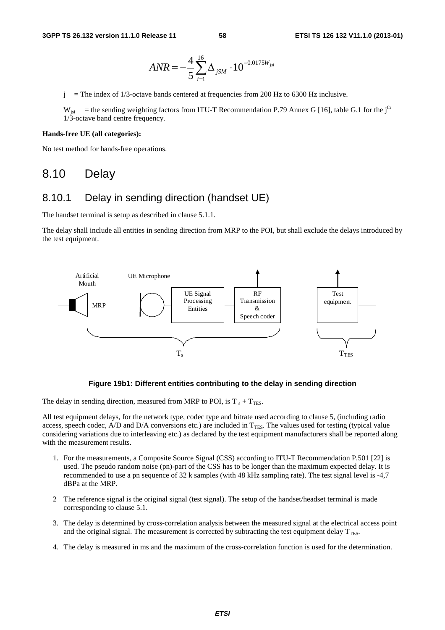$$
ANR = -\frac{4}{5} \sum_{i=1}^{16} \Delta_{jSM} \cdot 10^{-0.0175 W_{jsi}}
$$

 $j =$  The index of 1/3-octave bands centered at frequencies from 200 Hz to 6300 Hz inclusive.

 $W_{isi}$  = the sending weighting factors from ITU-T Recommendation P.79 Annex G [16], table G.1 for the j<sup>th</sup> 1/3-octave band centre frequency.

#### **Hands-free UE (all categories):**

No test method for hands-free operations.

# 8.10 Delay

#### 8.10.1 Delay in sending direction (handset UE)

The handset terminal is setup as described in clause 5.1.1.

The delay shall include all entities in sending direction from MRP to the POI, but shall exclude the delays introduced by the test equipment.



#### **Figure 19b1: Different entities contributing to the delay in sending direction**

The delay in sending direction, measured from MRP to POI, is  $T_s + T_{\text{TES}}$ .

All test equipment delays, for the network type, codec type and bitrate used according to clause 5, (including radio access, speech codec, A/D and D/A conversions etc.) are included in  $T<sub>TES</sub>$ . The values used for testing (typical value considering variations due to interleaving etc.) as declared by the test equipment manufacturers shall be reported along with the measurement results.

- 1. For the measurements, a Composite Source Signal (CSS) according to ITU-T Recommendation P.501 [22] is used. The pseudo random noise (pn)-part of the CSS has to be longer than the maximum expected delay. It is recommended to use a pn sequence of 32 k samples (with 48 kHz sampling rate). The test signal level is -4,7 dBPa at the MRP.
- 2 The reference signal is the original signal (test signal). The setup of the handset/headset terminal is made corresponding to clause 5.1.
- 3. The delay is determined by cross-correlation analysis between the measured signal at the electrical access point and the original signal. The measurement is corrected by subtracting the test equipment delay  $T_{\text{TES}}$ .
- 4. The delay is measured in ms and the maximum of the cross-correlation function is used for the determination.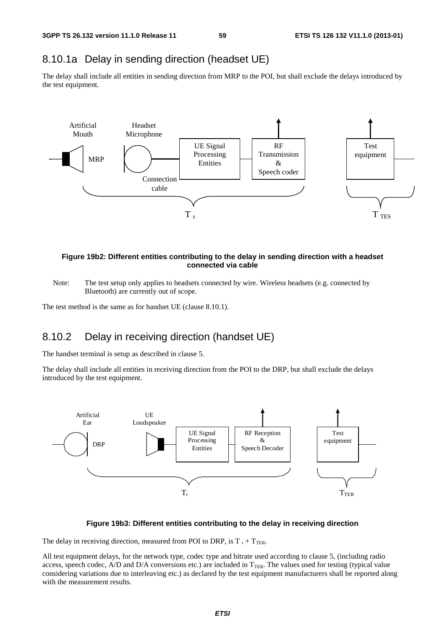### 8.10.1a Delay in sending direction (headset UE)

The delay shall include all entities in sending direction from MRP to the POI, but shall exclude the delays introduced by the test equipment.



#### **Figure 19b2: Different entities contributing to the delay in sending direction with a headset connected via cable**

Note: The test setup only applies to headsets connected by wire. Wireless headsets (e.g. connected by Bluetooth) are currently out of scope.

The test method is the same as for handset UE (clause 8.10.1).

### 8.10.2 Delay in receiving direction (handset UE)

The handset terminal is setup as described in clause 5.

The delay shall include all entities in receiving direction from the POI to the DRP, but shall exclude the delays introduced by the test equipment.



#### **Figure 19b3: Different entities contributing to the delay in receiving direction**

The delay in receiving direction, measured from POI to DRP, is  $T_r + T_{TER}$ .

All test equipment delays, for the network type, codec type and bitrate used according to clause 5, (including radio access, speech codec, A/D and D/A conversions etc.) are included in  $T_{\text{TER}}$ . The values used for testing (typical value considering variations due to interleaving etc.) as declared by the test equipment manufacturers shall be reported along with the measurement results.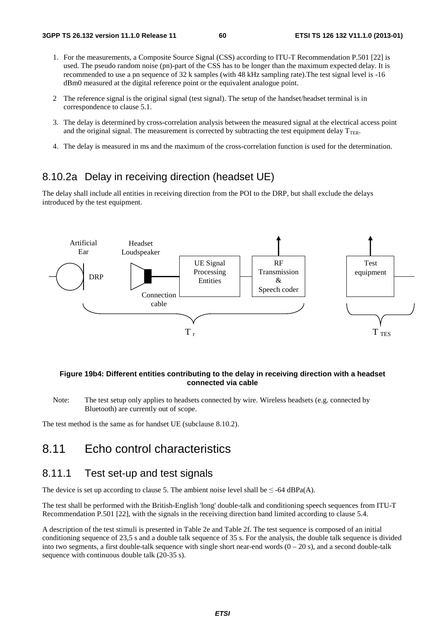- 1. For the measurements, a Composite Source Signal (CSS) according to ITU-T Recommendation P.501 [22] is used. The pseudo random noise (pn)-part of the CSS has to be longer than the maximum expected delay. It is recommended to use a pn sequence of 32 k samples (with 48 kHz sampling rate).The test signal level is -16 dBm0 measured at the digital reference point or the equivalent analogue point.
- 2 The reference signal is the original signal (test signal). The setup of the handset/headset terminal is in correspondence to clause 5.1.
- 3. The delay is determined by cross-correlation analysis between the measured signal at the electrical access point and the original signal. The measurement is corrected by subtracting the test equipment delay  $T_{\text{TER}}$ .
- 4. The delay is measured in ms and the maximum of the cross-correlation function is used for the determination.

### 8.10.2a Delay in receiving direction (headset UE)

The delay shall include all entities in receiving direction from the POI to the DRP, but shall exclude the delays introduced by the test equipment.



#### **Figure 19b4: Different entities contributing to the delay in receiving direction with a headset connected via cable**

Note: The test setup only applies to headsets connected by wire. Wireless headsets (e.g. connected by Bluetooth) are currently out of scope.

The test method is the same as for handset UE (subclause 8.10.2).

# 8.11 Echo control characteristics

### 8.11.1 Test set-up and test signals

The device is set up according to clause 5. The ambient noise level shall be  $\leq$  -64 dBPa(A).

The test shall be performed with the British-English 'long' double-talk and conditioning speech sequences from ITU-T Recommendation P.501 [22], with the signals in the receiving direction band limited according to clause 5.4.

A description of the test stimuli is presented in Table 2e and Table 2f. The test sequence is composed of an initial conditioning sequence of 23,5 s and a double talk sequence of 35 s. For the analysis, the double talk sequence is divided into two segments, a first double-talk sequence with single short near-end words  $(0 - 20 s)$ , and a second double-talk sequence with continuous double talk (20-35 s).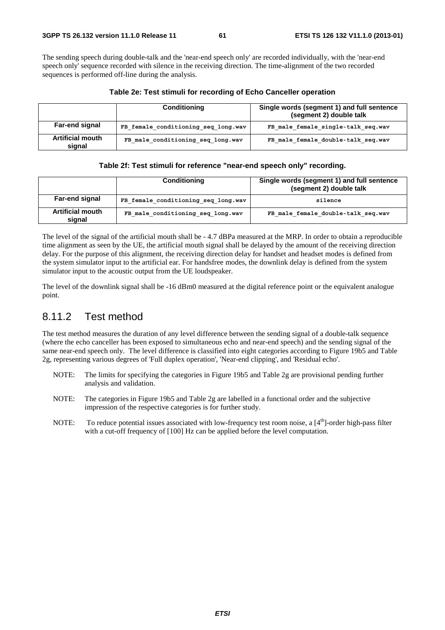The sending speech during double-talk and the 'near-end speech only' are recorded individually, with the 'near-end speech only' sequence recorded with silence in the receiving direction. The time-alignment of the two recorded sequences is performed off-line during the analysis.

|                                   | Conditioning                        | Single words (segment 1) and full sentence<br>(segment 2) double talk |
|-----------------------------------|-------------------------------------|-----------------------------------------------------------------------|
| Far-end signal                    | FB female conditioning seq long.wav | FB male female single-talk seq.wav                                    |
| <b>Artificial mouth</b><br>signal | FB male conditioning seq long.wav   | FB male female double-talk seq.wav                                    |

#### **Table 2e: Test stimuli for recording of Echo Canceller operation**

|                                   | <b>Conditioning</b>                 | Single words (segment 1) and full sentence<br>(segment 2) double talk |
|-----------------------------------|-------------------------------------|-----------------------------------------------------------------------|
| Far-end signal                    | FB female conditioning seq long.wav | silence                                                               |
| <b>Artificial mouth</b><br>signal | FB male conditioning seq long.wav   | FB male female double-talk seg.wav                                    |

The level of the signal of the artificial mouth shall be - 4.7 dBPa measured at the MRP. In order to obtain a reproducible time alignment as seen by the UE, the artificial mouth signal shall be delayed by the amount of the receiving direction delay. For the purpose of this alignment, the receiving direction delay for handset and headset modes is defined from the system simulator input to the artificial ear. For handsfree modes, the downlink delay is defined from the system simulator input to the acoustic output from the UE loudspeaker.

The level of the downlink signal shall be -16 dBm0 measured at the digital reference point or the equivalent analogue point.

### 8.11.2 Test method

The test method measures the duration of any level difference between the sending signal of a double-talk sequence (where the echo canceller has been exposed to simultaneous echo and near-end speech) and the sending signal of the same near-end speech only. The level difference is classified into eight categories according to Figure 19b5 and Table 2g, representing various degrees of 'Full duplex operation', 'Near-end clipping', and 'Residual echo'.

- NOTE: The limits for specifying the categories in Figure 19b5 and Table 2g are provisional pending further analysis and validation.
- NOTE: The categories in Figure 19b5 and Table 2g are labelled in a functional order and the subjective impression of the respective categories is for further study.
- NOTE: To reduce potential issues associated with low-frequency test room noise, a  $[4<sup>th</sup>]$ -order high-pass filter with a cut-off frequency of  $[100]$  Hz can be applied before the level computation.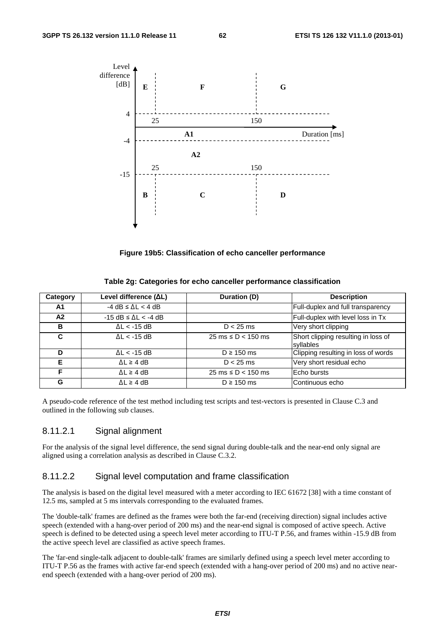

**Figure 19b5: Classification of echo canceller performance** 

| Table 2g: Categories for echo canceller performance classification |  |  |  |
|--------------------------------------------------------------------|--|--|--|
|--------------------------------------------------------------------|--|--|--|

| Category | Level difference (ΔL)                  | Duration (D)                            | <b>Description</b>                               |
|----------|----------------------------------------|-----------------------------------------|--------------------------------------------------|
| A1       | $-4$ dB $\leq$ $\Delta$ L $<$ 4 dB     |                                         | Full-duplex and full transparency                |
| A2       | $-15$ dB $\leq$ $\Delta$ L $\lt$ -4 dB |                                         | Full-duplex with level loss in Tx                |
| в        | $\Delta L < -15$ dB                    | $D < 25$ ms                             | Very short clipping                              |
| C        | $\Delta L < -15$ dB                    | $25 \text{ ms} \le D < 150 \text{ ms}$  | Short clipping resulting in loss of<br>syllables |
| D        | $\Delta L < -15$ dB                    | $D \ge 150$ ms                          | Clipping resulting in loss of words              |
| Е        | $\Delta L \geq 4$ dB                   | $D < 25$ ms                             | Very short residual echo                         |
| F        | $\Delta L \geq 4$ dB                   | $25 \text{ ms} \leq D < 150 \text{ ms}$ | Echo bursts                                      |
| G        | $\Delta L \geq 4$ dB                   | $D \ge 150$ ms                          | Continuous echo                                  |

A pseudo-code reference of the test method including test scripts and test-vectors is presented in Clause C.3 and outlined in the following sub clauses.

#### 8.11.2.1 Signal alignment

For the analysis of the signal level difference, the send signal during double-talk and the near-end only signal are aligned using a correlation analysis as described in Clause C.3.2.

#### 8.11.2.2 Signal level computation and frame classification

The analysis is based on the digital level measured with a meter according to IEC 61672 [38] with a time constant of 12.5 ms, sampled at 5 ms intervals corresponding to the evaluated frames.

The 'double-talk' frames are defined as the frames were both the far-end (receiving direction) signal includes active speech (extended with a hang-over period of 200 ms) and the near-end signal is composed of active speech. Active speech is defined to be detected using a speech level meter according to ITU-T P.56, and frames within -15.9 dB from the active speech level are classified as active speech frames.

The 'far-end single-talk adjacent to double-talk' frames are similarly defined using a speech level meter according to ITU-T P.56 as the frames with active far-end speech (extended with a hang-over period of 200 ms) and no active nearend speech (extended with a hang-over period of 200 ms).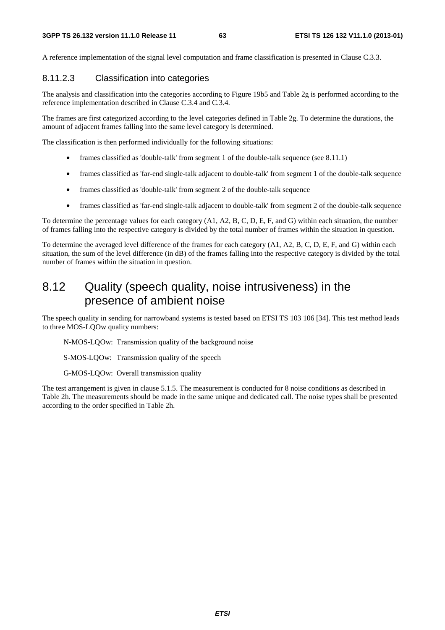A reference implementation of the signal level computation and frame classification is presented in Clause C.3.3.

#### 8.11.2.3 Classification into categories

The analysis and classification into the categories according to Figure 19b5 and Table 2g is performed according to the reference implementation described in Clause C.3.4 and C.3.4.

The frames are first categorized according to the level categories defined in Table 2g. To determine the durations, the amount of adjacent frames falling into the same level category is determined.

The classification is then performed individually for the following situations:

- frames classified as 'double-talk' from segment 1 of the double-talk sequence (see 8.11.1)
- frames classified as 'far-end single-talk adjacent to double-talk' from segment 1 of the double-talk sequence
- frames classified as 'double-talk' from segment 2 of the double-talk sequence
- frames classified as 'far-end single-talk adjacent to double-talk' from segment 2 of the double-talk sequence

To determine the percentage values for each category (A1, A2, B, C, D, E, F, and G) within each situation, the number of frames falling into the respective category is divided by the total number of frames within the situation in question.

To determine the averaged level difference of the frames for each category (A1, A2, B, C, D, E, F, and G) within each situation, the sum of the level difference (in dB) of the frames falling into the respective category is divided by the total number of frames within the situation in question.

# 8.12 Quality (speech quality, noise intrusiveness) in the presence of ambient noise

The speech quality in sending for narrowband systems is tested based on ETSI TS 103 106 [34]. This test method leads to three MOS-LQOw quality numbers:

N-MOS-LQOw: Transmission quality of the background noise

S-MOS-LQOw: Transmission quality of the speech

G-MOS-LQOw: Overall transmission quality

The test arrangement is given in clause 5.1.5. The measurement is conducted for 8 noise conditions as described in Table 2h. The measurements should be made in the same unique and dedicated call. The noise types shall be presented according to the order specified in Table 2h.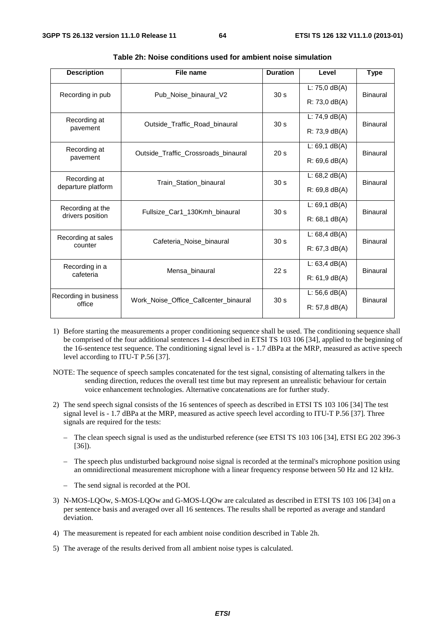| <b>Description</b>    | File name                                                       | <b>Duration</b> | Level                    | <b>Type</b>     |  |
|-----------------------|-----------------------------------------------------------------|-----------------|--------------------------|-----------------|--|
| Recording in pub      | Pub_Noise_binaural_V2                                           | 30 <sub>s</sub> | L: $75,0$ dB(A)          | Binaural        |  |
|                       |                                                                 |                 | $R: 73.0 \text{ dB}(A)$  |                 |  |
| Recording at          | Outside_Traffic_Road_binaural                                   | 30 <sub>s</sub> | $L: 74, 9$ dB(A)         | Binaural        |  |
| pavement              |                                                                 |                 | $R: 73, 9 \text{ dB}(A)$ |                 |  |
| Recording at          | Outside_Traffic_Crossroads_binaural                             | 20 <sub>s</sub> | $L: 69, 1$ dB(A)         | <b>Binaural</b> |  |
| pavement              |                                                                 |                 | $R: 69, 6$ dB(A)         |                 |  |
| Recording at          | 30 <sub>s</sub><br>Train Station binaural<br>departure platform |                 | L: $68,2$ dB(A)          | <b>Binaural</b> |  |
|                       |                                                                 |                 | $R: 69.8$ dB(A)          |                 |  |
| Recording at the      | Fullsize Car1 130Kmh binaural                                   | 30 <sub>s</sub> | $L: 69, 1$ dB(A)         | Binaural        |  |
| drivers position      |                                                                 |                 | $R: 68, 1$ dB(A)         |                 |  |
| Recording at sales    | Cafeteria Noise binaural                                        | 30 <sub>s</sub> | L: $68,4$ dB(A)          | <b>Binaural</b> |  |
| counter               |                                                                 |                 | R: 67, 3 dB(A)           |                 |  |
| Recording in a        | Mensa binaural                                                  | 22s             | $L: 63,4$ dB(A)          | Binaural        |  |
| cafeteria             |                                                                 |                 | $R: 61.9$ dB(A)          |                 |  |
| Recording in business | Work Noise Office Callcenter binaural                           | 30 <sub>s</sub> | $L: 56, 6$ dB(A)         | Binaural        |  |
| office                |                                                                 |                 | $R: 57, 8$ dB(A)         |                 |  |

| Table 2h: Noise conditions used for ambient noise simulation |  |  |  |  |  |
|--------------------------------------------------------------|--|--|--|--|--|
|--------------------------------------------------------------|--|--|--|--|--|

- 1) Before starting the measurements a proper conditioning sequence shall be used. The conditioning sequence shall be comprised of the four additional sentences 1-4 described in ETSI TS 103 106 [34], applied to the beginning of the 16-sentence test sequence. The conditioning signal level is - 1.7 dBPa at the MRP, measured as active speech level according to ITU-T P.56 [37].
- NOTE: The sequence of speech samples concatenated for the test signal, consisting of alternating talkers in the sending direction, reduces the overall test time but may represent an unrealistic behaviour for certain voice enhancement technologies. Alternative concatenations are for further study.
- 2) The send speech signal consists of the 16 sentences of speech as described in ETSI TS 103 106 [34] The test signal level is - 1.7 dBPa at the MRP, measured as active speech level according to ITU-T P.56 [37]. Three signals are required for the tests:
	- The clean speech signal is used as the undisturbed reference (see ETSI TS 103 106 [34], ETSI EG 202 396-3 [36]).
	- The speech plus undisturbed background noise signal is recorded at the terminal's microphone position using an omnidirectional measurement microphone with a linear frequency response between 50 Hz and 12 kHz.
	- The send signal is recorded at the POI.
- 3) N-MOS-LQOw, S-MOS-LQOw and G-MOS-LQOw are calculated as described in ETSI TS 103 106 [34] on a per sentence basis and averaged over all 16 sentences. The results shall be reported as average and standard deviation.
- 4) The measurement is repeated for each ambient noise condition described in Table 2h.
- 5) The average of the results derived from all ambient noise types is calculated.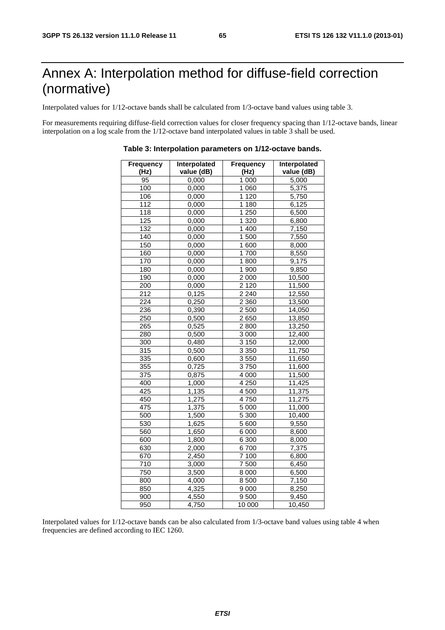# Annex A: Interpolation method for diffuse-field correction (normative)

Interpolated values for 1/12-octave bands shall be calculated from 1/3-octave band values using table 3.

For measurements requiring diffuse-field correction values for closer frequency spacing than 1/12-octave bands, linear interpolation on a log scale from the 1/12-octave band interpolated values in table 3 shall be used.

| <b>Frequency</b> | Interpolated       | <b>Frequency</b> | Interpolated |  |
|------------------|--------------------|------------------|--------------|--|
| (Hz)             | value (dB)         | (Hz)             | value (dB)   |  |
| 95               | 0,000              | 1 0 0 0          | 5,000        |  |
| 100              | 0,000              | 1 0 6 0          | 5,375        |  |
| 106              | 0,000              | 1120             | 5,750        |  |
| $\overline{112}$ | 0,000              | 1 1 8 0          | 6,125        |  |
| $\overline{118}$ | 0,000              | 1 2 5 0          | 6,500        |  |
| 125              | 0,000              | 1 3 2 0          | 6,800        |  |
| 132              | 0,000              | 1 400            | 7,150        |  |
| 140              | 0,000              | 1500             | 7,550        |  |
| 150              | 0,000              | 1600             | 8,000        |  |
| 160              | 0,000              | 1700             | 8,550        |  |
| 170              | 0,000              | 1800             | 9,175        |  |
| 180              | 0,000              | 1 900            | 9,850        |  |
| 190              | 0,000              | 2 0 0 0          | 10,500       |  |
| $\frac{1}{200}$  | 0,000              | 2120             | 11,500       |  |
| 212              | 0,125              | 2 2 4 0          | 12,550       |  |
| 224              | 0,250              | 2 3 6 0          | 13,500       |  |
| 236              | 0,390              | 2500             | 14,050       |  |
| 250              | 0,500              | 2650             | 13,850       |  |
| 265              | 0,525              | 2800             | 13,250       |  |
| 280              | 0,500              | 3 0 0 0          | 12,400       |  |
| $\overline{300}$ | 0,480              | 3150             | 12,000       |  |
| 315              | 0,500              | 3 3 5 0          | 11,750       |  |
| $\overline{335}$ | 0,600              | 3550             | 11,650       |  |
| 355              | 0,725              | 3750             | 11,600       |  |
| $\overline{375}$ | 0,875              | $\frac{4000}{ }$ | 11,500       |  |
| 400              | 1,000              | 4 2 5 0          | 11,425       |  |
| 425              | 1,135              | 4 500            | 11,375       |  |
| 450              | 1,275              | 4750             | 11,275       |  |
| 475              | 1,375              | 5 0 0 0          | 11,000       |  |
| 500              | 1,500              | 5 300            | 10,400       |  |
| 530              | 1,625              | 5 600            | 9,550        |  |
| 560              | 1,650              | 6 0 0 0          | 8,600        |  |
| 600              | 1,800              | 6 300            | 8,000        |  |
| 630              | 2,000              | 6700             | 7,375        |  |
| 670              | 2,450              | 7 100            | 6,800        |  |
| 710              | 3,000              | 7500             | 6,450        |  |
| 750              | 3,500              | 8 0 0 0          | 6,500        |  |
| 800              | 4,000              | 8 500            | 7,150        |  |
| 850              | $\frac{1}{4,325}$  | 9 0 0 0          | 8,250        |  |
| 900              | 4,550              | 9500             | 9,450        |  |
| 950              | $\overline{4,}750$ | 10 000           | 10,450       |  |

**Table 3: Interpolation parameters on 1/12-octave bands.** 

Interpolated values for 1/12-octave bands can be also calculated from 1/3-octave band values using table 4 when frequencies are defined according to IEC 1260.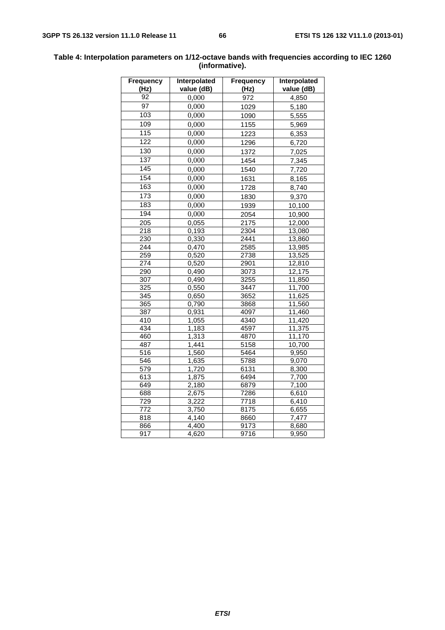| Frequency<br>(Hz) | Interpolated<br>value (dB) | <b>Frequency</b><br>(Hz) | Interpolated<br>value (dB) |
|-------------------|----------------------------|--------------------------|----------------------------|
| $\overline{92}$   | 0,000                      | 972                      | 4,850                      |
| $\overline{97}$   | 0,000                      | 1029                     | 5,180                      |
| 103               | 0,000                      | 1090                     | 5,555                      |
| 109               | 0,000                      | 1155                     | 5,969                      |
| 115               | 0,000                      | 1223                     | 6,353                      |
| 122               | 0,000                      | 1296                     | 6,720                      |
| 130               | 0,000                      | 1372                     | 7,025                      |
| 137               | 0,000                      | 1454                     | 7,345                      |
| 145               | 0,000                      | 1540                     | 7,720                      |
| 154               | 0,000                      | 1631                     | 8,165                      |
| 163               | 0,000                      |                          |                            |
| 173               | 0,000                      | 1728                     | 8,740                      |
| 183               |                            | 1830                     | 9,370                      |
|                   | 0,000                      | 1939                     | 10,100                     |
| 194               | 0,000                      | 2054                     | 10,900                     |
| $\frac{205}{ }$   | 0,055                      | 2175                     | 12,000                     |
| $\overline{218}$  | 0,193                      | 2304                     | 13,080                     |
| 230               | 0,330                      | 2441                     | 13,860                     |
| $\overline{244}$  | 0,470                      | 2585                     | 13,985                     |
| 259               | 0,520                      | 2738                     | 13,525                     |
| 274               | 0,520                      | 2901                     | 12,810                     |
| 290               | 0,490                      | 3073                     | 12,175                     |
| 307               | 0,490                      | 3255                     | 11,850                     |
| 325               | 0,550                      | 3447                     | 11,700                     |
| 345               | 0,650                      | 3652                     | 11,625                     |
| 365               | 0,790                      | 3868                     | 11,560                     |
| 387               | 0,931                      | 4097                     | 11,460                     |
| $\overline{410}$  | 1,055                      | 4340                     | 11,420                     |
| 434               | 1,183                      | 4597                     | 11,375                     |
| 460               | 1,313                      | 4870                     | 11,170                     |
| 487               | 1,441                      | 5158                     | 10,700                     |
| $\overline{516}$  | 1,560                      | 5464                     | 9,950                      |
| 546               | 1,635                      | 5788                     | 9,070                      |
| 579               | 1,720                      | 6131                     | 8,300                      |
| 613               | 1,875                      | 6494                     | 7,700                      |
| 649               | 2,180                      | 6879                     | 7,100                      |
| 688               | 2,675                      | 7286                     | 6,610                      |
| 729               | 3,222                      | $\overline{7}718$        | 6,410                      |
| 772               | 3,750                      | 8175                     | 6,655                      |
| 818               | 4,140                      | 8660                     | 7,477                      |
| 866               | $\overline{4,}400$         | 9173                     | 8,680                      |
| 917               | 4,620                      | $\frac{1}{97}$ 16        | 9,950                      |

#### **Table 4: Interpolation parameters on 1/12-octave bands with frequencies according to IEC 1260 (informative).**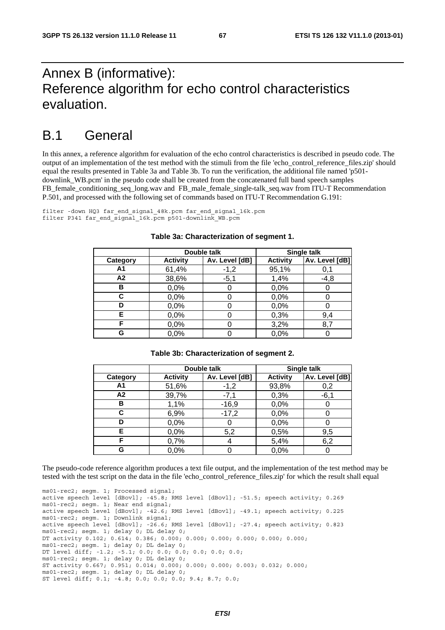# Annex B (informative): Reference algorithm for echo control characteristics evaluation.

# B.1 General

In this annex, a reference algorithm for evaluation of the echo control characteristics is described in pseudo code. The output of an implementation of the test method with the stimuli from the file 'echo\_control\_reference\_files.zip' should equal the results presented in Table 3a and Table 3b. To run the verification, the additional file named 'p501 downlink\_WB.pcm' in the pseudo code shall be created from the concatenated full band speech samples FB\_female\_conditioning\_seq\_long.wav and FB\_male\_female\_single-talk\_seq.wav from ITU-T Recommendation P.501, and processed with the following set of commands based on ITU-T Recommendation G.191:

filter -down HQ3 far\_end\_signal\_48k.pcm far\_end\_signal\_16k.pcm filter P341 far end signal 16k.pcm p501-downlink WB.pcm

|          | Double talk     |                | Single talk     |                |
|----------|-----------------|----------------|-----------------|----------------|
| Category | <b>Activity</b> | Av. Level [dB] | <b>Activity</b> | Av. Level [dB] |
| A1       | 61,4%           | $-1,2$         | 95,1%           | 0,1            |
| A2       | 38,6%           | $-5,1$         | 1,4%            | -4,8           |
| в        | 0,0%            |                | 0,0%            |                |
| С        | 0,0%            |                | 0,0%            |                |
| D        | 0,0%            |                | 0,0%            |                |
| Е        | 0,0%            |                | 0,3%            | 9,4            |
| F        | 0,0%            |                | 3,2%            | 8,7            |
| G        | 0,0%            |                | 0,0%            |                |

#### **Table 3a: Characterization of segment 1.**

#### **Table 3b: Characterization of segment 2.**

|          | Double talk     |                | Single talk     |                |
|----------|-----------------|----------------|-----------------|----------------|
| Category | <b>Activity</b> | Av. Level [dB] | <b>Activity</b> | Av. Level [dB] |
| Α1       | 51,6%           | $-1,2$         | 93,8%           | 0,2            |
| A2       | 39,7%           | $-7,1$         | 0,3%            | $-6,1$         |
| в        | 1,1%            | $-16,9$        | 0,0%            | O              |
| С        | 6,9%            | $-17,2$        | 0,0%            |                |
| D        | 0,0%            |                | 0,0%            |                |
| Е        | 0,0%            | 5,2            | 0,5%            | 9,5            |
| F        | 0,7%            |                | 5,4%            | 6,2            |
| G        | 0,0%            |                | 0,0%            |                |

The pseudo-code reference algorithm produces a text file output, and the implementation of the test method may be tested with the test script on the data in the file 'echo\_control\_reference\_files.zip' for which the result shall equal

ms01-rec2; segm. 1; Processed signal; active speech level [dBovl]; -45.8; RMS level [dBovl]; -51.5; speech activity; 0.269 ms01-rec2; segm. 1; Near end signal; active speech level [dBovl]; -42.6; RMS level [dBovl]; -49.1; speech activity; 0.225 ms01-rec2; segm. 1; Downlink signal; active speech level [dBovl]; -26.6; RMS level [dBovl]; -27.4; speech activity; 0.823 ms01-rec2; segm. 1; delay 0; DL delay 0; DT activity 0.102; 0.614; 0.386; 0.000; 0.000; 0.000; 0.000; 0.000; 0.000; ms01-rec2; segm. 1; delay 0; DL delay 0; DT level diff; -1.2; -5.1; 0.0; 0.0; 0.0; 0.0; 0.0; 0.0; ms01-rec2; segm. 1; delay 0; DL delay 0; ST activity 0.667; 0.951; 0.014; 0.000; 0.000; 0.000; 0.003; 0.032; 0.000; ms01-rec2; segm. 1; delay 0; DL delay 0; ST level diff; 0.1; -4.8; 0.0; 0.0; 0.0; 9.4; 8.7; 0.0;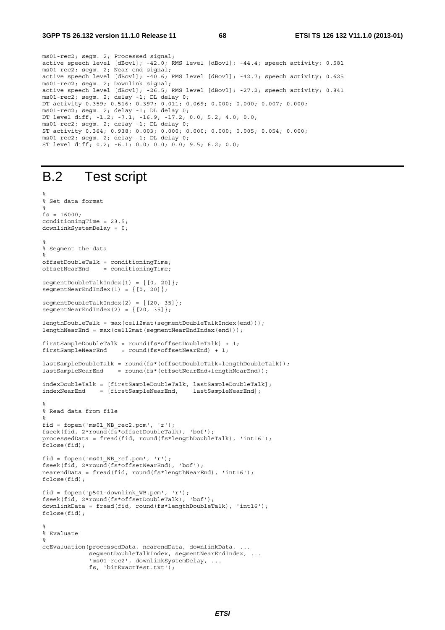ms01-rec2; segm. 2; Processed signal; active speech level [dBovl]; -42.0; RMS level [dBovl]; -44.4; speech activity; 0.581 ms01-rec2; segm. 2; Near end signal; active speech level [dBovl]; -40.6; RMS level [dBovl]; -42.7; speech activity; 0.625 ms01-rec2; segm. 2; Downlink signal; active speech level [dBovl]; -26.5; RMS level [dBovl]; -27.2; speech activity; 0.841 ms01-rec2; segm. 2; delay -1; DL delay 0; DT activity 0.359; 0.516; 0.397; 0.011; 0.069; 0.000; 0.000; 0.007; 0.000; ms01-rec2; segm. 2; delay -1; DL delay 0; DT level diff; -1.2; -7.1; -16.9; -17.2; 0.0; 5.2; 4.0; 0.0; ms01-rec2; segm. 2; delay -1; DL delay 0; ST activity 0.364; 0.938; 0.003; 0.000; 0.000; 0.000; 0.005; 0.054; 0.000; ms01-rec2; segm. 2; delay -1; DL delay 0; ST level diff; 0.2; -6.1; 0.0; 0.0; 0.0; 9.5; 6.2; 0.0;

# B.2 Test script

%

```
% Set data format 
% 
fs = 16000;conditioningTime = 23.5;
downlinkSystemDelay = 0; 
% 
% Segment the data 
% 
offsetDoubleTalk = conditioningTime; 
offsetNearEnd = conditioningTime;segmentDoubleTalkIndex(1) = \{ [0, 20] \};segmentNearEndIndex(1) = \{ [0, 20] \};segmentDoubleTalkIndex(2) = \{ [20, 35] \};segmentNearEndIndex(2) = \{ [20, 35] \};lengthDoubleTalk = max(cell2mat(segmentDoubleTalkIndex(end))); 
lengthNearEnd = max(cell2mat(segmentNearEndIndex(end))); 
firstSampleDoubleTalk = round(fs*offsetDoubleTalk) + 1; 
firstSampleNearEnd = round(fs*offsetNearEnd) + 1;lastSampleDoubleTalk = round(fs*(offsetDoubleTalk+lengthDoubleTalk)); 
lastSampleNearEnd = round(fs*(offsetNearEnd+lengthNearEnd)); 
indexDoubleTalk = [firstSampleDoubleTalk, lastSampleDoubleTalk]; 
indexNearEnd = [firstSampleNearEnd,\mathbf{S}% Read data from file 
% 
fid = fopen('ms01 WB rec2.pcm', 'r');
fseek(fid, 2*round(fs*offsetDoubleTalk), 'bof'); 
processedData = fread(fid, round(fs*lengthDoubleTalk), 'int16'); 
fclose(fid);
fid = fopen('ms01_WB_ref.pcm', 'r'); 
fseek(fid, 2*round(fs*offsetNearEnd), 'bof'); 
nearendData = fread(fid, round(fs*lengthNearEnd), 'int16'); 
fclose(fid); 
fid = fopen('p501-downlink_WB.pcm', 'r'); 
fseek(fid, 2*round(fs*offsetDoubleTalk), 'bof'); 
downlinkData = fread(fid, round(fs*lengthDoubleTalk), 'int16'); 
fclose(fid); 
% 
% Evaluate 
% 
ecEvaluation(processedData, nearendData, downlinkData, ... 
             seqmentDoubleTalkIndex, seqmentNearEndIndex, ...
              'ms01-rec2', downlinkSystemDelay, ... 
              fs, 'bitExactTest.txt');
```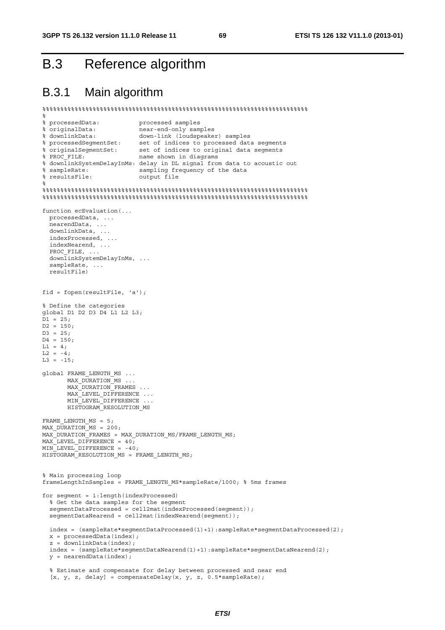# B.3 Reference algorithm

# B.3.1 Main algorithm

```
%%%%%%%%%%%%%%%%%%%%%%%%%%%%%%%%%%%%%%%%%%%%%%%%%%%%%%%%%%%%%%%%%%%%%%%%%% 
% 
% processedData: processed samples 
% originalData: near-end-only samples 
% downlinkData: down-link (loudspeaker) samples 
% processedSegmentSet: set of indices to processed data segments 
% originalSegmentSet: set of indices to original data segments 
% PROC_FILE: name shown in diagrams 
% downlinkSystemDelayInMs: delay in DL signal from data to acoustic out 
% sampleRate: sampling frequency of the data 
% resultsFile: output file 
% 
%%%%%%%%%%%%%%%%%%%%%%%%%%%%%%%%%%%%%%%%%%%%%%%%%%%%%%%%%%%%%%%%%%%%%%%%%% 
%%%%%%%%%%%%%%%%%%%%%%%%%%%%%%%%%%%%%%%%%%%%%%%%%%%%%%%%%%%%%%%%%%%%%%%%%% 
function ecEvaluation(... 
   processedData, ... 
  .<br>nearendData, ...
   downlinkData, ... 
  indexProcessed, ... 
   indexNearend, ... 
  PROC_FILE, ..
   downlinkSystemDelayInMs, ... 
  sampleRate, ...
   resultFile) 
fid = fopen(resultFile, 'a'); 
% Define the categories 
global D1 D2 D3 D4 L1 L2 L3; 
D1 = 25;D2 = 150D3 = 25;D4 = 150L1 = 4;L2 = -4;L3 = -15;global FRAME_LENGTH_MS ... 
      MAX DURATION MS ...
      MAX_DURATION_FRAMES ...
      MAX_LEVEL_DIFFERENCE ...
      MIN_LEVEL_DIFFERENCE ...
       HISTOGRAM_RESOLUTION_MS 
FRAME_LENGTH_MS = 5; 
MAX DURATION MS = 200;
\overline{MAX}DURATION\overline{F}RAMES = MAX DURATION MS/FRAME LENGTH MS;
MAX LEVEL DIFFERENCE = 40;
MIN_LEVEL_DIFFERENCE = -40; 
HISTOGRAM RESOLUTION MS = FRAME LENGTH MS;
% Main processing loop 
frameLengthInSamples = FRAME_LENGTH_MS*sampleRate/1000; % 5ms frames 
for segment = 1:length(indexProcessed) 
   % Get the data samples for the segment 
   segmentDataProcessed = cell2mat(indexProcessed(segment)); 
   segmentDataNearend = cell2mat(indexNearend(segment)); 
   index = (sampleRate*segmentDataProcessed(1)+1):sampleRate*segmentDataProcessed(2); 
 x = processedData(index);
   z = downlinkData(index); 
   index = (sampleRate*segmentDataNearend(1)+1):sampleRate*segmentDataNearend(2); 
  y = nearendData(index);
   % Estimate and compensate for delay between processed and near end
```
[x, y, z, delay] = compensateDelay(x, y, z,  $0.5*$ sampleRate);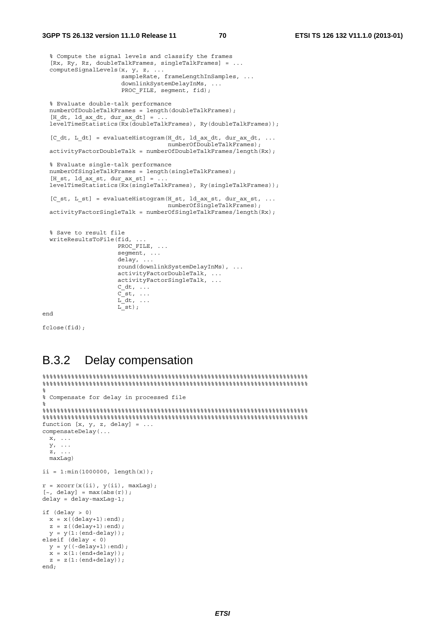#### **3GPP TS 26.132 version 11.1.0 Release 11 70 ETSI TS 126 132 V11.1.0 (2013-01)**

```
 % Compute the signal levels and classify the frames 
  [Rx, Ry, Rz, doubleTalkFrames, singleTalkFrames] = ... 
  computeSignalLevels(x, y, z, ... 
                      sampleRate, frameLengthInSamples, ... 
                      downlinkSystemDelayInMs, ... 
                      PROC FILE, segment, fid);
  % Evaluate double-talk performance 
 numberOfDoubleTalkFrames = length(doubleTalkFrames);
 [H dt, ld ax dt, dur ax dt] = \dotslevelTimeStatistics(Rx(doubleTalkFrames), Ry(doubleTalkFrames));
 [C dt, L dt] = evaluateHistogram(H dt, ld ax dt, dur ax dt, ...
                                  numberOfDoubleTalkFrames);
  activityFactorDoubleTalk = numberOfDoubleTalkFrames/length(Rx); 
  % Evaluate single-talk performance 
  numberOfSingleTalkFrames = length(singleTalkFrames); 
 [H st, ld ax st, dur ax st] = \dots levelTimeStatistics(Rx(singleTalkFrames), Ry(singleTalkFrames)); 
 [C st, L st] = evaluateHistogram(H st, ld ax st, dur ax st, ...
                                   numberOfSingleTalkFrames); 
 activityFactorSingleTable = numberOfSingleTableTrans/length(Rx); % Save to result file 
 writeResultsToFile(fid,
                    PROC_FILE, ...
                    seqment, ...
                     delay, ... 
                     round(downlinkSystemDelayInMs), ... 
                     activityFactorDoubleTalk, ... 
                     activityFactorSingleTalk, ... 
                    C_ddt, ...
Cst, \ldotsL \, dt, \ldotsLst);
```
end

fclose(fid);

# B.3.2 Delay compensation

```
%%%%%%%%%%%%%%%%%%%%%%%%%%%%%%%%%%%%%%%%%%%%%%%%%%%%%%%%%%%%%%%%%%%%%%%%%% 
%%%%%%%%%%%%%%%%%%%%%%%%%%%%%%%%%%%%%%%%%%%%%%%%%%%%%%%%%%%%%%%%%%%%%%%%%% 
% 
% Compensate for delay in processed file 
% 
%%%%%%%%%%%%%%%%%%%%%%%%%%%%%%%%%%%%%%%%%%%%%%%%%%%%%%%%%%%%%%%%%%%%%%%%%% 
%%%%%%%%%%%%%%%%%%%%%%%%%%%%%%%%%%%%%%%%%%%%%%%%%%%%%%%%%%%%%%%%%%%%%%%%%% 
function [x, y, z, delay] = ...compensateDelay(... 
 x, \ldots y, ... 
 z, \ldots maxLag) 
ii = 1: min(1000000, lenath(x));r = xcorr(x(ii), y(ii), maxLaq);[-, delay] = max(abs(r));
delay = delay-maxLag-1; 
if (delay > 0)x = x((delay+1):end);z = z((delay+1):end);y = y(1:(end-delay));elseif (delay < 0) 
 v = v((-delav+1):end);x = x(1:(end+delav)):
  z = z(1:(end+delay));end;
```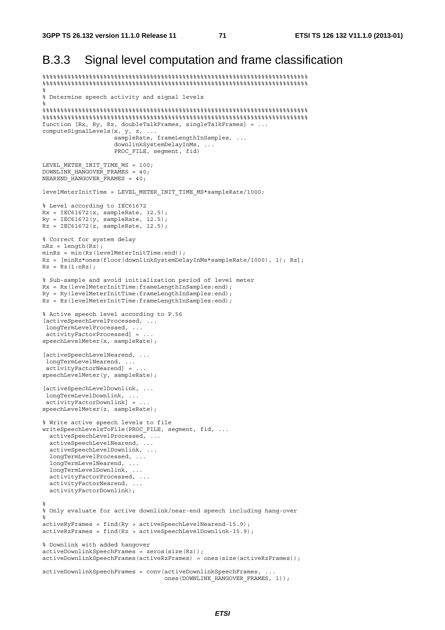# B.3.3 Signal level computation and frame classification

%%%%%%%%%%%%%%%%%%%%%%%%%%%%%%%%%%%%%%%%%%%%%%%%%%%%%%%%%%%%%%%%%%%%%%%%%%

```
%%%%%%%%%%%%%%%%%%%%%%%%%%%%%%%%%%%%%%%%%%%%%%%%%%%%%%%%%%%%%%%%%%%%%%%%%% 
% 
% Determine speech activity and signal levels 
% 
%%%%%%%%%%%%%%%%%%%%%%%%%%%%%%%%%%%%%%%%%%%%%%%%%%%%%%%%%%%%%%%%%%%%%%%%%% 
%%%%%%%%%%%%%%%%%%%%%%%%%%%%%%%%%%%%%%%%%%%%%%%%%%%%%%%%%%%%%%%%%%%%%%%%%% 
function [Rx, Ry, Rz, doubleTalkFrames, singleTalkFrames] = ... 
computeSignalLevels(x, y, z, ... 
                     sampleRate, frameLengthInSamples, ... 
                      downlinkSystemDelayInMs, ... 
                    PROC FILE, segment, fid)
LEVEL METER INIT TIME MS = 100;DOWNLINK HANGOVER FRAMES = 40;
NEAREND_HANGOVER_FRAMES = 40;
levelMeterInitTime = LEVEL METER INIT TIME MS*sampleRate/1000;
% Level according to IEC61672 
Rx = \text{IEC61672}(x, \text{sampleRate}, 12.5);Ry = IEC61672(y, sampleRate, 12.5);Rz = \text{IEC61672} (z, \text{sampleRate}, 12.5);% Correct for system delay 
nRz = lenath(Rz):minRz = min(Rz(levelMethod + T)Rz = [minRz*ones(floor(downlinkSystemDelayInMs*sampleRate/1000), 1); Rz]; 
Rz = Rz(1:nRz);% Sub-sample and avoid initialization period of level meter 
Rx = Rx(levelMeterInitTime:frameLengthInSamples:end); 
Ry = Ry(levelMeterInitTime:frameLengthInSamples:end); 
Rz = Rz(levelMeterInitTime:frameLengthInSamples:end); 
% Active speech level according to P.56 
[activeSpeechLevelProcessed, ... 
 longTermLevelProcessed, ... 
 activityFactorProcessed] = ... 
speechLevelMeter(x, sampleRate); 
[activeSpeechLevelNearend, ... 
 longTermLevelNearend, ... 
 activityFactorNearend] = ... 
speechLevelMeter(y, sampleRate); 
[activeSpeechLevelDownlink, ... 
 longTermLevelDownlink, ... 
 activityFactorDownlink] = ... 
speechLevelMeter(z, sampleRate); 
% Write active speech levels to file 
writeSpeechLevelsToFile(PROC_FILE, segment, fid, ... 
   activeSpeechLevelProcessed, ... 
   activeSpeechLevelNearend, ... 
  activeSpeechLevelDownlink, ...
   longTermLevelProcessed, ... 
   longTermLevelNearend, ... 
   longTermLevelDownlink, ... 
   activityFactorProcessed, ... 
   activityFactorNearend, ... 
   activityFactorDownlink); 
\frac{6}{6}% Only evaluate for active downlink/near-end speech including hang-over 
% 
activeRyFrames = find(Ry > activeSpeechLevelNearend-15.9); 
activeRzFrames = find(Rz > activeSpeechLevelDownlink-15.9); 
% Downlink with added hangover 
activeDownlinkSpeechFrames = zeros(size(Rz)); 
activeDownlinkSpeechFrames(activeRzFrames) = ones(size(activeRzFrames)); 
activeDownlinkSpeechFrames = conv(activeDownlinkSpeechFrames, ... 
                                     ones(DOWNLINK_HANGOVER_FRAMES, 1));
```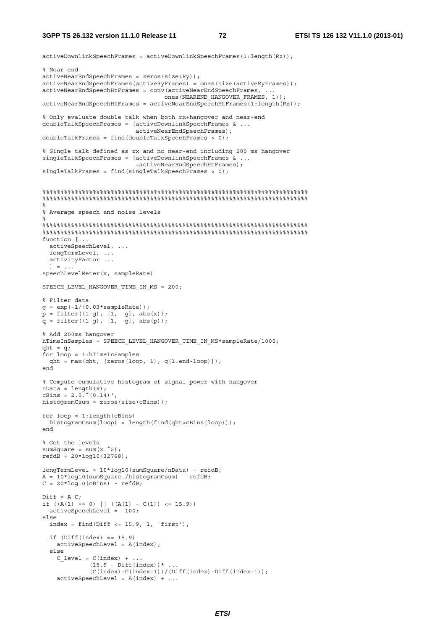### **3GPP TS 26.132 version 11.1.0 Release 11 72 ETSI TS 126 132 V11.1.0 (2013-01)**

```
activeDownlinkSpeechFrames = activeDownlinkSpeechFrames(1:length(Rz)); 
% Near-end 
activeNearEndSpeechFrames = zeros(size(Ry)); 
activeNearEndSpeechFrames(activeRyFrames) = ones(size(activeRyFrames)); 
activeNearEndSpeechHtFrames = conv(activeNearEndSpeechFrames, ... 
                                    ones(NEAREND_HANGOVER_FRAMES, 1)); 
\text{activeNearEndSpecchHtFrames} = activeNearEndSpeechHtFrames(1:length(Rz));
% Only evaluate double talk when both rx+hangover and near-end 
doubleTalkSpeechFrames = (activeDownlinkSpeechFrames & ... 
                            activeNearEndSpeechFrames); 
doubleTalkFrames = find(doubleTalkSpeechFrames > 0); 
% Single talk defined as rx and no near-end including 200 ms hangover 
singleTalkSpeechFrames = (activeDownlinkSpeechFrames & ...
                            ~activeNearEndSpeechHtFrames); 
singleTalkFrames = find(singleTalkSpeechFrames > 0); 
%%%%%%%%%%%%%%%%%%%%%%%%%%%%%%%%%%%%%%%%%%%%%%%%%%%%%%%%%%%%%%%%%%%%%%%%%% 
%%%%%%%%%%%%%%%%%%%%%%%%%%%%%%%%%%%%%%%%%%%%%%%%%%%%%%%%%%%%%%%%%%%%%%%%%% 
\mathsf{S}% Average speech and noise levels 
% 
%%%%%%%%%%%%%%%%%%%%%%%%%%%%%%%%%%%%%%%%%%%%%%%%%%%%%%%%%%%%%%%%%%%%%%%%%% 
%%%%%%%%%%%%%%%%%%%%%%%%%%%%%%%%%%%%%%%%%%%%%%%%%%%%%%%%%%%%%%%%%%%%%%%%%% 
function [... 
  activeSpeechLevel, ... 
 longTermLevel, ...
  activityFactor ... 
 1 = 1.
speechLevelMeter(x, sampleRate) 
SPEECH_LEVEL_HANGOVER_TIME_IN_MS = 200;
% Filter data 
g = exp(-1/(0.03*sampleRate));p = filter((1-g), [1, -g], abs(x));q = filter((1-q), [1, -q], abs(p));% Add 200ms hangover 
hTimeInSamples = SPEECH_LEVEL_HANGOVER_TIME_IN_MS*sampleRate/1000;
qht = q;for loop = 1:hTimeInSamples 
 qht = max(qht, [zeros(log) 1); q(1:end-loop)];
end 
% Compute cumulative histogram of signal power with hangover 
nData = length(x);cBins = 2.0.^{\wedge}(0.14)';
histogramCsum = zeros(size(cBins)); 
for loop = 1:length(cBins)histogramCsum(loop) = length(find(ght>cBins(loop)));
end 
% Get the levels 
sumSquare = sum(x.^{2});
refdB = 20 * log10(32768);longTermLevel = 10*log10(sumSquare/nData) - refdB; 
A = 10*log10(sumSquare./histogramCsum) - refdB; 
C = 20*log10(cBins) - refdB;Diff = A-C;if ((A(1) == 0) || ((A(1) - C(1)) <= 15.9))activeSpeechLevel = -100;else 
  index = find(Diff <= 15.9, 1, 'first');if (Diff(intdex) == 15.9) activeSpeechLevel = A(index); 
   else 
    C level = C(index) +
             (15.9 - Diff(intex)) *...
              (C(index)-C(index-1))/(Diff(index)-Diff(index-1)); 
    activeSpeed \leq R \cdot (index) + ...
```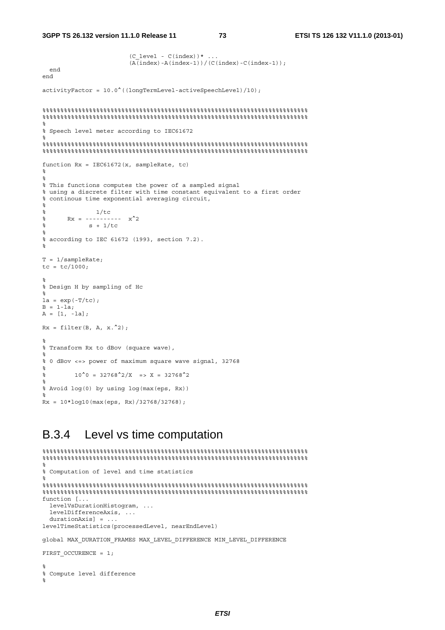```
(C \text{ level } - C(\text{index}))* ...
                          (\overline{A(index)} - A(index-1))/(\overline{C(index)} - C(index-1)); end 
end 
activityFactor = 10.0^((longTermLevel-activeSpeechLevel)/10); 
%%%%%%%%%%%%%%%%%%%%%%%%%%%%%%%%%%%%%%%%%%%%%%%%%%%%%%%%%%%%%%%%%%%%%%%%%% 
%%%%%%%%%%%%%%%%%%%%%%%%%%%%%%%%%%%%%%%%%%%%%%%%%%%%%%%%%%%%%%%%%%%%%%%%%% 
% 
% Speech level meter according to IEC61672 
% 
%%%%%%%%%%%%%%%%%%%%%%%%%%%%%%%%%%%%%%%%%%%%%%%%%%%%%%%%%%%%%%%%%%%%%%%%%% 
%%%%%%%%%%%%%%%%%%%%%%%%%%%%%%%%%%%%%%%%%%%%%%%%%%%%%%%%%%%%%%%%%%%%%%%%%% 
function Rx = IEC61672(x, sampleRate, tc) 
% 
% 
% This functions computes the power of a sampled signal 
% using a discrete filter with time constant equivalent to a first order 
% continous time exponential averaging circuit, 
% 
% and 1/tc\frac{1}{8} Rx = ---------- x^2\frac{1}{6} s + 1/tc
% 
% according to IEC 61672 (1993, section 7.2). 
% 
T = 1/sampleRate; 
tc = tc/1000;% 
% Design H by sampling of Hc 
% 
la = exp(-T/tc);B = 1-la;
A = [1, -la];Rx = filter(B, A, x.^{2});% 
% Transform Rx to dBov (square wave), 
\circ% 0 dBov <=> power of maximum square wave signal, 32768 
% 
\frac{10^{6}0}{2} = \frac{32768^{6}2}{X} = \frac{10^{6}0}{2}% 
% Avoid log(0) by using log(max(eps, Rx)) 
% 
Rx = 10*log10(max(eps, Rx)/32768/32768);
```
### B.3.4 Level vs time computation

```
%%%%%%%%%%%%%%%%%%%%%%%%%%%%%%%%%%%%%%%%%%%%%%%%%%%%%%%%%%%%%%%%%%%%%%%%%% 
%%%%%%%%%%%%%%%%%%%%%%%%%%%%%%%%%%%%%%%%%%%%%%%%%%%%%%%%%%%%%%%%%%%%%%%%%% 
% 
% Computation of level and time statistics 
% 
%%%%%%%%%%%%%%%%%%%%%%%%%%%%%%%%%%%%%%%%%%%%%%%%%%%%%%%%%%%%%%%%%%%%%%%%%% 
\frac{1}{3}function [... 
  levelVsDurationHistogram, ... 
 levelDifferenceAxis, ...
  durationAxis] = ... 
levelTimeStatistics(processedLevel, nearEndLevel) 
global MAX_DURATION_FRAMES MAX_LEVEL_DIFFERENCE MIN_LEVEL_DIFFERENCE 
FIRST OCCURENCE = 1;
% 
% Compute level difference 
\mathbf{S}
```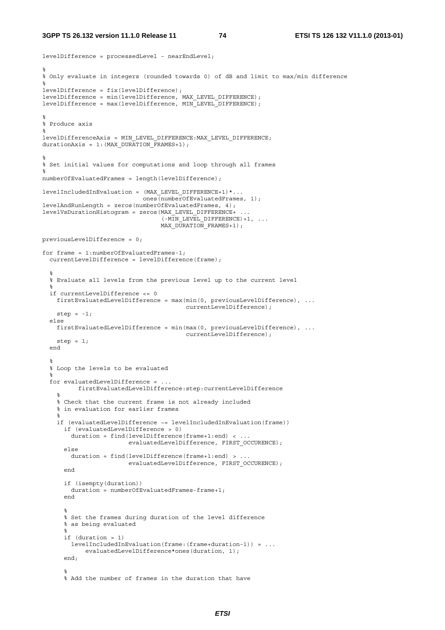### **3GPP TS 26.132 version 11.1.0 Release 11 74 ETSI TS 126 132 V11.1.0 (2013-01)**

```
levelDifference = processedLevel - nearEndLevel; 
% 
% Only evaluate in integers (rounded towards 0) of dB and limit to max/min difference 
% 
levelDifference = fix(levelDifference); 
levelDifference = min(levelDifference, MAX_LEVEL_DIFFERENCE); 
levelDifference = max(levelDifference, MIN_LEVEL_DIFFERENCE); 
\mathbf{S}% Produce axis 
% 
levelDifferenceAxis = MIN_LEVEL_DIFFERENCE:MAX_LEVEL_DIFFERENCE; 
durationAxis = 1: (MAX DURATION FRAMES+1);
\approx% Set initial values for computations and loop through all frames 
% 
numberOfEvaluatedFrames = length(levelDifference);
levelIncludedInEvaluation = (MAX_LEVEL_DIFFERENCE+1)*... 
                              ones(numberOfEvaluatedFrames, 1); 
levelAndRunLength = zeros(numberOfEvaluatedFrames, 4); 
levelVsDurationHistogram = zeros(MAX_LEVEL_DIFFERENCE+ ... 
                                   \overline{N} (-MIN LEVEL DIFFERENCE) +1, ...
                                  MAX_DURATION_FRAMES+1);
previousLevelDifference = 0; 
for frame = 1:numberOfFinaluatedFrames-1;
   currentLevelDifference = levelDifference(frame); 
\frac{1}{6} % Evaluate all levels from the previous level up to the current level 
\mathcal{S} if currentLevelDifference <= 0 
   firstEvaluatedLevelDifference = max(min(0, previousLevelDifference), ... currentLevelDifference); 
   step = -1;
   else 
    firstEvaluatedLevelDifference = min(max(0, previousLevelDifference), ... 
                                           currentLevelDifference); 
   step = 1;
   end 
\mathcal{S} % Loop the levels to be evaluated 
  \mathbf{S} for evaluatedLevelDifference = ... 
           firstEvaluatedLevelDifference:step:currentLevelDifference 
     % 
     % Check that the current frame is not already included 
     % in evaluation for earlier frames 
\frac{1}{6} if (evaluatedLevelDifference ~= levelIncludedInEvaluation(frame)) 
       if (evaluatedLevelDifference > 0) 
         duration = find(levelDifference(frame+1:end) < ... 
                         evaluatedLevelDifference, FIRST OCCURENCE);
       else 
         duration = find(levelDifference(frame+1:end) > ... 
                          evaluatedLevelDifference, FIRST_OCCURENCE); 
       end 
       if (isempty(duration)) 
        duration = numberOfEvaluatedFrames-frame+1; 
       end 
% % Set the frames during duration of the level difference 
       % as being evaluated 
% if (duration > 1) 
         levelIncludedInEvaluation(frame:(frame+duration-1)) = ... 
             evaluatedLevelDifference*ones(duration, 1); 
       end; 
% % Add the number of frames in the duration that have
```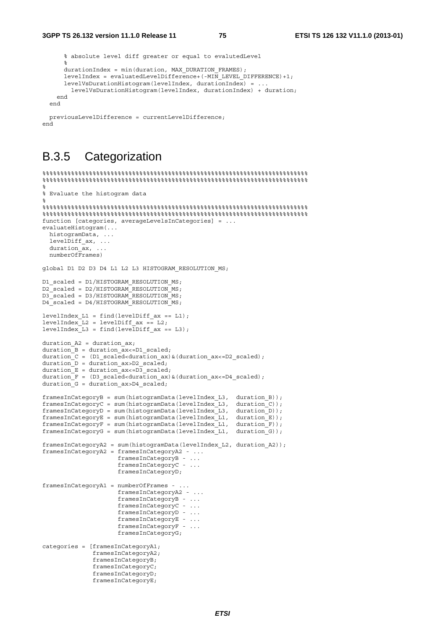```
 % absolute level diff greater or equal to evalutedLevel 
     \frac{1}{2}durationIndex = min(duration, MAX DURATION FRAMES);
    \overline{\text{levelIndex}} = \text{evaluatedLevelDifference} + (-\text{MIN} \text{ LEVEL} \text{ DIFFERENCE}) + 1; levelVsDurationHistogram(levelIndex, durationIndex) = ... 
       levelVsDurationHistogram(levelIndex, durationIndex) + duration; 
   end 
 end
```
 previousLevelDifference = currentLevelDifference; end

## B.3.5 Categorization

```
%%%%%%%%%%%%%%%%%%%%%%%%%%%%%%%%%%%%%%%%%%%%%%%%%%%%%%%%%%%%%%%%%%%%%%%%%% 
%%%%%%%%%%%%%%%%%%%%%%%%%%%%%%%%%%%%%%%%%%%%%%%%%%%%%%%%%%%%%%%%%%%%%%%%%% 
% 
% Evaluate the histogram data 
% 
%%%%%%%%%%%%%%%%%%%%%%%%%%%%%%%%%%%%%%%%%%%%%%%%%%%%%%%%%%%%%%%%%%%%%%%%%% 
%%%%%%%%%%%%%%%%%%%%%%%%%%%%%%%%%%%%%%%%%%%%%%%%%%%%%%%%%%%%%%%%%%%%%%%%%% 
function [categories, averageLevelsInCategories] = ... 
evaluateHistogram(... 
  histogramData, ... 
   levelDiff_ax, ... 
  duration ax, \ldots numberOfFrames) 
global D1 D2 D3 D4 L1 L2 L3 HISTOGRAM RESOLUTION MS;
D1_scaled = D1/HISTOGRAM_RESOLUTION_MS;
D2_scaled = D2/HISTOGRAM_RESOLUTION_MS;
D3_scaled = D3/HISTOGRAM_RESOLUTION_MS;
D4<sup>Scaled</sup> = D4/HISTOGRAM_RESOLUTION_MS;
levelIndex LI = find(levelDiffax == L1);levelIndexL2 = levelDiffax == L2;levelIndex_L3 = find(levelDiff_ax == L3);duration A2 = duration ax;duration B = duration ax \leq D1 scaled;
duration C = (D1 \text{ scaled-duration ax}) \& (duration ax \leq D2 \text{ scaled});
duration \overline{D} = duration ax>D2 scaled;
durationE = durationax < = D3 scaled;
duration F = (D3 \text{ scaled-duration ax}) \& (duration ax \leq D4 \text{ scaled});
duration G = duration ax>D4 scaled;
framesInCategoryB = sum(histogramData(levelIndex_L3, duration_B)); 
framesInCategoryC = sum(histogramData(levelIndex_L3, duration_C)); 
framesInCategoryD = sum(histogramData(levelIndex_L3, duration_D)); 
framesInCategoryE = sum(histogramData(levelIndex_L1, duration_E)); 
framesInCategoryF = sum(histogramData(levelIndex L1, duration F));framesInCategoryG = sum(histogramData(levelIndex_L1, duration_G)); 
framesInCategoryA2 = sum(histogramData(levelIndex_L2, duration_A2)); 
framesInCategoryA2 = framesInCategoryA2 - ... 
                       framesInCategoryB - ... 
                       framesInCategoryC - ... 
                       framesInCategoryD; 
framesInCategoryA1 = numberOfFrames - ... 
                       framesInCategoryA2 - ... 
                       framesInCategoryB - ... 
                       framesInCategoryC - ... 
                       framesInCategoryD - ... 
                       framesInCategoryE - ... 
                       framesInCategoryF - ... 
                       framesInCategoryG; 
categories = [framesInCategoryA1; 
               framesInCategoryA2; 
               framesInCategoryB; 
                framesInCategoryC; 
                framesInCategoryD; 
                framesInCategoryE;
```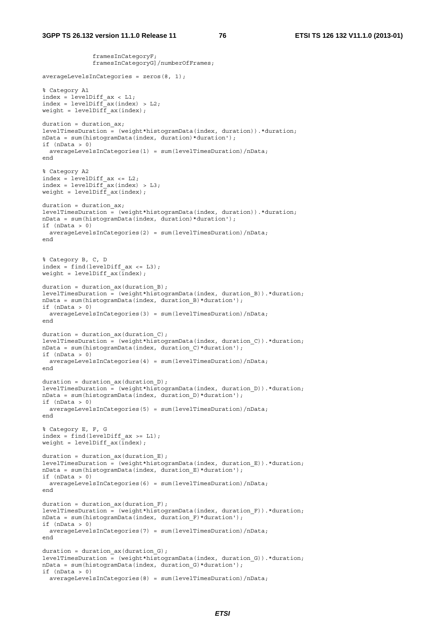framesInCategoryF;

 framesInCategoryG]/numberOfFrames; averageLevelsInCategories = zeros(8, 1); % Category A1 index = levelDiff  $ax < L1$ ;  $index = levelDiffax(index) > L2;$ weight = levelDiff  $ax(index)$ ; duration = duration  $ax;$ levelTimesDuration = (weight\*histogramData(index, duration)).\*duration; nData = sum(histogramData(index, duration)\*duration'); if  $(nData > 0)$  averageLevelsInCategories(1) = sum(levelTimesDuration)/nData; end % Category A2 index = levelDiff  $ax \leq L2$ ;  $index = levelDiff<sup>-</sup>ax(index) > L3;$ weight = levelDiff\_ax(index); duration = duration  $ax;$ levelTimesDuration =  $(weight* histogramData(int, duration), *duration)$ nData = sum(histogramData(index, duration)\*duration'); if  $(nData > 0)$  averageLevelsInCategories(2) = sum(levelTimesDuration)/nData; end % Category B, C, D  $index = find(levelDiffax \le L3);$ weight = levelDiff  $ax(\bar{index})$ ; duration = duration\_ax(duration\_B); levelTimesDuration =  $(weight*histogramData(intdex, durationB))$ .\*duration; nData = sum(histogramData(index, duration B)\*duration'); if  $(nData > 0)$  averageLevelsInCategories(3) = sum(levelTimesDuration)/nData; end duration = duration  $ax(duration)$ ; levelTimesDuration =  $(weight*histogramData/index, duration C)$ ).\*duration; nData = sum(histogramData(index, duration\_C)\*duration'); if  $(nData > 0)$  averageLevelsInCategories(4) = sum(levelTimesDuration)/nData; end duration = duration  $ax(duration D)$ ; levelTimesDuration =  $(weight*histogramData(intdex, duration D))$ .\*duration; nData = sum(histogramData(index, duration D)\*duration'); if  $(nData > 0)$  averageLevelsInCategories(5) = sum(levelTimesDuration)/nData; end % Category E, F, G  $index = find(levelDiff ax >= L1);$ weight = levelDiff  $ax(index)$ ; duration = duration\_ax(duration\_E); levelTimesDuration =  $(weight*histogramData(intdex, duration E))$ .\*duration; nData = sum(histogramData(index, duration\_E)\*duration'); if (nData > 0) averageLevelsInCategories(6) = sum(levelTimesDuration)/nData; end duration = duration  $ax$ (duration  $F$ ); levelTimesDuration =  $(weight*histogramData(intdex, duration,F))$ .\*duration; nData = sum(histogramData(index, duration\_F)\*duration'); if (nData > 0) averageLevelsInCategories(7) = sum(levelTimesDuration)/nData; end duration = duration\_ax(duration\_G); levelTimesDuration = (weight\*histogramData(index, duration\_G)).\*duration; nData = sum(histogramData(index, duration G)\*duration'); if  $(nData > 0)$ averageLevelsInCategories(8) = sum(levelTimesDuration)/nData;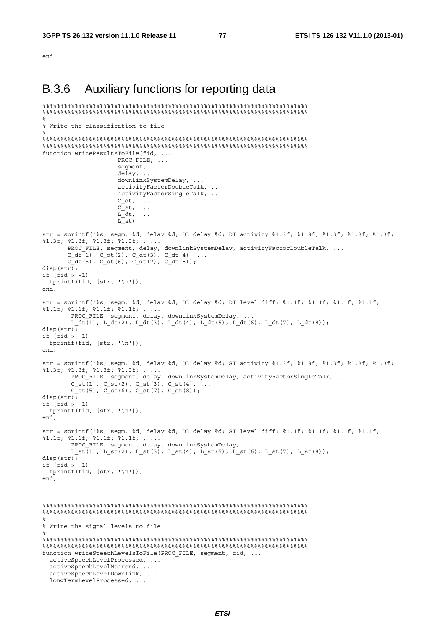end

## B.3.6 Auxiliary functions for reporting data

```
%%%%%%%%%%%%%%%%%%%%%%%%%%%%%%%%%%%%%%%%%%%%%%%%%%%%%%%%%%%%%%%%%%%%%%%%%% 
%%%%%%%%%%%%%%%%%%%%%%%%%%%%%%%%%%%%%%%%%%%%%%%%%%%%%%%%%%%%%%%%%%%%%%%%%% 
% 
% Write the classification to file 
% 
%%%%%%%%%%%%%%%%%%%%%%%%%%%%%%%%%%%%%%%%%%%%%%%%%%%%%%%%%%%%%%%%%%%%%%%%%% 
%%%%%%%%%%%%%%%%%%%%%%%%%%%%%%%%%%%%%%%%%%%%%%%%%%%%%%%%%%%%%%%%%%%%%%%%%% 
function writeResultsToFile(fid, ... 
                     PROC_FILE, ...
                      seqment, ...
                       delay, ... 
                       downlinkSystemDelay, ... 
                       activityFactorDoubleTalk, ... 
                       activityFactorSingleTalk, ... 
                      C_ddt, ...
                      C<sub>st</sub>, \ldotsL \, dt, \ldotsL st)str = sprintf('%s; segm. %d; delay %d; DL delay %d; DT activity %1.3f; %1.3f; %1.3f; %1.3f; %1.3f; 
\$1.3f; \$1.3f; \$1.3f; \$1.3f; , ...
 PROC_FILE, segment, delay, downlinkSystemDelay, activityFactorDoubleTalk, ... 
C dt(1), C dt(2), C dt(3), C dt(4), ...
       C dt(5), C dt(6), C dt(7), C dt(8));
disp(str);if (fid > -1)fprintf(fid, [str, '\n']);
end; 
str = sprintf('%s; segm. %d; delay %d; DL delay %d; DT level diff; %1.1f; %1.1f; %1.1f; %1.1f; 
\$1.1f; \$1.1f; \$1.1f; \$1.1f; , ...
        PROC FILE, segment, delay, downlinkSystemDelay, ...
        L dt<sup>(1</sup>), L dt(2), L dt(3), L dt(4), L dt(5), L dt(6), L dt(7), L dt(8));
disp(str); 
if (fid > -1)fprintf(fid, [str, '\n']);
end; 
str = sprintf('%s; segm. %d; delay %d; DL delay %d; ST activity %1.3f; %1.3f; %1.3f; %1.3f; %1.3f; 
%1.3f; %1.3f; %1.3f; %1.3f;', ... 
         PROC_FILE, segment, delay, downlinkSystemDelay, activityFactorSingleTalk, ... 
        C_st(1), C_st(2), C_st(3), C_st(4), ...
        \bar{C} st(5), \bar{C} st(6), \bar{C} st(7), \bar{C} st(8));
disp(str);if (fid > -1) 
 fprintf(fid, [str, '\n']);
end; 
str = sprintf('%s; segm. %d; delay %d; DL delay %d; ST level diff; %1.1f; %1.1f; %1.1f; %1.1f; 
%1.1f; %1.1f; %1.1f; %1.1f;', ... 
        PROC_FILE, segment, delay, downlinkSystemDelay, .
        L_ st(1), L_ st(2), L_ st(3), L_ st(4), L_ st(5), L_ st(6), L_ st(7), L_ st(8));
disp(str);\frac{1}{1} (fid > -1)
  fprintf(fid, [str, '\n']); 
end; 
%%%%%%%%%%%%%%%%%%%%%%%%%%%%%%%%%%%%%%%%%%%%%%%%%%%%%%%%%%%%%%%%%%%%%%%%%% 
%%%%%%%%%%%%%%%%%%%%%%%%%%%%%%%%%%%%%%%%%%%%%%%%%%%%%%%%%%%%%%%%%%%%%%%%%% 
% 
% Write the signal levels to file 
% 
%%%%%%%%%%%%%%%%%%%%%%%%%%%%%%%%%%%%%%%%%%%%%%%%%%%%%%%%%%%%%%%%%%%%%%%%%% 
%%%%%%%%%%%%%%%%%%%%%%%%%%%%%%%%%%%%%%%%%%%%%%%%%%%%%%%%%%%%%%%%%%%%%%%%%% 
function writeSpeechLevelsToFile(PROC_FILE, seqment, fid, ...
   activeSpeechLevelProcessed, ... 
   activeSpeechLevelNearend, ... 
   activeSpeechLevelDownlink, ... 
   longTermLevelProcessed, ...
```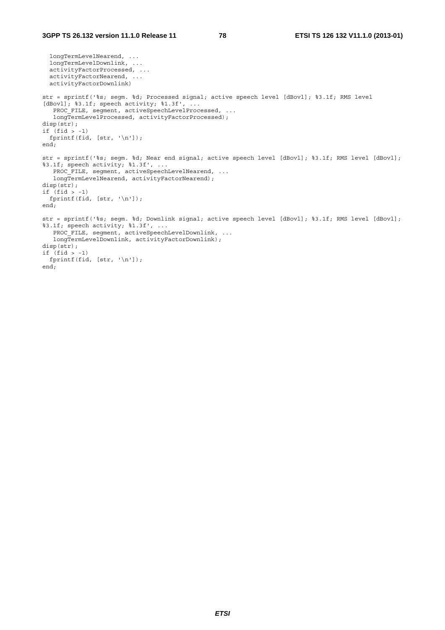```
 longTermLevelNearend, ... 
   longTermLevelDownlink, ... 
   activityFactorProcessed, ... 
   activityFactorNearend, ... 
   activityFactorDownlink) 
str = sprintf('%s; segm. %d; Processed signal; active speech level [dBovl]; %3.1f; RMS level 
[dBovl]; %3.1f; speech activity; %1.3f', ...
   PROC_FILE, segment, activeSpeechLevelProcessed, ...
    longTermLevelProcessed, activityFactorProcessed); 
disp(str); 
if (fid > -1)fprintf(fid, [str, '\n']);
end; 
str = sprintf('%s; segm. %d; Near end signal; active speech level [dBovl]; %3.1f; RMS level [dBovl]; 
%3.1f; speech activity; %1.3f', ... 
   PROC_FILE, segment, activeSpeechLevelNearend, ...
   longTermLevelNearend, activityFactorNearend);
disp(str); 
if (fid > -1) fprintf(fid, [str, '\n']); 
end; 
str = sprintf('%s; segm. %d; Downlink signal; active speech level [dBovl]; %3.1f; RMS level [dBovl]; 
83.1f; speech activity; 81.3f', ...
  PROC_FILE, segment, activeSpeechLevelDownlink, ...
    longTermLevelDownlink, activityFactorDownlink); 
disp(str); 
if (fid > -1) 
 fprintf(fid, [str, '\n']); 
end;
```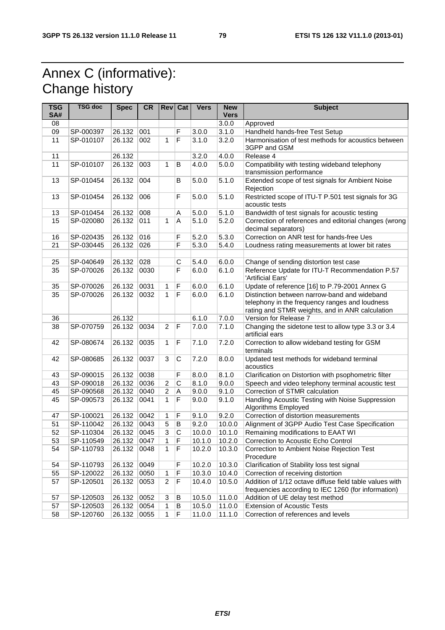# Annex C (informative): Change history

| <b>TSG</b><br>SA# | <b>TSG doc</b> | <b>Spec</b> | <b>CR</b> | <b>Rev</b> Cat |                         | <b>Vers</b> | <b>New</b><br><b>Vers</b> | <b>Subject</b>                                                                                                                                    |
|-------------------|----------------|-------------|-----------|----------------|-------------------------|-------------|---------------------------|---------------------------------------------------------------------------------------------------------------------------------------------------|
| 08                |                |             |           |                |                         |             | 3.0.0                     | Approved                                                                                                                                          |
| 09                | SP-000397      | 26.132      | 001       |                | F                       | 3.0.0       | 3.1.0                     | Handheld hands-free Test Setup                                                                                                                    |
| 11                | SP-010107      | 26.132      | 002       | $\mathbf{1}$   | $\overline{F}$          | 3.1.0       | 3.2.0                     | Harmonisation of test methods for acoustics between<br>3GPP and GSM                                                                               |
| 11                |                | 26.132      |           |                |                         | 3.2.0       | 4.0.0                     | Release 4                                                                                                                                         |
| 11                | SP-010107      | 26.132      | 003       | 1              | B                       | 4.0.0       | 5.0.0                     | Compatibility with testing wideband telephony<br>transmission performance                                                                         |
| 13                | SP-010454      | 26.132      | 004       |                | B                       | 5.0.0       | 5.1.0                     | Extended scope of test signals for Ambient Noise<br>Rejection                                                                                     |
| 13                | SP-010454      | 26.132      | 006       |                | $\mathsf F$             | 5.0.0       | 5.1.0                     | Restricted scope of ITU-T P.501 test signals for 3G<br>acoustic tests                                                                             |
| 13                | SP-010454      | 26.132      | 008       |                | Α                       | 5.0.0       | 5.1.0                     | Bandwidth of test signals for acoustic testing                                                                                                    |
| 15                | SP-020080      | 26.132      | 011       | 1              | $\overline{A}$          | 5.1.0       | 5.2.0                     | Correction of references and editorial changes (wrong<br>decimal separators)                                                                      |
| 16                | SP-020435      | 26.132      | 016       |                | F                       | 5.2.0       | 5.3.0                     | Correction on ANR test for hands-free Ues                                                                                                         |
| 21                | SP-030445      | 26.132      | 026       |                | F                       | 5.3.0       | 5.4.0                     | Loudness rating measurements at lower bit rates                                                                                                   |
|                   |                |             |           |                |                         |             |                           |                                                                                                                                                   |
| 25                | SP-040649      | 26.132      | 028       |                | $\mathsf C$             | 5.4.0       | 6.0.0                     | Change of sending distortion test case                                                                                                            |
| 35                | SP-070026      | 26.132      | 0030      |                | $\overline{\mathsf{F}}$ | 6.0.0       | 6.1.0                     | Reference Update for ITU-T Recommendation P.57<br>'Artificial Ears'                                                                               |
| 35                | SP-070026      | 26.132      | 0031      | 1              | $\mathsf F$             | 6.0.0       | 6.1.0                     | Update of reference [16] to P.79-2001 Annex G                                                                                                     |
| 35                | SP-070026      | 26.132      | 0032      | 1              | $\overline{\mathsf{F}}$ | 6.0.0       | 6.1.0                     | Distinction between narrow-band and wideband<br>telephony in the frequency ranges and loudness<br>rating and STMR weights, and in ANR calculation |
| 36                |                | 26.132      |           |                |                         | 6.1.0       | 7.0.0                     | Version for Release 7                                                                                                                             |
| 38                | SP-070759      | 26.132      | 0034      | $\overline{2}$ | $\mathsf F$             | 7.0.0       | 7.1.0                     | Changing the sidetone test to allow type 3.3 or 3.4<br>artificial ears                                                                            |
| 42                | SP-080674      | 26.132      | 0035      | 1              | F                       | 7.1.0       | 7.2.0                     | Correction to allow wideband testing for GSM<br>terminals                                                                                         |
| 42                | SP-080685      | 26.132      | 0037      | 3              | $\mathbf C$             | 7.2.0       | 8.0.0                     | Updated test methods for wideband terminal<br>acoustics                                                                                           |
| 43                | SP-090015      | 26.132      | 0038      |                | F                       | 8.0.0       | 8.1.0                     | Clarification on Distortion with psophometric filter                                                                                              |
| 43                | SP-090018      | 26.132      | 0036      | 2              | $\mathsf C$             | 8.1.0       | 9.0.0                     | Speech and video telephony terminal acoustic test                                                                                                 |
| 45                | SP-090568      | 26.132      | 0040      | $\overline{c}$ | A                       | 9.0.0       | 9.1.0                     | Correction of STMR calculation                                                                                                                    |
| 45                | SP-090573      | 26.132      | 0041      | 1              | F                       | 9.0.0       | 9.1.0                     | Handling Acoustic Testing with Noise Suppression<br>Algorithms Employed                                                                           |
| 47                | SP-100021      | 26.132      | 0042      | 1              | F                       | 9.1.0       | 9.2.0                     | Correction of distortion measurements                                                                                                             |
| 51                | SP-110042      | 26.132      | 0043      | 5              | B                       | 9.2.0       | 10.0.0                    | Alignment of 3GPP Audio Test Case Specification                                                                                                   |
| 52                | SP-110304      | 26.132      | 0045      | $\overline{3}$ | $\overline{C}$          | 10.0.0      | 10.1.0                    | Remaining modifications to EAAT WI                                                                                                                |
| 53                | SP-110549      | 26.132      | 0047      | $\mathbf{1}$   | $\mathsf F$             | 10.1.0      | 10.2.0                    | Correction to Acoustic Echo Control                                                                                                               |
| 54                | SP-110793      | 26.132      | 0048      | 1              | F                       | 10.2.0      | 10.3.0                    | Correction to Ambient Noise Rejection Test<br>Procedure                                                                                           |
| 54                | SP-110793      | 26.132      | 0049      |                | F                       | 10.2.0      | 10.3.0                    | Clarification of Stability loss test signal                                                                                                       |
| 55                | SP-120022      | 26.132      | 0050      | 1              | F                       | 10.3.0      | 10.4.0                    | Correction of receiving distortion                                                                                                                |
| 57                | SP-120501      | 26.132      | 0053      | 2              | F                       | 10.4.0      | 10.5.0                    | Addition of 1/12 octave diffuse field table values with<br>frequencies according to IEC 1260 (for information)                                    |
| 57                | SP-120503      | 26.132      | 0052      | 3              | В                       | 10.5.0      | 11.0.0                    | Addition of UE delay test method                                                                                                                  |
| 57                | SP-120503      | 26.132      | 0054      | 1              | B                       | 10.5.0      | 11.0.0                    | <b>Extension of Acoustic Tests</b>                                                                                                                |
| 58                | SP-120760      | 26.132      | 0055      | 1              | F                       | 11.0.0      | 11.1.0                    | Correction of references and levels                                                                                                               |